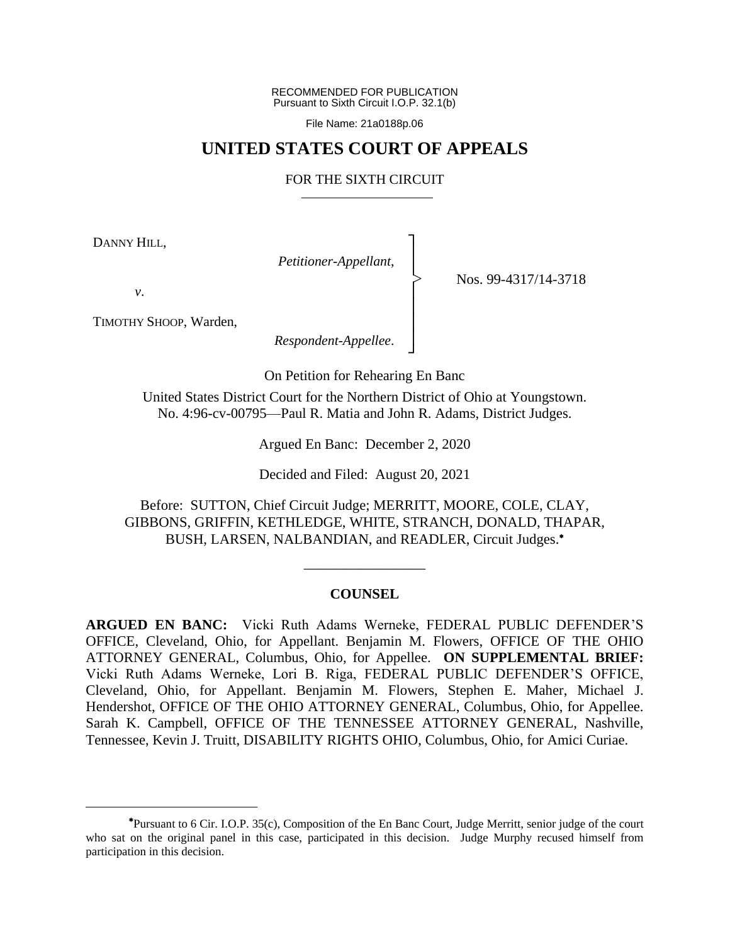RECOMMENDED FOR PUBLICATION Pursuant to Sixth Circuit I.O.P. 32.1(b)

File Name: 21a0188p.06

## **UNITED STATES COURT OF APPEALS**

## FOR THE SIXTH CIRCUIT

┐ │ │ │ │ │ │ ┘

|<br>|<br>|

DANNY HILL,

*Petitioner-Appellant*,

Nos. 99-4317/14-3718

*v*.

TIMOTHY SHOOP, Warden,

*Respondent-Appellee*.

On Petition for Rehearing En Banc

United States District Court for the Northern District of Ohio at Youngstown. No. 4:96-cv-00795—Paul R. Matia and John R. Adams, District Judges.

Argued En Banc: December 2, 2020

Decided and Filed: August 20, 2021

Before: SUTTON, Chief Circuit Judge; MERRITT, MOORE, COLE, CLAY, GIBBONS, GRIFFIN, KETHLEDGE, WHITE, STRANCH, DONALD, THAPAR, BUSH, LARSEN, NALBANDIAN, and READLER, Circuit Judges.

### **COUNSEL**

\_\_\_\_\_\_\_\_\_\_\_\_\_\_\_\_\_

**ARGUED EN BANC:** Vicki Ruth Adams Werneke, FEDERAL PUBLIC DEFENDER'S OFFICE, Cleveland, Ohio, for Appellant. Benjamin M. Flowers, OFFICE OF THE OHIO ATTORNEY GENERAL, Columbus, Ohio, for Appellee. **ON SUPPLEMENTAL BRIEF:** Vicki Ruth Adams Werneke, Lori B. Riga, FEDERAL PUBLIC DEFENDER'S OFFICE, Cleveland, Ohio, for Appellant. Benjamin M. Flowers, Stephen E. Maher, Michael J. Hendershot, OFFICE OF THE OHIO ATTORNEY GENERAL, Columbus, Ohio, for Appellee. Sarah K. Campbell, OFFICE OF THE TENNESSEE ATTORNEY GENERAL, Nashville, Tennessee, Kevin J. Truitt, DISABILITY RIGHTS OHIO, Columbus, Ohio, for Amici Curiae.

Pursuant to 6 Cir. I.O.P. 35(c), Composition of the En Banc Court, Judge Merritt, senior judge of the court who sat on the original panel in this case, participated in this decision. Judge Murphy recused himself from participation in this decision.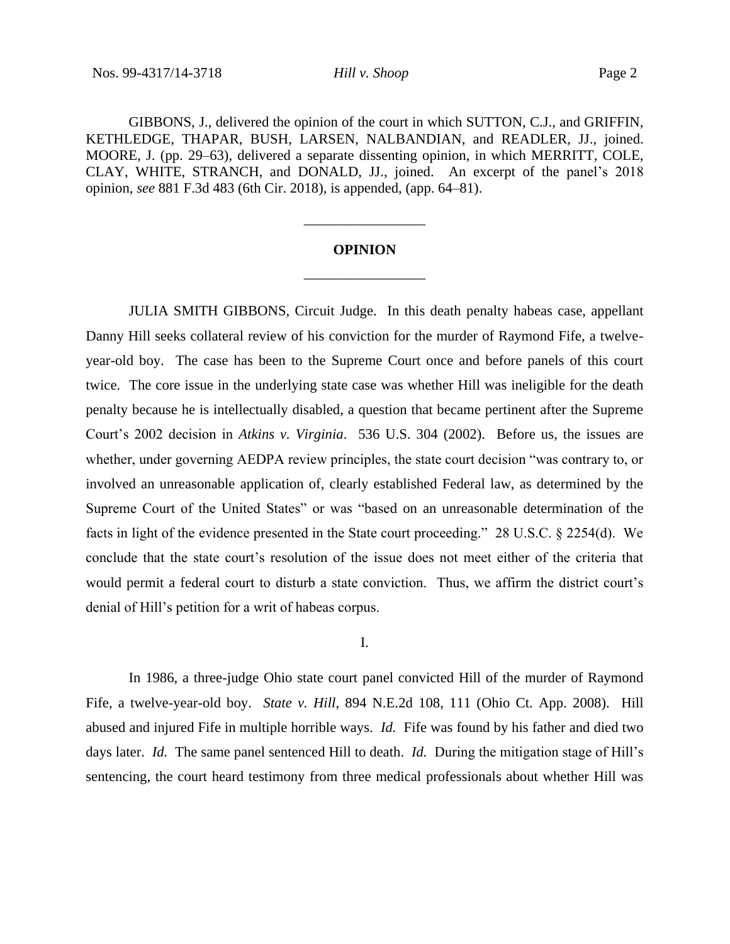GIBBONS, J., delivered the opinion of the court in which SUTTON, C.J., and GRIFFIN, KETHLEDGE, THAPAR, BUSH, LARSEN, NALBANDIAN, and READLER, JJ., joined. MOORE, J. (pp. 29–63), delivered a separate dissenting opinion, in which MERRITT, COLE, CLAY, WHITE, STRANCH, and DONALD, JJ., joined. An excerpt of the panel's 2018 opinion, *see* 881 F.3d 483 (6th Cir. 2018), is appended, (app. 64–81).

# **OPINION** \_\_\_\_\_\_\_\_\_\_\_\_\_\_\_\_\_

\_\_\_\_\_\_\_\_\_\_\_\_\_\_\_\_\_

JULIA SMITH GIBBONS, Circuit Judge. In this death penalty habeas case, appellant Danny Hill seeks collateral review of his conviction for the murder of Raymond Fife, a twelveyear-old boy. The case has been to the Supreme Court once and before panels of this court twice. The core issue in the underlying state case was whether Hill was ineligible for the death penalty because he is intellectually disabled, a question that became pertinent after the Supreme Court's 2002 decision in *Atkins v. Virginia*. 536 U.S. 304 (2002). Before us, the issues are whether, under governing AEDPA review principles, the state court decision "was contrary to, or involved an unreasonable application of, clearly established Federal law, as determined by the Supreme Court of the United States" or was "based on an unreasonable determination of the facts in light of the evidence presented in the State court proceeding." 28 U.S.C. § 2254(d). We conclude that the state court's resolution of the issue does not meet either of the criteria that would permit a federal court to disturb a state conviction. Thus, we affirm the district court's denial of Hill's petition for a writ of habeas corpus.

I.

In 1986, a three-judge Ohio state court panel convicted Hill of the murder of Raymond Fife, a twelve-year-old boy. *State v. Hill*, 894 N.E.2d 108, 111 (Ohio Ct. App. 2008). Hill abused and injured Fife in multiple horrible ways. *Id.* Fife was found by his father and died two days later. *Id.* The same panel sentenced Hill to death. *Id.* During the mitigation stage of Hill's sentencing, the court heard testimony from three medical professionals about whether Hill was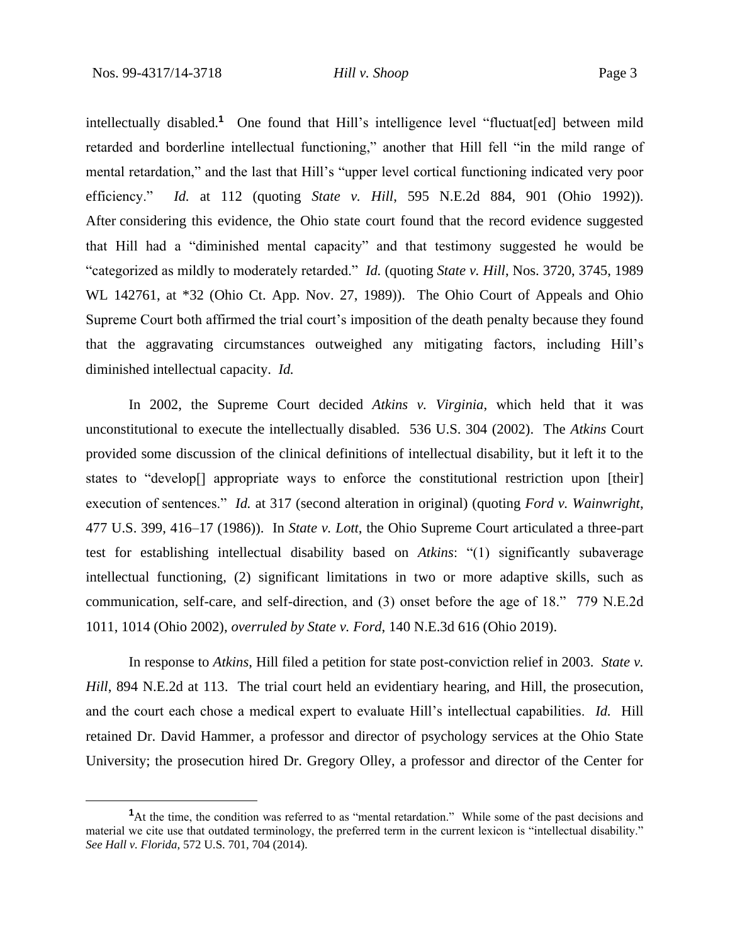intellectually disabled.**<sup>1</sup>** One found that Hill's intelligence level "fluctuat[ed] between mild retarded and borderline intellectual functioning," another that Hill fell "in the mild range of mental retardation," and the last that Hill's "upper level cortical functioning indicated very poor efficiency." *Id.* at 112 (quoting *State v. Hill*, 595 N.E.2d 884, 901 (Ohio 1992)). After considering this evidence, the Ohio state court found that the record evidence suggested that Hill had a "diminished mental capacity" and that testimony suggested he would be "categorized as mildly to moderately retarded." *Id.* (quoting *State v. Hill*, Nos. 3720, 3745, 1989 WL 142761, at \*32 (Ohio Ct. App. Nov. 27, 1989)). The Ohio Court of Appeals and Ohio Supreme Court both affirmed the trial court's imposition of the death penalty because they found that the aggravating circumstances outweighed any mitigating factors, including Hill's diminished intellectual capacity. *Id.*

In 2002, the Supreme Court decided *Atkins v. Virginia*, which held that it was unconstitutional to execute the intellectually disabled. 536 U.S. 304 (2002). The *Atkins* Court provided some discussion of the clinical definitions of intellectual disability, but it left it to the states to "develop[] appropriate ways to enforce the constitutional restriction upon [their] execution of sentences." *Id.* at 317 (second alteration in original) (quoting *Ford v. Wainwright*, 477 U.S. 399, 416–17 (1986)). In *State v. Lott*, the Ohio Supreme Court articulated a three-part test for establishing intellectual disability based on *Atkins*: "(1) significantly subaverage intellectual functioning, (2) significant limitations in two or more adaptive skills, such as communication, self-care, and self-direction, and (3) onset before the age of 18." 779 N.E.2d 1011, 1014 (Ohio 2002), *overruled by State v. Ford*, 140 N.E.3d 616 (Ohio 2019).

In response to *Atkins*, Hill filed a petition for state post-conviction relief in 2003. *State v. Hill*, 894 N.E.2d at 113. The trial court held an evidentiary hearing, and Hill, the prosecution, and the court each chose a medical expert to evaluate Hill's intellectual capabilities. *Id.* Hill retained Dr. David Hammer, a professor and director of psychology services at the Ohio State University; the prosecution hired Dr. Gregory Olley, a professor and director of the Center for

**<sup>1</sup>**At the time, the condition was referred to as "mental retardation." While some of the past decisions and material we cite use that outdated terminology, the preferred term in the current lexicon is "intellectual disability." *See Hall v. Florida*, 572 U.S. 701, 704 (2014).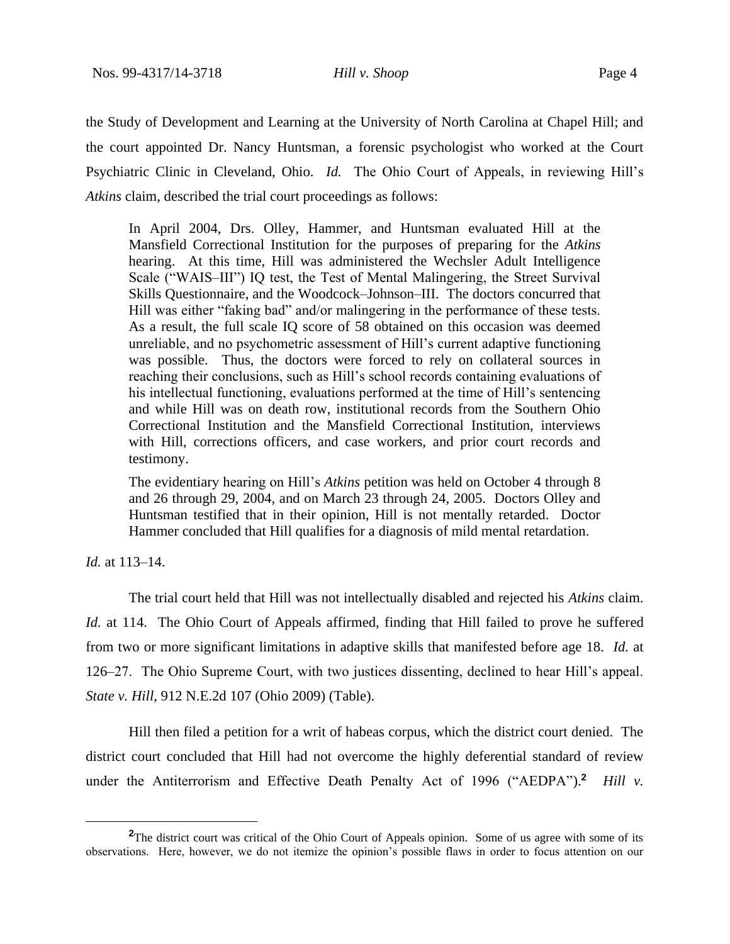the Study of Development and Learning at the University of North Carolina at Chapel Hill; and the court appointed Dr. Nancy Huntsman, a forensic psychologist who worked at the Court Psychiatric Clinic in Cleveland, Ohio. *Id.* The Ohio Court of Appeals, in reviewing Hill's *Atkins* claim, described the trial court proceedings as follows:

In April 2004, Drs. Olley, Hammer, and Huntsman evaluated Hill at the Mansfield Correctional Institution for the purposes of preparing for the *Atkins* hearing. At this time, Hill was administered the Wechsler Adult Intelligence Scale ("WAIS–III") IQ test, the Test of Mental Malingering, the Street Survival Skills Questionnaire, and the Woodcock–Johnson–III. The doctors concurred that Hill was either "faking bad" and/or malingering in the performance of these tests. As a result, the full scale IQ score of 58 obtained on this occasion was deemed unreliable, and no psychometric assessment of Hill's current adaptive functioning was possible. Thus, the doctors were forced to rely on collateral sources in reaching their conclusions, such as Hill's school records containing evaluations of his intellectual functioning, evaluations performed at the time of Hill's sentencing and while Hill was on death row, institutional records from the Southern Ohio Correctional Institution and the Mansfield Correctional Institution, interviews with Hill, corrections officers, and case workers, and prior court records and testimony.

The evidentiary hearing on Hill's *Atkins* petition was held on October 4 through 8 and 26 through 29, 2004, and on March 23 through 24, 2005. Doctors Olley and Huntsman testified that in their opinion, Hill is not mentally retarded. Doctor Hammer concluded that Hill qualifies for a diagnosis of mild mental retardation.

*Id.* at 113–14.

The trial court held that Hill was not intellectually disabled and rejected his *Atkins* claim. *Id.* at 114. The Ohio Court of Appeals affirmed, finding that Hill failed to prove he suffered from two or more significant limitations in adaptive skills that manifested before age 18. *Id.* at 126–27. The Ohio Supreme Court, with two justices dissenting, declined to hear Hill's appeal. *State v. Hill*, 912 N.E.2d 107 (Ohio 2009) (Table).

Hill then filed a petition for a writ of habeas corpus, which the district court denied. The district court concluded that Hill had not overcome the highly deferential standard of review under the Antiterrorism and Effective Death Penalty Act of 1996 ("AEDPA").<sup>2</sup> *Hill v.* 

**<sup>2</sup>**The district court was critical of the Ohio Court of Appeals opinion. Some of us agree with some of its observations. Here, however, we do not itemize the opinion's possible flaws in order to focus attention on our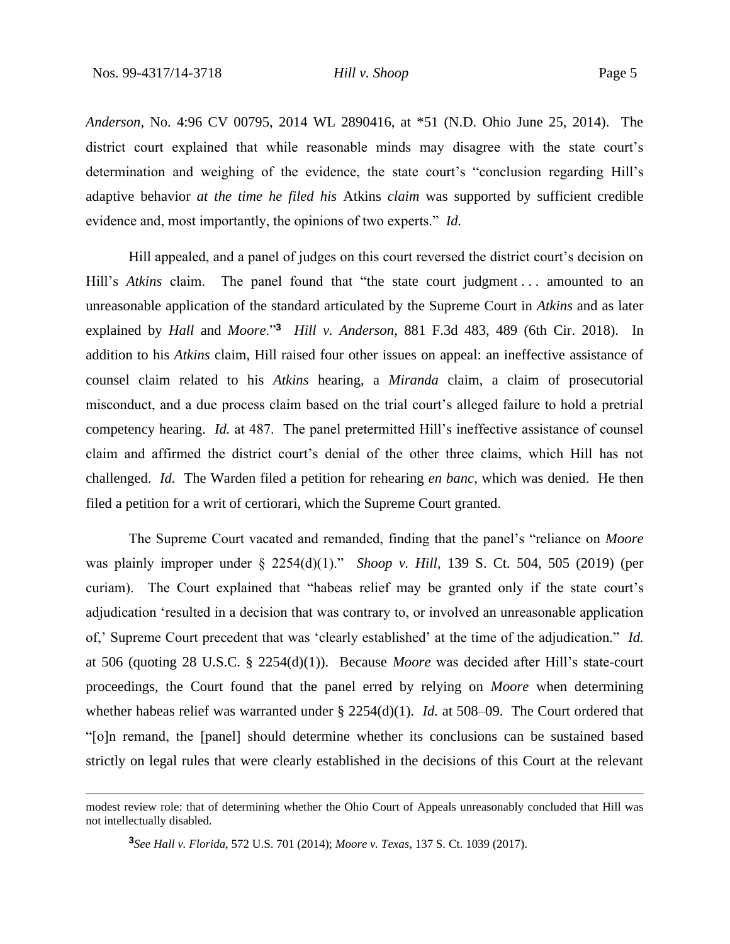*Anderson*, No. 4:96 CV 00795, 2014 WL 2890416, at \*51 (N.D. Ohio June 25, 2014). The district court explained that while reasonable minds may disagree with the state court's determination and weighing of the evidence, the state court's "conclusion regarding Hill's adaptive behavior *at the time he filed his* Atkins *claim* was supported by sufficient credible evidence and, most importantly, the opinions of two experts." *Id.*

Hill appealed, and a panel of judges on this court reversed the district court's decision on Hill's *Atkins* claim. The panel found that "the state court judgment ... amounted to an unreasonable application of the standard articulated by the Supreme Court in *Atkins* and as later explained by *Hall* and *Moore*."**<sup>3</sup>** *Hill v. Anderson*, 881 F.3d 483, 489 (6th Cir. 2018). In addition to his *Atkins* claim, Hill raised four other issues on appeal: an ineffective assistance of counsel claim related to his *Atkins* hearing, a *Miranda* claim, a claim of prosecutorial misconduct, and a due process claim based on the trial court's alleged failure to hold a pretrial competency hearing. *Id.* at 487. The panel pretermitted Hill's ineffective assistance of counsel claim and affirmed the district court's denial of the other three claims, which Hill has not challenged. *Id.* The Warden filed a petition for rehearing *en banc*, which was denied. He then filed a petition for a writ of certiorari, which the Supreme Court granted.

The Supreme Court vacated and remanded, finding that the panel's "reliance on *Moore* was plainly improper under § 2254(d)(1)." *Shoop v. Hill*, 139 S. Ct. 504, 505 (2019) (per curiam). The Court explained that "habeas relief may be granted only if the state court's adjudication 'resulted in a decision that was contrary to, or involved an unreasonable application of,' Supreme Court precedent that was 'clearly established' at the time of the adjudication." *Id.* at 506 (quoting 28 U.S.C. § 2254(d)(1)). Because *Moore* was decided after Hill's state-court proceedings, the Court found that the panel erred by relying on *Moore* when determining whether habeas relief was warranted under § 2254(d)(1). *Id.* at 508–09. The Court ordered that "[o]n remand, the [panel] should determine whether its conclusions can be sustained based strictly on legal rules that were clearly established in the decisions of this Court at the relevant

modest review role: that of determining whether the Ohio Court of Appeals unreasonably concluded that Hill was not intellectually disabled.

**<sup>3</sup>** *See Hall v. Florida*, 572 U.S. 701 (2014); *Moore v. Texas*, 137 S. Ct. 1039 (2017).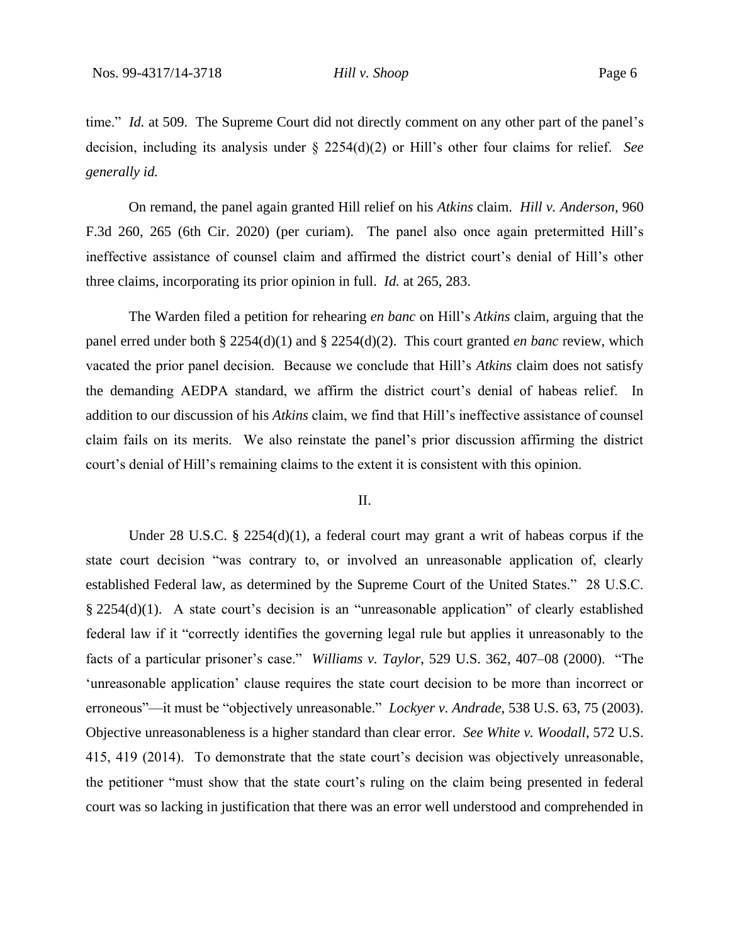time." *Id.* at 509. The Supreme Court did not directly comment on any other part of the panel's decision, including its analysis under § 2254(d)(2) or Hill's other four claims for relief. *See generally id.*

On remand, the panel again granted Hill relief on his *Atkins* claim. *Hill v. Anderson*, 960 F.3d 260, 265 (6th Cir. 2020) (per curiam). The panel also once again pretermitted Hill's ineffective assistance of counsel claim and affirmed the district court's denial of Hill's other three claims, incorporating its prior opinion in full. *Id.* at 265, 283.

The Warden filed a petition for rehearing *en banc* on Hill's *Atkins* claim, arguing that the panel erred under both § 2254(d)(1) and § 2254(d)(2). This court granted *en banc* review, which vacated the prior panel decision. Because we conclude that Hill's *Atkins* claim does not satisfy the demanding AEDPA standard, we affirm the district court's denial of habeas relief. In addition to our discussion of his *Atkins* claim, we find that Hill's ineffective assistance of counsel claim fails on its merits. We also reinstate the panel's prior discussion affirming the district court's denial of Hill's remaining claims to the extent it is consistent with this opinion.

#### II.

Under 28 U.S.C. § 2254(d)(1), a federal court may grant a writ of habeas corpus if the state court decision "was contrary to, or involved an unreasonable application of, clearly established Federal law, as determined by the Supreme Court of the United States." 28 U.S.C. § 2254(d)(1). A state court's decision is an "unreasonable application" of clearly established federal law if it "correctly identifies the governing legal rule but applies it unreasonably to the facts of a particular prisoner's case." *Williams v. Taylor*, 529 U.S. 362, 407–08 (2000). "The 'unreasonable application' clause requires the state court decision to be more than incorrect or erroneous"—it must be "objectively unreasonable." *Lockyer v. Andrade*, 538 U.S. 63, 75 (2003). Objective unreasonableness is a higher standard than clear error. *See White v. Woodall*, 572 U.S. 415, 419 (2014). To demonstrate that the state court's decision was objectively unreasonable, the petitioner "must show that the state court's ruling on the claim being presented in federal court was so lacking in justification that there was an error well understood and comprehended in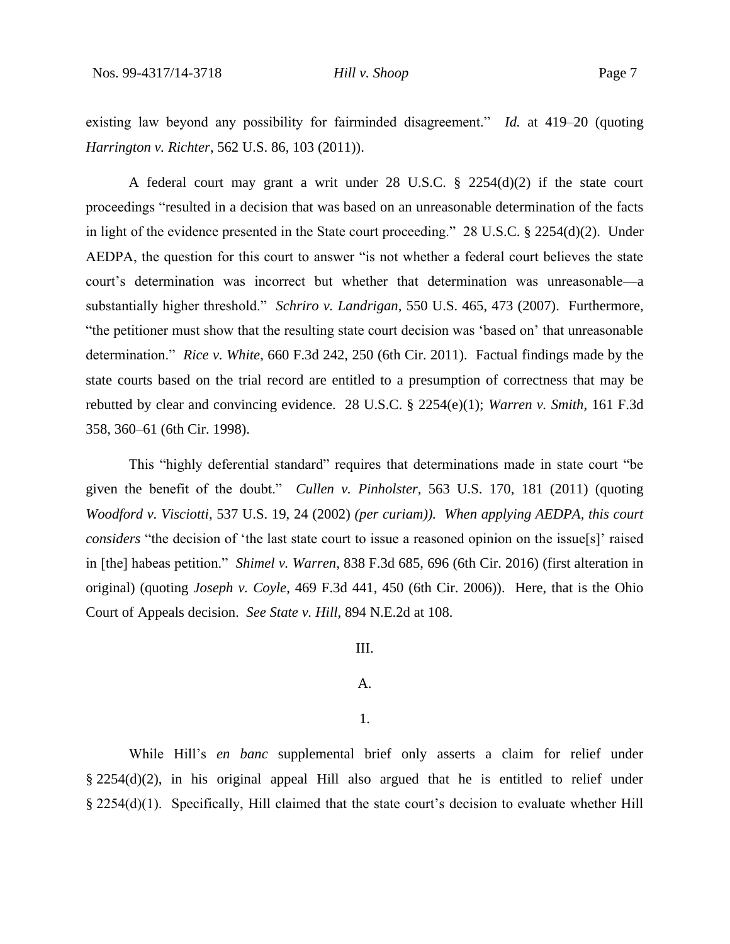existing law beyond any possibility for fairminded disagreement." *Id.* at 419–20 (quoting *Harrington v. Richter*, 562 U.S. 86, 103 (2011)).

A federal court may grant a writ under 28 U.S.C. § 2254(d)(2) if the state court proceedings "resulted in a decision that was based on an unreasonable determination of the facts in light of the evidence presented in the State court proceeding." 28 U.S.C. § 2254(d)(2). Under AEDPA, the question for this court to answer "is not whether a federal court believes the state court's determination was incorrect but whether that determination was unreasonable—a substantially higher threshold." *Schriro v. Landrigan,* 550 U.S. 465, 473 (2007). Furthermore, "the petitioner must show that the resulting state court decision was 'based on' that unreasonable determination." *Rice v. White*, 660 F.3d 242, 250 (6th Cir. 2011). Factual findings made by the state courts based on the trial record are entitled to a presumption of correctness that may be rebutted by clear and convincing evidence. 28 U.S.C. § 2254(e)(1); *Warren v. Smith,* 161 F.3d 358, 360–61 (6th Cir. 1998).

This "highly deferential standard" requires that determinations made in state court "be given the benefit of the doubt." *Cullen v. Pinholster,* 563 U.S. 170, 181 (2011) (quoting *Woodford v. Visciotti,* 537 U.S. 19, 24 (2002) *(per curiam)). When applying AEDPA, this court considers* "the decision of 'the last state court to issue a reasoned opinion on the issue[s]' raised in [the] habeas petition." *Shimel v. Warren*, 838 F.3d 685, 696 (6th Cir. 2016) (first alteration in original) (quoting *Joseph v. Coyle*, 469 F.3d 441, 450 (6th Cir. 2006)). Here, that is the Ohio Court of Appeals decision. *See State v. Hill*, 894 N.E.2d at 108.

## III.

## A.

#### 1.

While Hill's *en banc* supplemental brief only asserts a claim for relief under § 2254(d)(2), in his original appeal Hill also argued that he is entitled to relief under § 2254(d)(1). Specifically, Hill claimed that the state court's decision to evaluate whether Hill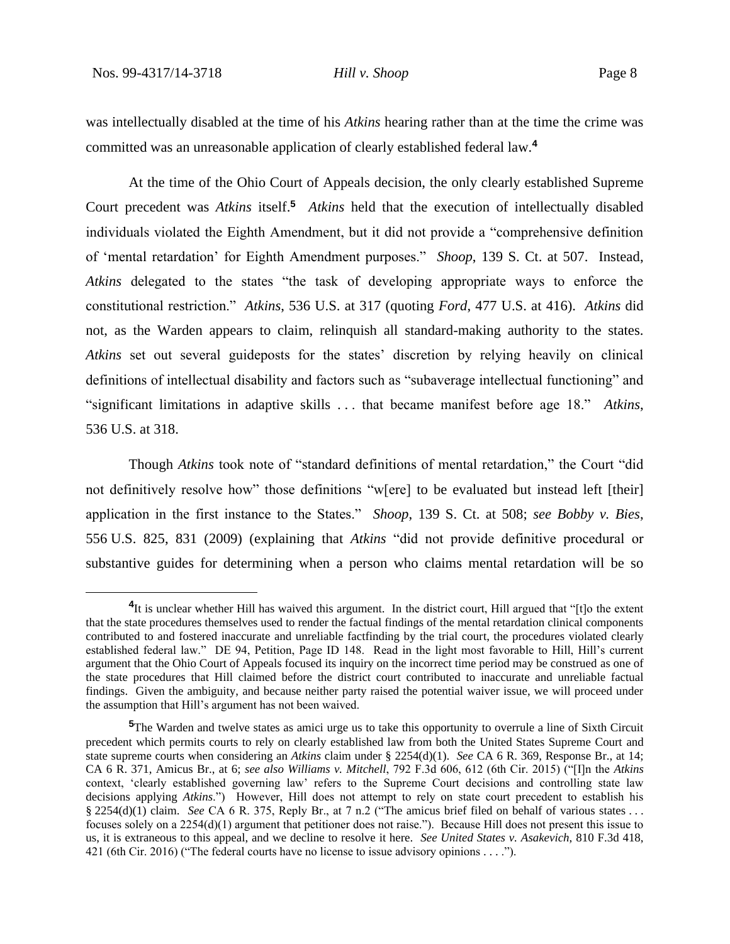was intellectually disabled at the time of his *Atkins* hearing rather than at the time the crime was committed was an unreasonable application of clearly established federal law.**<sup>4</sup>**

At the time of the Ohio Court of Appeals decision, the only clearly established Supreme Court precedent was *Atkins* itself.**<sup>5</sup>** *Atkins* held that the execution of intellectually disabled individuals violated the Eighth Amendment, but it did not provide a "comprehensive definition of 'mental retardation' for Eighth Amendment purposes." *Shoop*, 139 S. Ct. at 507. Instead, *Atkins* delegated to the states "the task of developing appropriate ways to enforce the constitutional restriction." *Atkins*, 536 U.S. at 317 (quoting *Ford*, 477 U.S. at 416). *Atkins* did not, as the Warden appears to claim, relinquish all standard-making authority to the states. *Atkins* set out several guideposts for the states' discretion by relying heavily on clinical definitions of intellectual disability and factors such as "subaverage intellectual functioning" and "significant limitations in adaptive skills . . . that became manifest before age 18." *Atkins*, 536 U.S. at 318.

Though *Atkins* took note of "standard definitions of mental retardation," the Court "did not definitively resolve how" those definitions "w[ere] to be evaluated but instead left [their] application in the first instance to the States." *Shoop*, 139 S. Ct. at 508; *see Bobby v. Bies*, 556 U.S. 825, 831 (2009) (explaining that *Atkins* "did not provide definitive procedural or substantive guides for determining when a person who claims mental retardation will be so

<sup>&</sup>lt;sup>4</sup>It is unclear whether Hill has waived this argument. In the district court, Hill argued that "[t]o the extent that the state procedures themselves used to render the factual findings of the mental retardation clinical components contributed to and fostered inaccurate and unreliable factfinding by the trial court, the procedures violated clearly established federal law." DE 94, Petition, Page ID 148. Read in the light most favorable to Hill, Hill's current argument that the Ohio Court of Appeals focused its inquiry on the incorrect time period may be construed as one of the state procedures that Hill claimed before the district court contributed to inaccurate and unreliable factual findings. Given the ambiguity, and because neither party raised the potential waiver issue, we will proceed under the assumption that Hill's argument has not been waived.

<sup>&</sup>lt;sup>5</sup>The Warden and twelve states as amici urge us to take this opportunity to overrule a line of Sixth Circuit precedent which permits courts to rely on clearly established law from both the United States Supreme Court and state supreme courts when considering an *Atkins* claim under § 2254(d)(1). *See* CA 6 R. 369, Response Br., at 14; CA 6 R. 371, Amicus Br., at 6; *see also Williams v. Mitchell*, 792 F.3d 606, 612 (6th Cir. 2015) ("[I]n the *Atkins* context, 'clearly established governing law' refers to the Supreme Court decisions and controlling state law decisions applying *Atkins*.") However, Hill does not attempt to rely on state court precedent to establish his § 2254(d)(1) claim. *See* CA 6 R. 375, Reply Br., at 7 n.2 ("The amicus brief filed on behalf of various states . . . focuses solely on a 2254(d)(1) argument that petitioner does not raise."). Because Hill does not present this issue to us, it is extraneous to this appeal, and we decline to resolve it here. *See United States v. Asakevich*, 810 F.3d 418, 421 (6th Cir. 2016) ("The federal courts have no license to issue advisory opinions . . . .").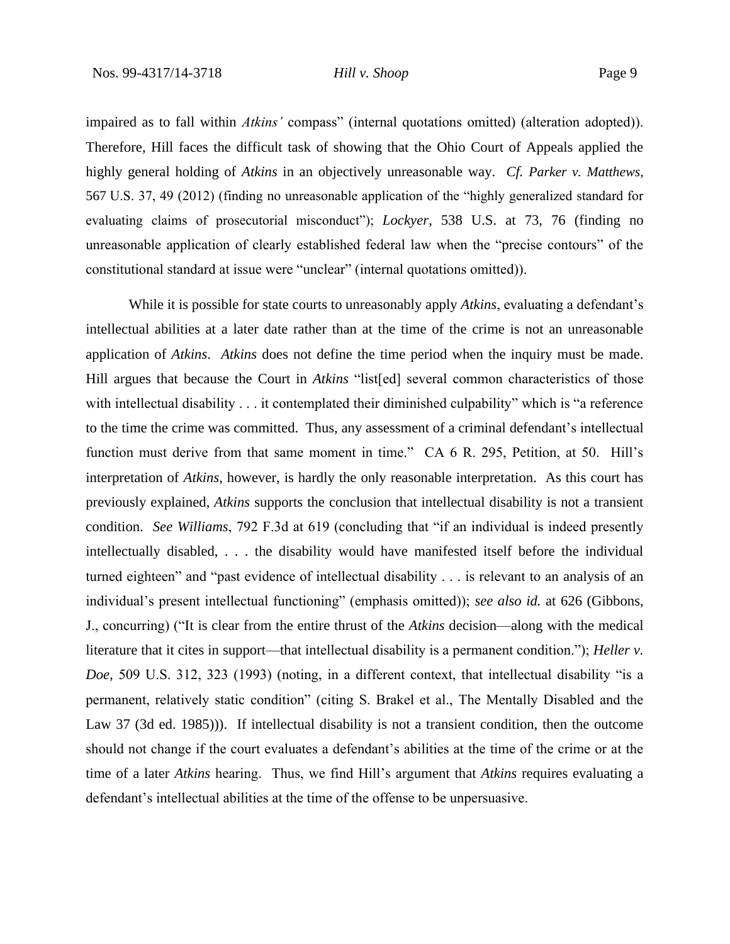impaired as to fall within *Atkins'* compass" (internal quotations omitted) (alteration adopted)). Therefore, Hill faces the difficult task of showing that the Ohio Court of Appeals applied the highly general holding of *Atkins* in an objectively unreasonable way. *Cf. Parker v. Matthews*, 567 U.S. 37, 49 (2012) (finding no unreasonable application of the "highly generalized standard for evaluating claims of prosecutorial misconduct"); *Lockyer*, 538 U.S. at 73, 76 (finding no unreasonable application of clearly established federal law when the "precise contours" of the constitutional standard at issue were "unclear" (internal quotations omitted)).

While it is possible for state courts to unreasonably apply *Atkins*, evaluating a defendant's intellectual abilities at a later date rather than at the time of the crime is not an unreasonable application of *Atkins*. *Atkins* does not define the time period when the inquiry must be made. Hill argues that because the Court in *Atkins* "list[ed] several common characteristics of those with intellectual disability . . . it contemplated their diminished culpability" which is "a reference to the time the crime was committed. Thus, any assessment of a criminal defendant's intellectual function must derive from that same moment in time." CA 6 R. 295, Petition, at 50. Hill's interpretation of *Atkins*, however, is hardly the only reasonable interpretation. As this court has previously explained, *Atkins* supports the conclusion that intellectual disability is not a transient condition. *See Williams*, 792 F.3d at 619 (concluding that "if an individual is indeed presently intellectually disabled, . . . the disability would have manifested itself before the individual turned eighteen" and "past evidence of intellectual disability . . . is relevant to an analysis of an individual's present intellectual functioning" (emphasis omitted)); *see also id.* at 626 (Gibbons, J., concurring) ("It is clear from the entire thrust of the *Atkins* decision—along with the medical literature that it cites in support—that intellectual disability is a permanent condition."); *Heller v. Doe,* 509 U.S. 312, 323 (1993) (noting, in a different context, that intellectual disability "is a permanent, relatively static condition" (citing S. Brakel et al., The Mentally Disabled and the Law 37 (3d ed. 1985))). If intellectual disability is not a transient condition, then the outcome should not change if the court evaluates a defendant's abilities at the time of the crime or at the time of a later *Atkins* hearing. Thus, we find Hill's argument that *Atkins* requires evaluating a defendant's intellectual abilities at the time of the offense to be unpersuasive.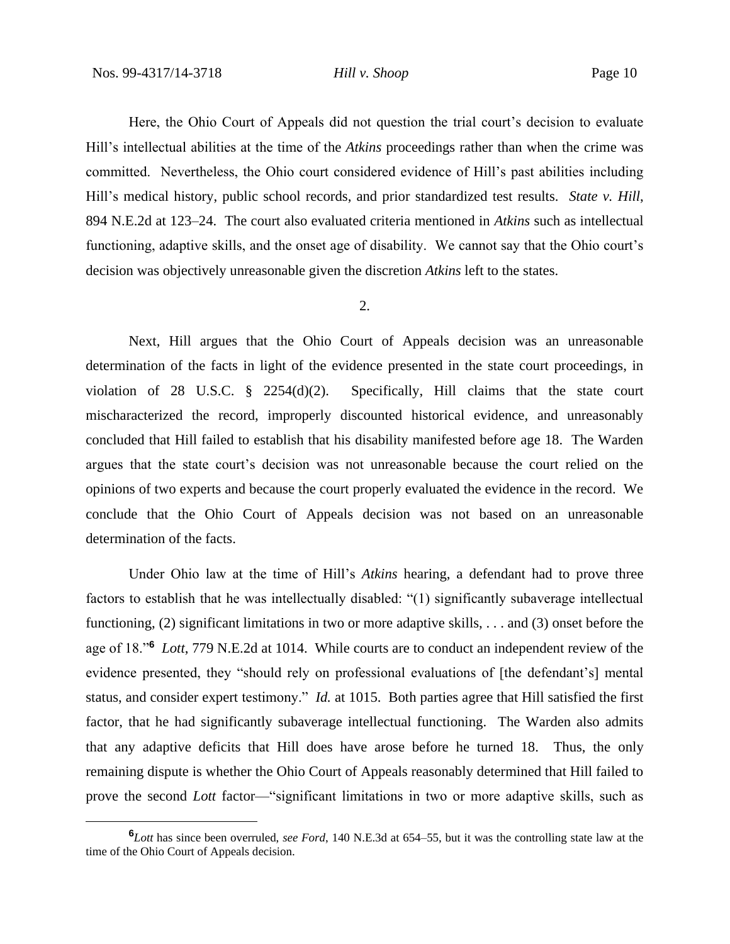Here, the Ohio Court of Appeals did not question the trial court's decision to evaluate Hill's intellectual abilities at the time of the *Atkins* proceedings rather than when the crime was committed. Nevertheless, the Ohio court considered evidence of Hill's past abilities including Hill's medical history, public school records, and prior standardized test results. *State v. Hill*, 894 N.E.2d at 123–24. The court also evaluated criteria mentioned in *Atkins* such as intellectual functioning, adaptive skills, and the onset age of disability. We cannot say that the Ohio court's decision was objectively unreasonable given the discretion *Atkins* left to the states.

#### 2.

Next, Hill argues that the Ohio Court of Appeals decision was an unreasonable determination of the facts in light of the evidence presented in the state court proceedings, in violation of 28 U.S.C. § 2254(d)(2). Specifically, Hill claims that the state court mischaracterized the record, improperly discounted historical evidence, and unreasonably concluded that Hill failed to establish that his disability manifested before age 18. The Warden argues that the state court's decision was not unreasonable because the court relied on the opinions of two experts and because the court properly evaluated the evidence in the record. We conclude that the Ohio Court of Appeals decision was not based on an unreasonable determination of the facts.

Under Ohio law at the time of Hill's *Atkins* hearing, a defendant had to prove three factors to establish that he was intellectually disabled: "(1) significantly subaverage intellectual functioning, (2) significant limitations in two or more adaptive skills, . . . and (3) onset before the age of 18."**<sup>6</sup>** *Lott*, 779 N.E.2d at 1014. While courts are to conduct an independent review of the evidence presented, they "should rely on professional evaluations of [the defendant's] mental status, and consider expert testimony." *Id.* at 1015. Both parties agree that Hill satisfied the first factor, that he had significantly subaverage intellectual functioning. The Warden also admits that any adaptive deficits that Hill does have arose before he turned 18. Thus, the only remaining dispute is whether the Ohio Court of Appeals reasonably determined that Hill failed to prove the second *Lott* factor—"significant limitations in two or more adaptive skills, such as

**<sup>6</sup>***Lott* has since been overruled, *see Ford*, 140 N.E.3d at 654–55, but it was the controlling state law at the time of the Ohio Court of Appeals decision.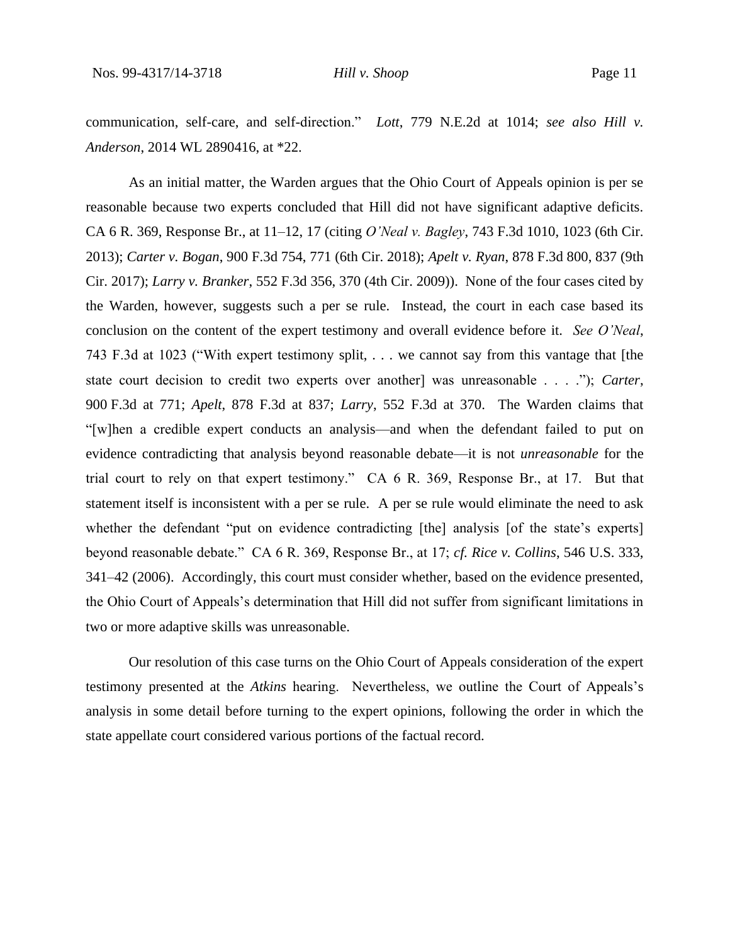communication, self-care, and self-direction." *Lott*, 779 N.E.2d at 1014; *see also Hill v. Anderson*, 2014 WL 2890416, at \*22.

As an initial matter, the Warden argues that the Ohio Court of Appeals opinion is per se reasonable because two experts concluded that Hill did not have significant adaptive deficits. CA 6 R. 369, Response Br., at 11–12, 17 (citing *O'Neal v. Bagley*, 743 F.3d 1010, 1023 (6th Cir. 2013); *Carter v. Bogan*, 900 F.3d 754, 771 (6th Cir. 2018); *Apelt v. Ryan*, 878 F.3d 800, 837 (9th Cir. 2017); *Larry v. Branker*, 552 F.3d 356, 370 (4th Cir. 2009)). None of the four cases cited by the Warden, however, suggests such a per se rule. Instead, the court in each case based its conclusion on the content of the expert testimony and overall evidence before it. *See O'Neal*, 743 F.3d at 1023 ("With expert testimony split, . . . we cannot say from this vantage that [the state court decision to credit two experts over another] was unreasonable . . . ."); *Carter*, 900 F.3d at 771; *Apelt*, 878 F.3d at 837; *Larry*, 552 F.3d at 370. The Warden claims that "[w]hen a credible expert conducts an analysis—and when the defendant failed to put on evidence contradicting that analysis beyond reasonable debate—it is not *unreasonable* for the trial court to rely on that expert testimony." CA 6 R. 369, Response Br., at 17. But that statement itself is inconsistent with a per se rule. A per se rule would eliminate the need to ask whether the defendant "put on evidence contradicting [the] analysis [of the state's experts] beyond reasonable debate." CA 6 R. 369, Response Br., at 17; *cf. Rice v. Collins*, 546 U.S. 333, 341–42 (2006). Accordingly, this court must consider whether, based on the evidence presented, the Ohio Court of Appeals's determination that Hill did not suffer from significant limitations in two or more adaptive skills was unreasonable.

Our resolution of this case turns on the Ohio Court of Appeals consideration of the expert testimony presented at the *Atkins* hearing. Nevertheless, we outline the Court of Appeals's analysis in some detail before turning to the expert opinions, following the order in which the state appellate court considered various portions of the factual record.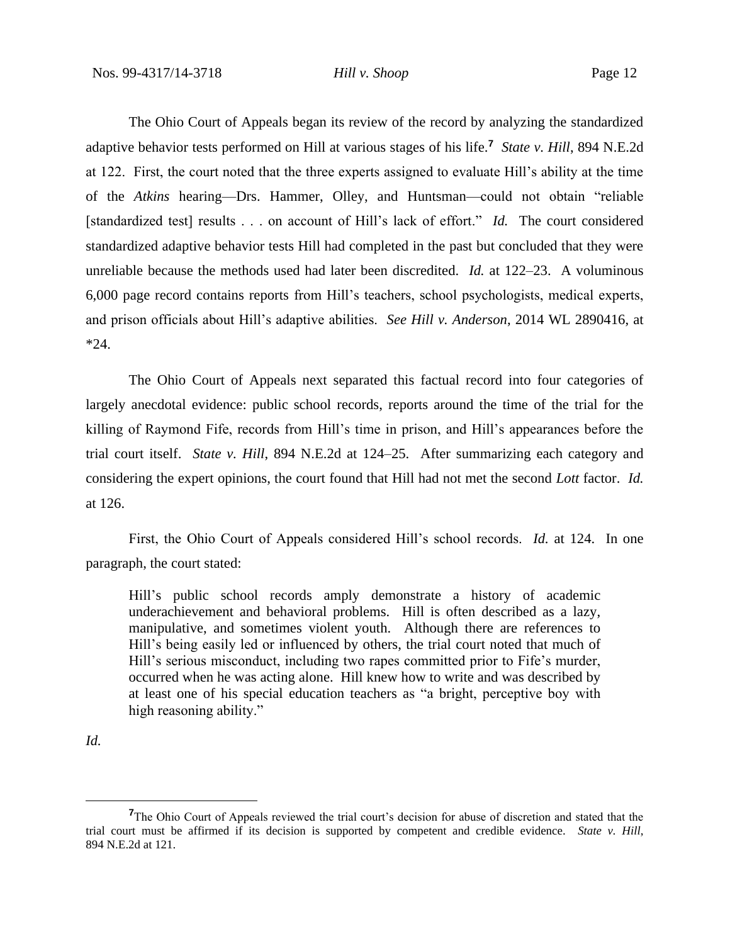The Ohio Court of Appeals began its review of the record by analyzing the standardized adaptive behavior tests performed on Hill at various stages of his life.**<sup>7</sup>** *State v. Hill*, 894 N.E.2d at 122. First, the court noted that the three experts assigned to evaluate Hill's ability at the time of the *Atkins* hearing—Drs. Hammer, Olley, and Huntsman—could not obtain "reliable [standardized test] results . . . on account of Hill's lack of effort." *Id.* The court considered standardized adaptive behavior tests Hill had completed in the past but concluded that they were unreliable because the methods used had later been discredited. *Id.* at 122–23. A voluminous 6,000 page record contains reports from Hill's teachers, school psychologists, medical experts, and prison officials about Hill's adaptive abilities. *See Hill v. Anderson*, 2014 WL 2890416, at \*24.

The Ohio Court of Appeals next separated this factual record into four categories of largely anecdotal evidence: public school records, reports around the time of the trial for the killing of Raymond Fife, records from Hill's time in prison, and Hill's appearances before the trial court itself. *State v. Hill*, 894 N.E.2d at 124–25. After summarizing each category and considering the expert opinions, the court found that Hill had not met the second *Lott* factor. *Id.* at 126.

First, the Ohio Court of Appeals considered Hill's school records. *Id.* at 124. In one paragraph, the court stated:

Hill's public school records amply demonstrate a history of academic underachievement and behavioral problems. Hill is often described as a lazy, manipulative, and sometimes violent youth. Although there are references to Hill's being easily led or influenced by others, the trial court noted that much of Hill's serious misconduct, including two rapes committed prior to Fife's murder, occurred when he was acting alone. Hill knew how to write and was described by at least one of his special education teachers as "a bright, perceptive boy with high reasoning ability."

*Id.* 

**<sup>7</sup>**The Ohio Court of Appeals reviewed the trial court's decision for abuse of discretion and stated that the trial court must be affirmed if its decision is supported by competent and credible evidence. *State v. Hill*, 894 N.E.2d at 121.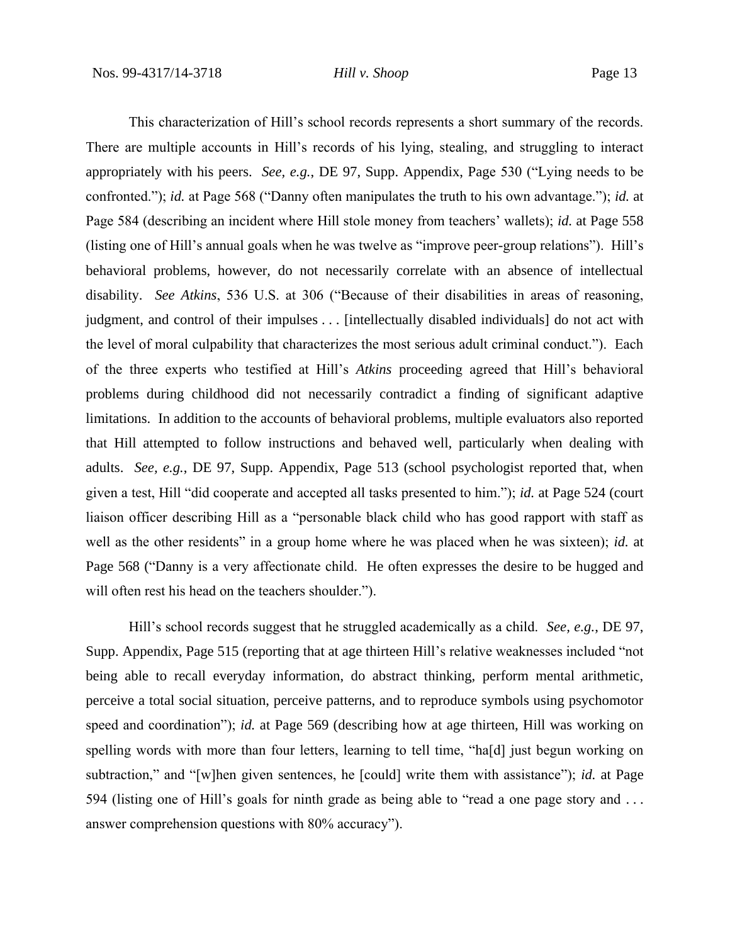This characterization of Hill's school records represents a short summary of the records. There are multiple accounts in Hill's records of his lying, stealing, and struggling to interact appropriately with his peers. *See, e.g.*, DE 97, Supp. Appendix, Page 530 ("Lying needs to be confronted."); *id.* at Page 568 ("Danny often manipulates the truth to his own advantage."); *id.* at Page 584 (describing an incident where Hill stole money from teachers' wallets); *id.* at Page 558 (listing one of Hill's annual goals when he was twelve as "improve peer-group relations"). Hill's behavioral problems, however, do not necessarily correlate with an absence of intellectual disability. *See Atkins*, 536 U.S. at 306 ("Because of their disabilities in areas of reasoning, judgment, and control of their impulses . . . [intellectually disabled individuals] do not act with the level of moral culpability that characterizes the most serious adult criminal conduct."). Each of the three experts who testified at Hill's *Atkins* proceeding agreed that Hill's behavioral problems during childhood did not necessarily contradict a finding of significant adaptive limitations. In addition to the accounts of behavioral problems, multiple evaluators also reported that Hill attempted to follow instructions and behaved well, particularly when dealing with adults. *See, e.g.*, DE 97, Supp. Appendix, Page 513 (school psychologist reported that, when given a test, Hill "did cooperate and accepted all tasks presented to him."); *id.* at Page 524 (court liaison officer describing Hill as a "personable black child who has good rapport with staff as well as the other residents" in a group home where he was placed when he was sixteen); *id.* at Page 568 ("Danny is a very affectionate child. He often expresses the desire to be hugged and will often rest his head on the teachers shoulder.").

Hill's school records suggest that he struggled academically as a child. *See, e.g.*, DE 97, Supp. Appendix, Page 515 (reporting that at age thirteen Hill's relative weaknesses included "not being able to recall everyday information, do abstract thinking, perform mental arithmetic, perceive a total social situation, perceive patterns, and to reproduce symbols using psychomotor speed and coordination"); *id.* at Page 569 (describing how at age thirteen, Hill was working on spelling words with more than four letters, learning to tell time, "hald just begun working on subtraction," and "[w]hen given sentences, he [could] write them with assistance"); *id.* at Page 594 (listing one of Hill's goals for ninth grade as being able to "read a one page story and . . . answer comprehension questions with 80% accuracy").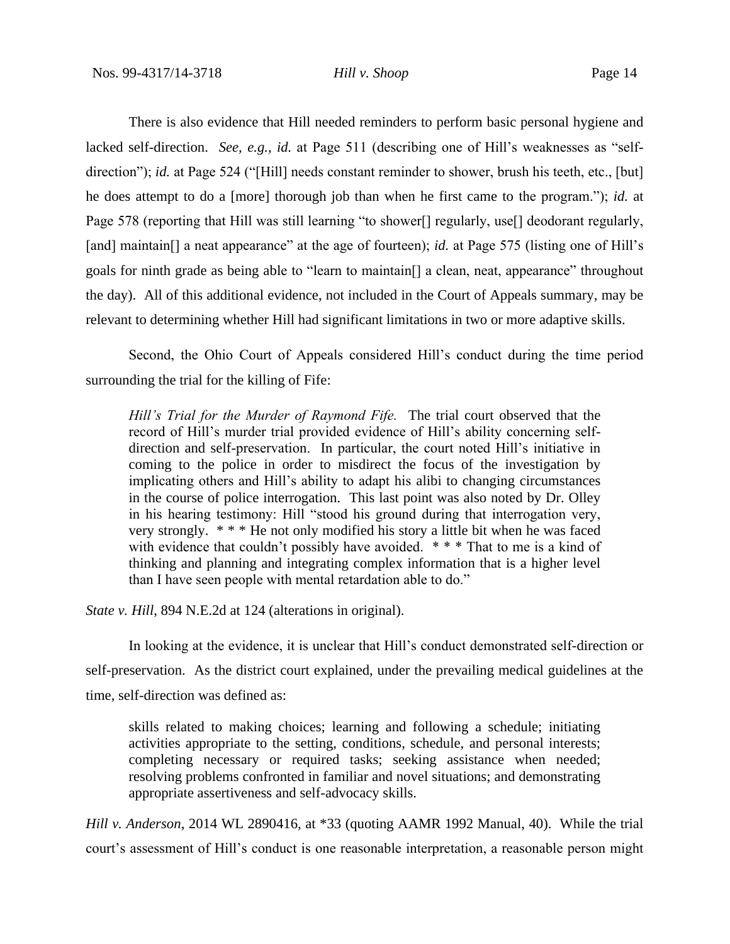There is also evidence that Hill needed reminders to perform basic personal hygiene and lacked self-direction. *See, e.g.*, *id.* at Page 511 (describing one of Hill's weaknesses as "selfdirection"); *id.* at Page 524 ("[Hill] needs constant reminder to shower, brush his teeth, etc., [but] he does attempt to do a [more] thorough job than when he first came to the program."); *id.* at Page 578 (reporting that Hill was still learning "to shower<sup>[]</sup> regularly, use<sup>[]</sup> deodorant regularly, [and] maintain<sup>[]</sup> a neat appearance" at the age of fourteen); *id.* at Page 575 (listing one of Hill's goals for ninth grade as being able to "learn to maintain[] a clean, neat, appearance" throughout the day). All of this additional evidence, not included in the Court of Appeals summary, may be relevant to determining whether Hill had significant limitations in two or more adaptive skills.

Second, the Ohio Court of Appeals considered Hill's conduct during the time period surrounding the trial for the killing of Fife:

*Hill's Trial for the Murder of Raymond Fife.* The trial court observed that the record of Hill's murder trial provided evidence of Hill's ability concerning selfdirection and self-preservation. In particular, the court noted Hill's initiative in coming to the police in order to misdirect the focus of the investigation by implicating others and Hill's ability to adapt his alibi to changing circumstances in the course of police interrogation. This last point was also noted by Dr. Olley in his hearing testimony: Hill "stood his ground during that interrogation very, very strongly. \* \* \* He not only modified his story a little bit when he was faced with evidence that couldn't possibly have avoided. \*\*\* That to me is a kind of thinking and planning and integrating complex information that is a higher level than I have seen people with mental retardation able to do."

*State v. Hill*, 894 N.E.2d at 124 (alterations in original).

In looking at the evidence, it is unclear that Hill's conduct demonstrated self-direction or self-preservation. As the district court explained, under the prevailing medical guidelines at the time, self-direction was defined as:

skills related to making choices; learning and following a schedule; initiating activities appropriate to the setting, conditions, schedule, and personal interests; completing necessary or required tasks; seeking assistance when needed; resolving problems confronted in familiar and novel situations; and demonstrating appropriate assertiveness and self-advocacy skills.

*Hill v. Anderson*, 2014 WL 2890416, at \*33 (quoting AAMR 1992 Manual, 40). While the trial court's assessment of Hill's conduct is one reasonable interpretation, a reasonable person might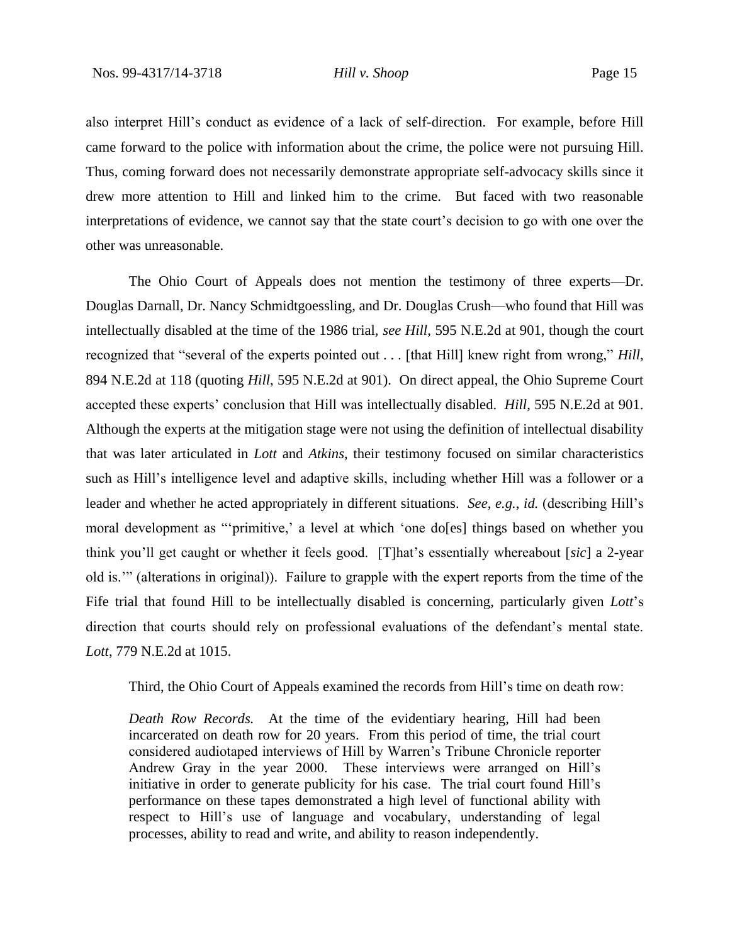also interpret Hill's conduct as evidence of a lack of self-direction. For example, before Hill came forward to the police with information about the crime, the police were not pursuing Hill. Thus, coming forward does not necessarily demonstrate appropriate self-advocacy skills since it drew more attention to Hill and linked him to the crime. But faced with two reasonable interpretations of evidence, we cannot say that the state court's decision to go with one over the other was unreasonable.

The Ohio Court of Appeals does not mention the testimony of three experts—Dr. Douglas Darnall, Dr. Nancy Schmidtgoessling, and Dr. Douglas Crush—who found that Hill was intellectually disabled at the time of the 1986 trial, *see Hill*, 595 N.E.2d at 901, though the court recognized that "several of the experts pointed out . . . [that Hill] knew right from wrong," *Hill*, 894 N.E.2d at 118 (quoting *Hill*, 595 N.E.2d at 901). On direct appeal, the Ohio Supreme Court accepted these experts' conclusion that Hill was intellectually disabled. *Hill*, 595 N.E.2d at 901. Although the experts at the mitigation stage were not using the definition of intellectual disability that was later articulated in *Lott* and *Atkins*, their testimony focused on similar characteristics such as Hill's intelligence level and adaptive skills, including whether Hill was a follower or a leader and whether he acted appropriately in different situations. *See, e.g.*, *id.* (describing Hill's moral development as "'primitive,' a level at which 'one do[es] things based on whether you think you'll get caught or whether it feels good. [T]hat's essentially whereabout [*sic*] a 2-year old is.'" (alterations in original)). Failure to grapple with the expert reports from the time of the Fife trial that found Hill to be intellectually disabled is concerning, particularly given *Lott*'s direction that courts should rely on professional evaluations of the defendant's mental state. *Lott*, 779 N.E.2d at 1015.

Third, the Ohio Court of Appeals examined the records from Hill's time on death row:

*Death Row Records.* At the time of the evidentiary hearing, Hill had been incarcerated on death row for 20 years. From this period of time, the trial court considered audiotaped interviews of Hill by Warren's Tribune Chronicle reporter Andrew Gray in the year 2000. These interviews were arranged on Hill's initiative in order to generate publicity for his case. The trial court found Hill's performance on these tapes demonstrated a high level of functional ability with respect to Hill's use of language and vocabulary, understanding of legal processes, ability to read and write, and ability to reason independently.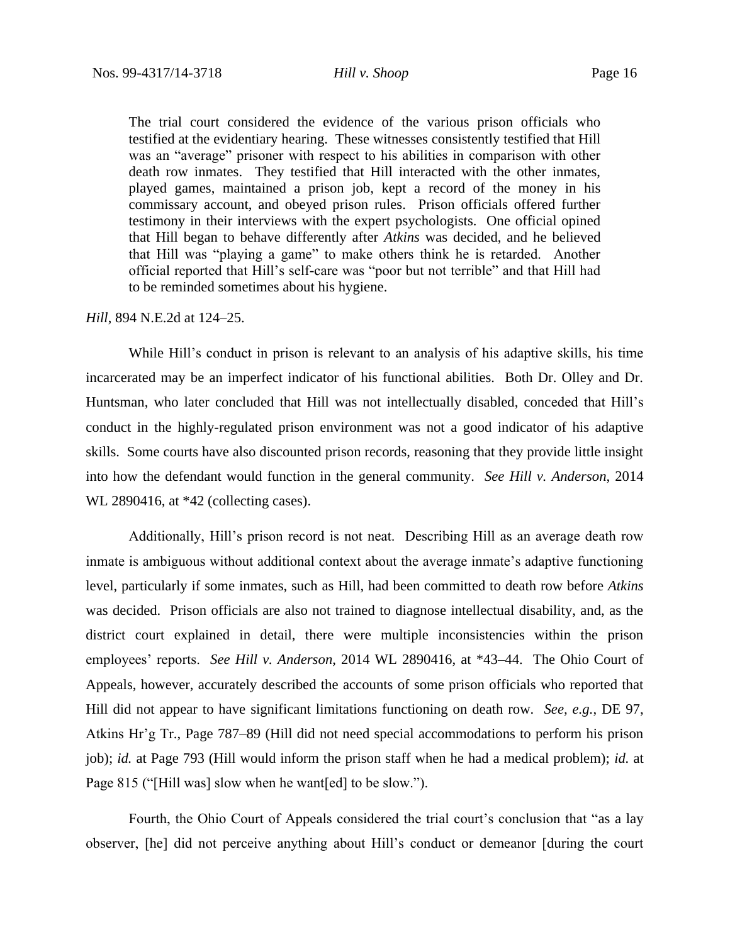The trial court considered the evidence of the various prison officials who testified at the evidentiary hearing. These witnesses consistently testified that Hill was an "average" prisoner with respect to his abilities in comparison with other death row inmates. They testified that Hill interacted with the other inmates, played games, maintained a prison job, kept a record of the money in his commissary account, and obeyed prison rules. Prison officials offered further testimony in their interviews with the expert psychologists. One official opined that Hill began to behave differently after *Atkins* was decided, and he believed that Hill was "playing a game" to make others think he is retarded. Another official reported that Hill's self-care was "poor but not terrible" and that Hill had to be reminded sometimes about his hygiene.

## *Hill*, 894 N.E.2d at 124–25.

While Hill's conduct in prison is relevant to an analysis of his adaptive skills, his time incarcerated may be an imperfect indicator of his functional abilities. Both Dr. Olley and Dr. Huntsman, who later concluded that Hill was not intellectually disabled, conceded that Hill's conduct in the highly-regulated prison environment was not a good indicator of his adaptive skills. Some courts have also discounted prison records, reasoning that they provide little insight into how the defendant would function in the general community. *See Hill v. Anderson*, 2014 WL 2890416, at \*42 (collecting cases).

Additionally, Hill's prison record is not neat. Describing Hill as an average death row inmate is ambiguous without additional context about the average inmate's adaptive functioning level, particularly if some inmates, such as Hill, had been committed to death row before *Atkins* was decided. Prison officials are also not trained to diagnose intellectual disability, and, as the district court explained in detail, there were multiple inconsistencies within the prison employees' reports. *See Hill v. Anderson*, 2014 WL 2890416, at \*43–44. The Ohio Court of Appeals, however, accurately described the accounts of some prison officials who reported that Hill did not appear to have significant limitations functioning on death row. *See, e.g.*, DE 97, Atkins Hr'g Tr., Page 787–89 (Hill did not need special accommodations to perform his prison job); *id.* at Page 793 (Hill would inform the prison staff when he had a medical problem); *id.* at Page 815 ("[Hill was] slow when he want[ed] to be slow.").

Fourth, the Ohio Court of Appeals considered the trial court's conclusion that "as a lay observer, [he] did not perceive anything about Hill's conduct or demeanor [during the court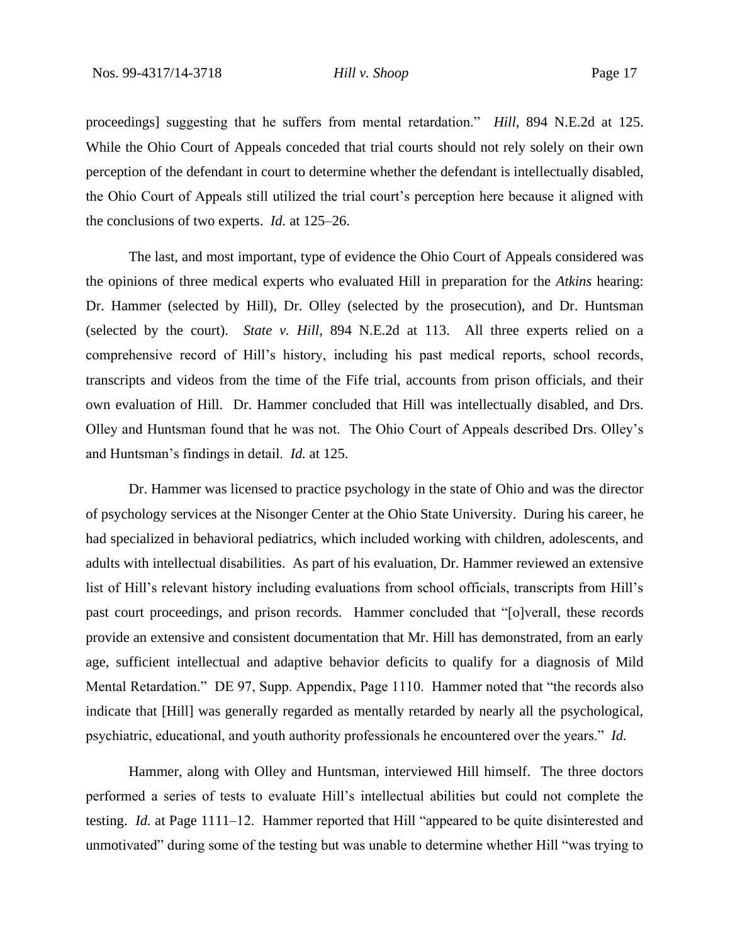proceedings] suggesting that he suffers from mental retardation." *Hill*, 894 N.E.2d at 125. While the Ohio Court of Appeals conceded that trial courts should not rely solely on their own perception of the defendant in court to determine whether the defendant is intellectually disabled, the Ohio Court of Appeals still utilized the trial court's perception here because it aligned with the conclusions of two experts. *Id.* at 125–26.

The last, and most important, type of evidence the Ohio Court of Appeals considered was the opinions of three medical experts who evaluated Hill in preparation for the *Atkins* hearing: Dr. Hammer (selected by Hill), Dr. Olley (selected by the prosecution), and Dr. Huntsman (selected by the court). *State v. Hill*, 894 N.E.2d at 113. All three experts relied on a comprehensive record of Hill's history, including his past medical reports, school records, transcripts and videos from the time of the Fife trial, accounts from prison officials, and their own evaluation of Hill. Dr. Hammer concluded that Hill was intellectually disabled, and Drs. Olley and Huntsman found that he was not. The Ohio Court of Appeals described Drs. Olley's and Huntsman's findings in detail. *Id.* at 125.

Dr. Hammer was licensed to practice psychology in the state of Ohio and was the director of psychology services at the Nisonger Center at the Ohio State University. During his career, he had specialized in behavioral pediatrics, which included working with children, adolescents, and adults with intellectual disabilities. As part of his evaluation, Dr. Hammer reviewed an extensive list of Hill's relevant history including evaluations from school officials, transcripts from Hill's past court proceedings, and prison records. Hammer concluded that "[o]verall, these records provide an extensive and consistent documentation that Mr. Hill has demonstrated, from an early age, sufficient intellectual and adaptive behavior deficits to qualify for a diagnosis of Mild Mental Retardation." DE 97, Supp. Appendix, Page 1110. Hammer noted that "the records also indicate that [Hill] was generally regarded as mentally retarded by nearly all the psychological, psychiatric, educational, and youth authority professionals he encountered over the years." *Id.*

Hammer, along with Olley and Huntsman, interviewed Hill himself. The three doctors performed a series of tests to evaluate Hill's intellectual abilities but could not complete the testing. *Id.* at Page 1111–12. Hammer reported that Hill "appeared to be quite disinterested and unmotivated" during some of the testing but was unable to determine whether Hill "was trying to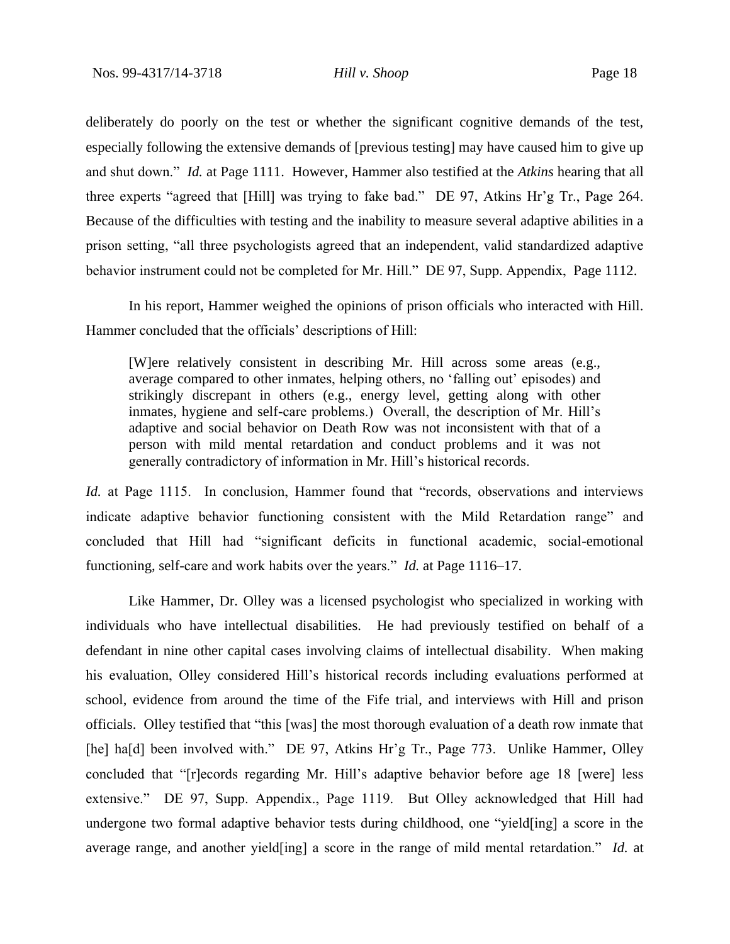deliberately do poorly on the test or whether the significant cognitive demands of the test, especially following the extensive demands of [previous testing] may have caused him to give up and shut down." *Id.* at Page 1111. However, Hammer also testified at the *Atkins* hearing that all three experts "agreed that [Hill] was trying to fake bad." DE 97, Atkins Hr'g Tr., Page 264. Because of the difficulties with testing and the inability to measure several adaptive abilities in a prison setting, "all three psychologists agreed that an independent, valid standardized adaptive behavior instrument could not be completed for Mr. Hill." DE 97, Supp. Appendix, Page 1112.

In his report, Hammer weighed the opinions of prison officials who interacted with Hill. Hammer concluded that the officials' descriptions of Hill:

[W]ere relatively consistent in describing Mr. Hill across some areas (e.g., average compared to other inmates, helping others, no 'falling out' episodes) and strikingly discrepant in others (e.g., energy level, getting along with other inmates, hygiene and self-care problems.) Overall, the description of Mr. Hill's adaptive and social behavior on Death Row was not inconsistent with that of a person with mild mental retardation and conduct problems and it was not generally contradictory of information in Mr. Hill's historical records.

*Id.* at Page 1115. In conclusion, Hammer found that "records, observations and interviews indicate adaptive behavior functioning consistent with the Mild Retardation range" and concluded that Hill had "significant deficits in functional academic, social-emotional functioning, self-care and work habits over the years." *Id.* at Page 1116–17.

Like Hammer, Dr. Olley was a licensed psychologist who specialized in working with individuals who have intellectual disabilities. He had previously testified on behalf of a defendant in nine other capital cases involving claims of intellectual disability. When making his evaluation, Olley considered Hill's historical records including evaluations performed at school, evidence from around the time of the Fife trial, and interviews with Hill and prison officials. Olley testified that "this [was] the most thorough evaluation of a death row inmate that [he] ha[d] been involved with." DE 97, Atkins Hr'g Tr., Page 773. Unlike Hammer, Olley concluded that "[r]ecords regarding Mr. Hill's adaptive behavior before age 18 [were] less extensive." DE 97, Supp. Appendix., Page 1119. But Olley acknowledged that Hill had undergone two formal adaptive behavior tests during childhood, one "yield[ing] a score in the average range, and another yield[ing] a score in the range of mild mental retardation." *Id.* at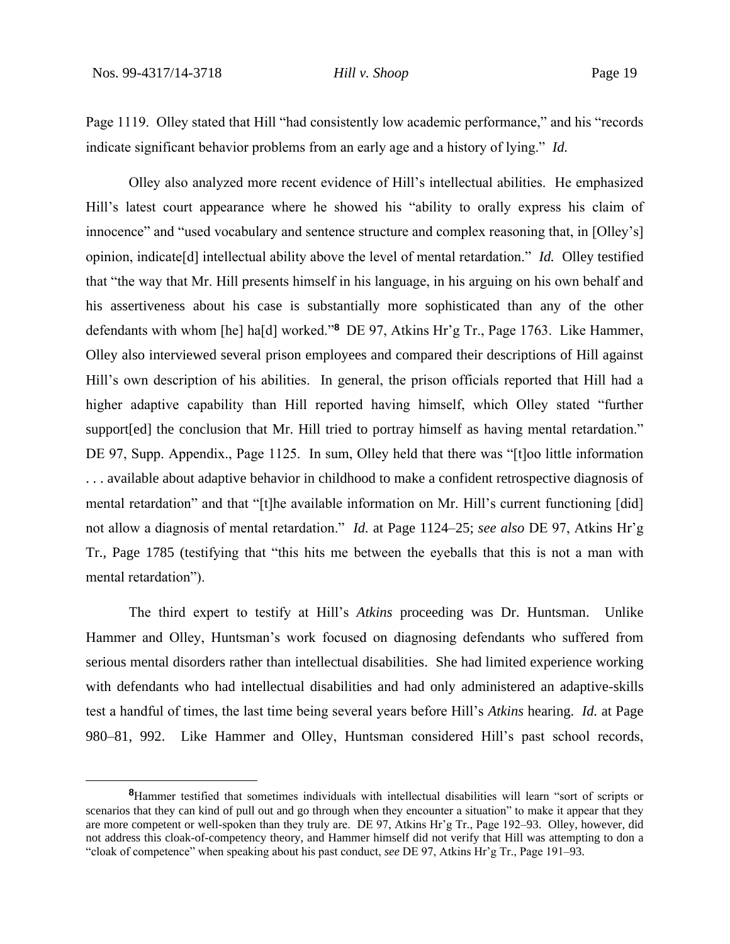Page 1119. Olley stated that Hill "had consistently low academic performance," and his "records indicate significant behavior problems from an early age and a history of lying." *Id.*

Olley also analyzed more recent evidence of Hill's intellectual abilities. He emphasized Hill's latest court appearance where he showed his "ability to orally express his claim of innocence" and "used vocabulary and sentence structure and complex reasoning that, in [Olley's] opinion, indicate[d] intellectual ability above the level of mental retardation." *Id.* Olley testified that "the way that Mr. Hill presents himself in his language, in his arguing on his own behalf and his assertiveness about his case is substantially more sophisticated than any of the other defendants with whom [he] ha[d] worked."**<sup>8</sup>** DE 97, Atkins Hr'g Tr., Page 1763. Like Hammer, Olley also interviewed several prison employees and compared their descriptions of Hill against Hill's own description of his abilities. In general, the prison officials reported that Hill had a higher adaptive capability than Hill reported having himself, which Olley stated "further support[ed] the conclusion that Mr. Hill tried to portray himself as having mental retardation." DE 97, Supp. Appendix., Page 1125. In sum, Olley held that there was "[t]oo little information . . . available about adaptive behavior in childhood to make a confident retrospective diagnosis of mental retardation" and that "[t]he available information on Mr. Hill's current functioning [did] not allow a diagnosis of mental retardation." *Id.* at Page 1124–25; *see also* DE 97, Atkins Hr'g Tr., Page 1785 (testifying that "this hits me between the eyeballs that this is not a man with mental retardation").

The third expert to testify at Hill's *Atkins* proceeding was Dr. Huntsman. Unlike Hammer and Olley, Huntsman's work focused on diagnosing defendants who suffered from serious mental disorders rather than intellectual disabilities. She had limited experience working with defendants who had intellectual disabilities and had only administered an adaptive-skills test a handful of times, the last time being several years before Hill's *Atkins* hearing. *Id.* at Page 980–81, 992. Like Hammer and Olley, Huntsman considered Hill's past school records,

**<sup>8</sup>**Hammer testified that sometimes individuals with intellectual disabilities will learn "sort of scripts or scenarios that they can kind of pull out and go through when they encounter a situation" to make it appear that they are more competent or well-spoken than they truly are. DE 97, Atkins Hr'g Tr., Page 192–93. Olley, however, did not address this cloak-of-competency theory, and Hammer himself did not verify that Hill was attempting to don a "cloak of competence" when speaking about his past conduct, *see* DE 97, Atkins Hr'g Tr., Page 191–93.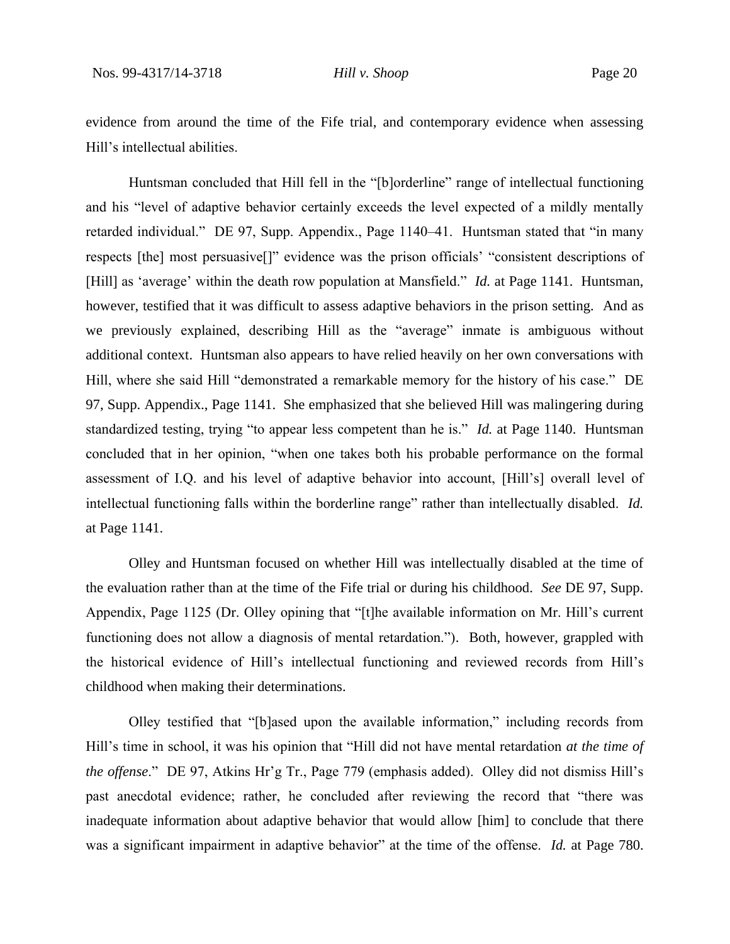evidence from around the time of the Fife trial, and contemporary evidence when assessing Hill's intellectual abilities.

Huntsman concluded that Hill fell in the "[b]orderline" range of intellectual functioning and his "level of adaptive behavior certainly exceeds the level expected of a mildly mentally retarded individual." DE 97, Supp. Appendix., Page 1140–41. Huntsman stated that "in many respects [the] most persuasive[]" evidence was the prison officials' "consistent descriptions of [Hill] as 'average' within the death row population at Mansfield." *Id.* at Page 1141. Huntsman, however, testified that it was difficult to assess adaptive behaviors in the prison setting. And as we previously explained, describing Hill as the "average" inmate is ambiguous without additional context. Huntsman also appears to have relied heavily on her own conversations with Hill, where she said Hill "demonstrated a remarkable memory for the history of his case." DE 97, Supp. Appendix., Page 1141. She emphasized that she believed Hill was malingering during standardized testing, trying "to appear less competent than he is." *Id.* at Page 1140. Huntsman concluded that in her opinion, "when one takes both his probable performance on the formal assessment of I.Q. and his level of adaptive behavior into account, [Hill's] overall level of intellectual functioning falls within the borderline range" rather than intellectually disabled. *Id.* at Page 1141.

Olley and Huntsman focused on whether Hill was intellectually disabled at the time of the evaluation rather than at the time of the Fife trial or during his childhood. *See* DE 97, Supp. Appendix, Page 1125 (Dr. Olley opining that "[t]he available information on Mr. Hill's current functioning does not allow a diagnosis of mental retardation."). Both, however, grappled with the historical evidence of Hill's intellectual functioning and reviewed records from Hill's childhood when making their determinations.

Olley testified that "[b]ased upon the available information," including records from Hill's time in school, it was his opinion that "Hill did not have mental retardation *at the time of the offense*." DE 97, Atkins Hr'g Tr., Page 779 (emphasis added). Olley did not dismiss Hill's past anecdotal evidence; rather, he concluded after reviewing the record that "there was inadequate information about adaptive behavior that would allow [him] to conclude that there was a significant impairment in adaptive behavior" at the time of the offense. *Id.* at Page 780.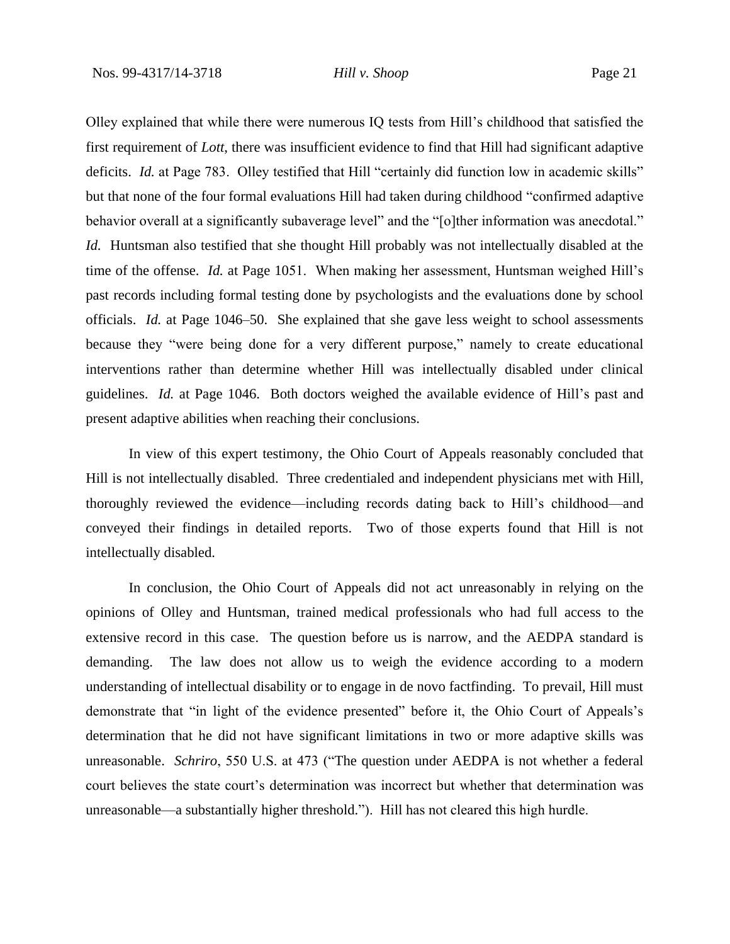Olley explained that while there were numerous IQ tests from Hill's childhood that satisfied the first requirement of *Lott*, there was insufficient evidence to find that Hill had significant adaptive deficits. *Id.* at Page 783. Olley testified that Hill "certainly did function low in academic skills" but that none of the four formal evaluations Hill had taken during childhood "confirmed adaptive behavior overall at a significantly subaverage level" and the "[o]ther information was anecdotal." *Id.* Huntsman also testified that she thought Hill probably was not intellectually disabled at the time of the offense. *Id.* at Page 1051. When making her assessment, Huntsman weighed Hill's past records including formal testing done by psychologists and the evaluations done by school officials. *Id.* at Page 1046–50. She explained that she gave less weight to school assessments because they "were being done for a very different purpose," namely to create educational interventions rather than determine whether Hill was intellectually disabled under clinical guidelines. *Id.* at Page 1046. Both doctors weighed the available evidence of Hill's past and present adaptive abilities when reaching their conclusions.

In view of this expert testimony, the Ohio Court of Appeals reasonably concluded that Hill is not intellectually disabled. Three credentialed and independent physicians met with Hill, thoroughly reviewed the evidence—including records dating back to Hill's childhood—and conveyed their findings in detailed reports. Two of those experts found that Hill is not intellectually disabled.

In conclusion, the Ohio Court of Appeals did not act unreasonably in relying on the opinions of Olley and Huntsman, trained medical professionals who had full access to the extensive record in this case. The question before us is narrow, and the AEDPA standard is demanding. The law does not allow us to weigh the evidence according to a modern understanding of intellectual disability or to engage in de novo factfinding. To prevail, Hill must demonstrate that "in light of the evidence presented" before it, the Ohio Court of Appeals's determination that he did not have significant limitations in two or more adaptive skills was unreasonable. *Schriro*, 550 U.S. at 473 ("The question under AEDPA is not whether a federal court believes the state court's determination was incorrect but whether that determination was unreasonable—a substantially higher threshold."). Hill has not cleared this high hurdle.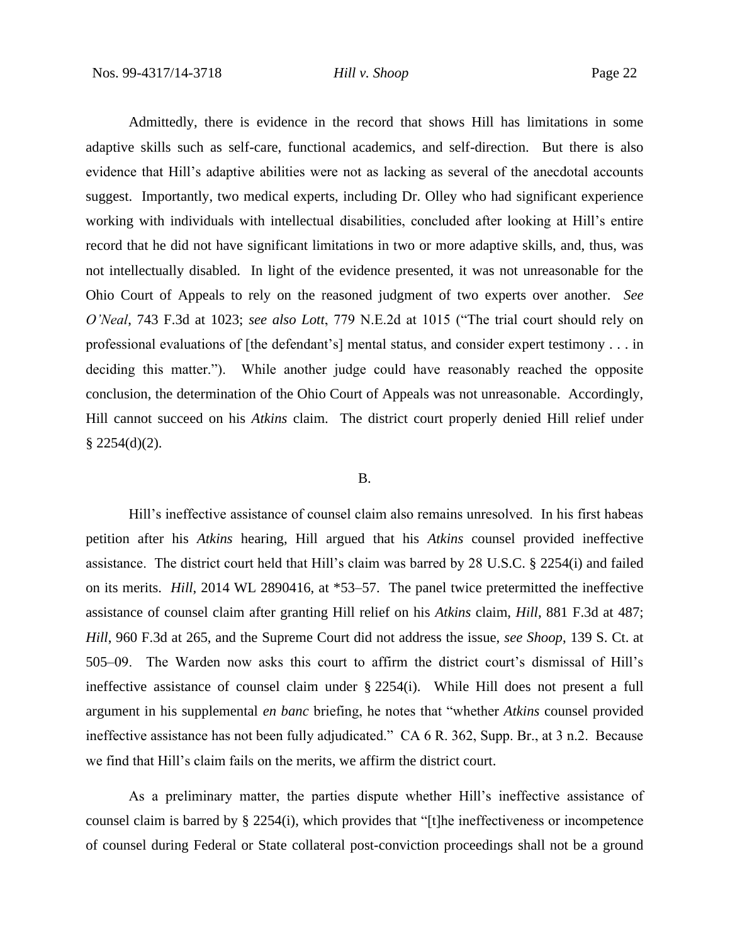Admittedly, there is evidence in the record that shows Hill has limitations in some adaptive skills such as self-care, functional academics, and self-direction. But there is also evidence that Hill's adaptive abilities were not as lacking as several of the anecdotal accounts suggest. Importantly, two medical experts, including Dr. Olley who had significant experience working with individuals with intellectual disabilities, concluded after looking at Hill's entire record that he did not have significant limitations in two or more adaptive skills, and, thus, was not intellectually disabled. In light of the evidence presented, it was not unreasonable for the Ohio Court of Appeals to rely on the reasoned judgment of two experts over another. *See O'Neal*, 743 F.3d at 1023; *see also Lott*, 779 N.E.2d at 1015 ("The trial court should rely on professional evaluations of [the defendant's] mental status, and consider expert testimony . . . in deciding this matter."). While another judge could have reasonably reached the opposite conclusion, the determination of the Ohio Court of Appeals was not unreasonable. Accordingly, Hill cannot succeed on his *Atkins* claim. The district court properly denied Hill relief under  $§$  2254(d)(2).

#### B.

Hill's ineffective assistance of counsel claim also remains unresolved. In his first habeas petition after his *Atkins* hearing, Hill argued that his *Atkins* counsel provided ineffective assistance. The district court held that Hill's claim was barred by 28 U.S.C. § 2254(i) and failed on its merits. *Hill*, 2014 WL 2890416, at \*53–57. The panel twice pretermitted the ineffective assistance of counsel claim after granting Hill relief on his *Atkins* claim, *Hill*, 881 F.3d at 487; *Hill*, 960 F.3d at 265, and the Supreme Court did not address the issue, *see Shoop*, 139 S. Ct. at 505–09. The Warden now asks this court to affirm the district court's dismissal of Hill's ineffective assistance of counsel claim under § 2254(i). While Hill does not present a full argument in his supplemental *en banc* briefing, he notes that "whether *Atkins* counsel provided ineffective assistance has not been fully adjudicated." CA 6 R. 362, Supp. Br., at 3 n.2. Because we find that Hill's claim fails on the merits, we affirm the district court.

As a preliminary matter, the parties dispute whether Hill's ineffective assistance of counsel claim is barred by  $\S$  2254(i), which provides that "[t]he ineffectiveness or incompetence of counsel during Federal or State collateral post-conviction proceedings shall not be a ground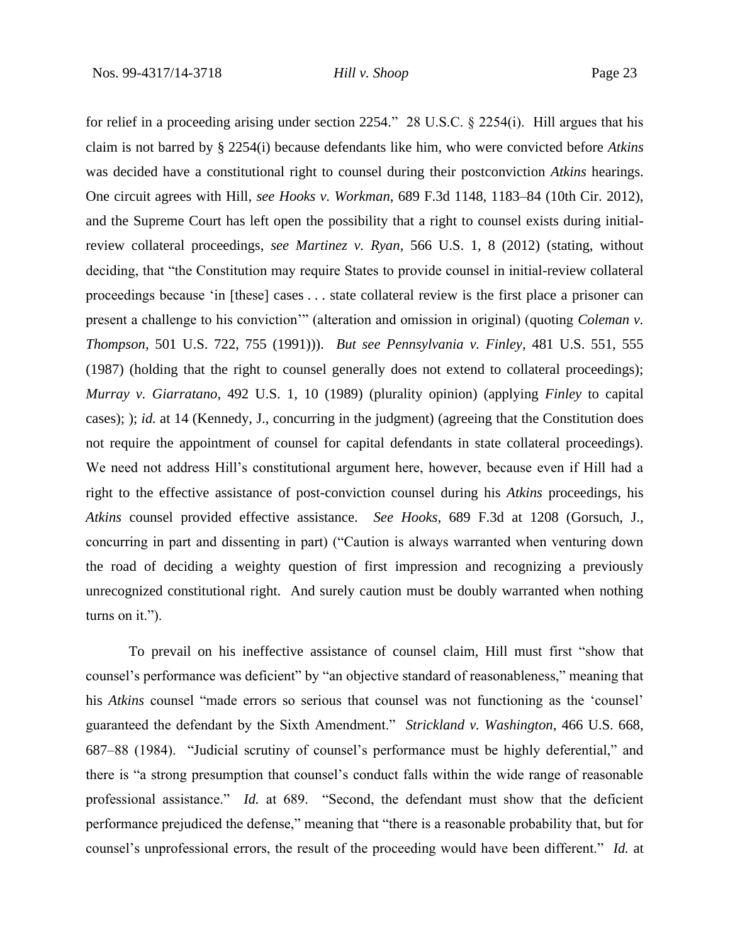for relief in a proceeding arising under section 2254." 28 U.S.C. § 2254(i). Hill argues that his claim is not barred by § 2254(i) because defendants like him, who were convicted before *Atkins* was decided have a constitutional right to counsel during their postconviction *Atkins* hearings. One circuit agrees with Hill, *see Hooks v. Workman*, 689 F.3d 1148, 1183–84 (10th Cir. 2012), and the Supreme Court has left open the possibility that a right to counsel exists during initialreview collateral proceedings, *see Martinez v. Ryan*, 566 U.S. 1, 8 (2012) (stating, without deciding, that "the Constitution may require States to provide counsel in initial-review collateral proceedings because 'in [these] cases . . . state collateral review is the first place a prisoner can present a challenge to his conviction'" (alteration and omission in original) (quoting *Coleman v. Thompson*, 501 U.S. 722, 755 (1991))). *But see Pennsylvania v. Finley*, 481 U.S. 551, 555 (1987) (holding that the right to counsel generally does not extend to collateral proceedings); *Murray v. Giarratano*, 492 U.S. 1, 10 (1989) (plurality opinion) (applying *Finley* to capital cases); ); *id.* at 14 (Kennedy, J., concurring in the judgment) (agreeing that the Constitution does not require the appointment of counsel for capital defendants in state collateral proceedings). We need not address Hill's constitutional argument here, however, because even if Hill had a right to the effective assistance of post-conviction counsel during his *Atkins* proceedings, his *Atkins* counsel provided effective assistance. *See Hooks*, 689 F.3d at 1208 (Gorsuch, J., concurring in part and dissenting in part) ("Caution is always warranted when venturing down the road of deciding a weighty question of first impression and recognizing a previously unrecognized constitutional right. And surely caution must be doubly warranted when nothing turns on it.").

To prevail on his ineffective assistance of counsel claim, Hill must first "show that counsel's performance was deficient" by "an objective standard of reasonableness," meaning that his *Atkins* counsel "made errors so serious that counsel was not functioning as the 'counsel' guaranteed the defendant by the Sixth Amendment." *Strickland v. Washington*, 466 U.S. 668, 687–88 (1984). "Judicial scrutiny of counsel's performance must be highly deferential," and there is "a strong presumption that counsel's conduct falls within the wide range of reasonable professional assistance." *Id.* at 689. "Second, the defendant must show that the deficient performance prejudiced the defense," meaning that "there is a reasonable probability that, but for counsel's unprofessional errors, the result of the proceeding would have been different." *Id.* at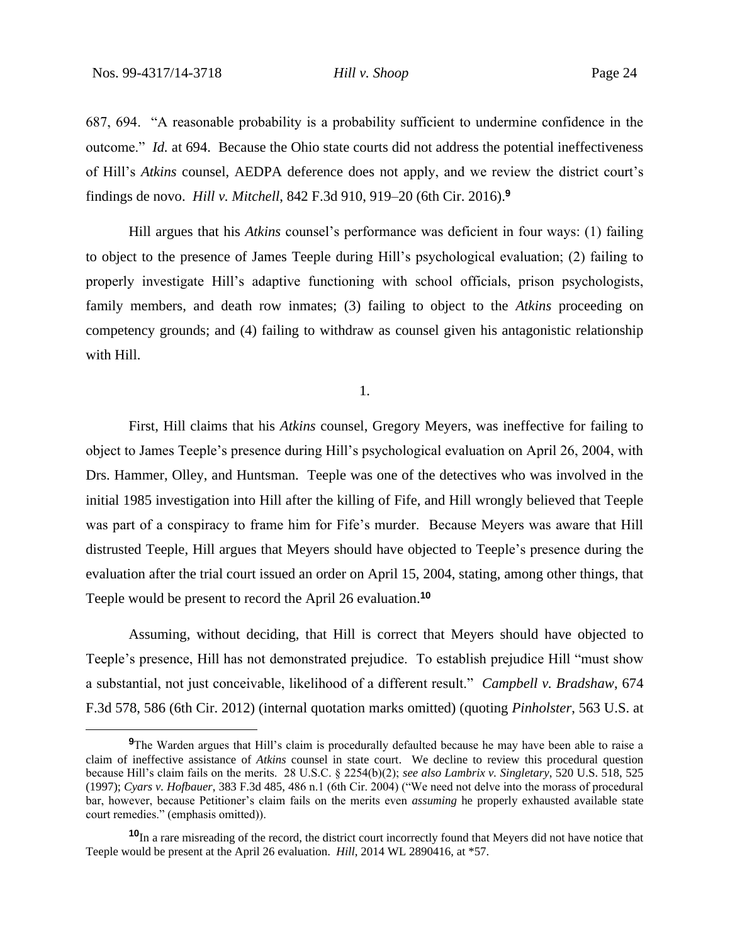687, 694. "A reasonable probability is a probability sufficient to undermine confidence in the outcome." *Id.* at 694. Because the Ohio state courts did not address the potential ineffectiveness of Hill's *Atkins* counsel, AEDPA deference does not apply, and we review the district court's findings de novo. *Hill v. Mitchell*, 842 F.3d 910, 919–20 (6th Cir. 2016).**<sup>9</sup>**

Hill argues that his *Atkins* counsel's performance was deficient in four ways: (1) failing to object to the presence of James Teeple during Hill's psychological evaluation; (2) failing to properly investigate Hill's adaptive functioning with school officials, prison psychologists, family members, and death row inmates; (3) failing to object to the *Atkins* proceeding on competency grounds; and (4) failing to withdraw as counsel given his antagonistic relationship with Hill.

1.

First, Hill claims that his *Atkins* counsel, Gregory Meyers, was ineffective for failing to object to James Teeple's presence during Hill's psychological evaluation on April 26, 2004, with Drs. Hammer, Olley, and Huntsman. Teeple was one of the detectives who was involved in the initial 1985 investigation into Hill after the killing of Fife, and Hill wrongly believed that Teeple was part of a conspiracy to frame him for Fife's murder. Because Meyers was aware that Hill distrusted Teeple, Hill argues that Meyers should have objected to Teeple's presence during the evaluation after the trial court issued an order on April 15, 2004, stating, among other things, that Teeple would be present to record the April 26 evaluation.**<sup>10</sup>**

Assuming, without deciding, that Hill is correct that Meyers should have objected to Teeple's presence, Hill has not demonstrated prejudice. To establish prejudice Hill "must show a substantial, not just conceivable, likelihood of a different result." *Campbell v. Bradshaw*, 674 F.3d 578, 586 (6th Cir. 2012) (internal quotation marks omitted) (quoting *Pinholster*, 563 U.S. at

**<sup>9</sup>**The Warden argues that Hill's claim is procedurally defaulted because he may have been able to raise a claim of ineffective assistance of *Atkins* counsel in state court. We decline to review this procedural question because Hill's claim fails on the merits. 28 U.S.C. § 2254(b)(2); *see also Lambrix v. Singletary*, 520 U.S. 518, 525 (1997); *Cyars v. Hofbauer*, 383 F.3d 485, 486 n.1 (6th Cir. 2004) ("We need not delve into the morass of procedural bar, however, because Petitioner's claim fails on the merits even *assuming* he properly exhausted available state court remedies." (emphasis omitted)).

**<sup>10</sup>**In a rare misreading of the record, the district court incorrectly found that Meyers did not have notice that Teeple would be present at the April 26 evaluation. *Hill*, 2014 WL 2890416, at \*57.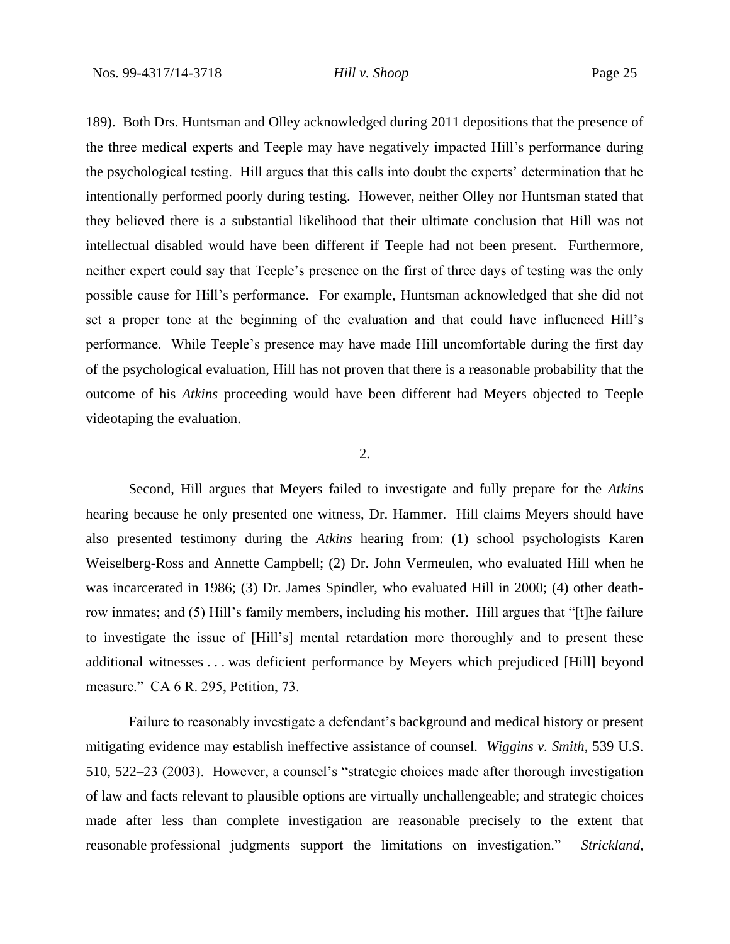189). Both Drs. Huntsman and Olley acknowledged during 2011 depositions that the presence of the three medical experts and Teeple may have negatively impacted Hill's performance during the psychological testing. Hill argues that this calls into doubt the experts' determination that he intentionally performed poorly during testing. However, neither Olley nor Huntsman stated that they believed there is a substantial likelihood that their ultimate conclusion that Hill was not intellectual disabled would have been different if Teeple had not been present. Furthermore, neither expert could say that Teeple's presence on the first of three days of testing was the only possible cause for Hill's performance. For example, Huntsman acknowledged that she did not set a proper tone at the beginning of the evaluation and that could have influenced Hill's performance. While Teeple's presence may have made Hill uncomfortable during the first day of the psychological evaluation, Hill has not proven that there is a reasonable probability that the outcome of his *Atkins* proceeding would have been different had Meyers objected to Teeple videotaping the evaluation.

#### 2.

Second, Hill argues that Meyers failed to investigate and fully prepare for the *Atkins* hearing because he only presented one witness, Dr. Hammer. Hill claims Meyers should have also presented testimony during the *Atkins* hearing from: (1) school psychologists Karen Weiselberg-Ross and Annette Campbell; (2) Dr. John Vermeulen, who evaluated Hill when he was incarcerated in 1986; (3) Dr. James Spindler, who evaluated Hill in 2000; (4) other deathrow inmates; and (5) Hill's family members, including his mother. Hill argues that "[t]he failure to investigate the issue of [Hill's] mental retardation more thoroughly and to present these additional witnesses . . . was deficient performance by Meyers which prejudiced [Hill] beyond measure." CA 6 R. 295, Petition, 73.

Failure to reasonably investigate a defendant's background and medical history or present mitigating evidence may establish ineffective assistance of counsel. *Wiggins v. Smith*, 539 U.S. 510, 522–23 (2003). However, a counsel's "strategic choices made after thorough investigation of law and facts relevant to plausible options are virtually unchallengeable; and strategic choices made after less than complete investigation are reasonable precisely to the extent that reasonable professional judgments support the limitations on investigation." *Strickland*,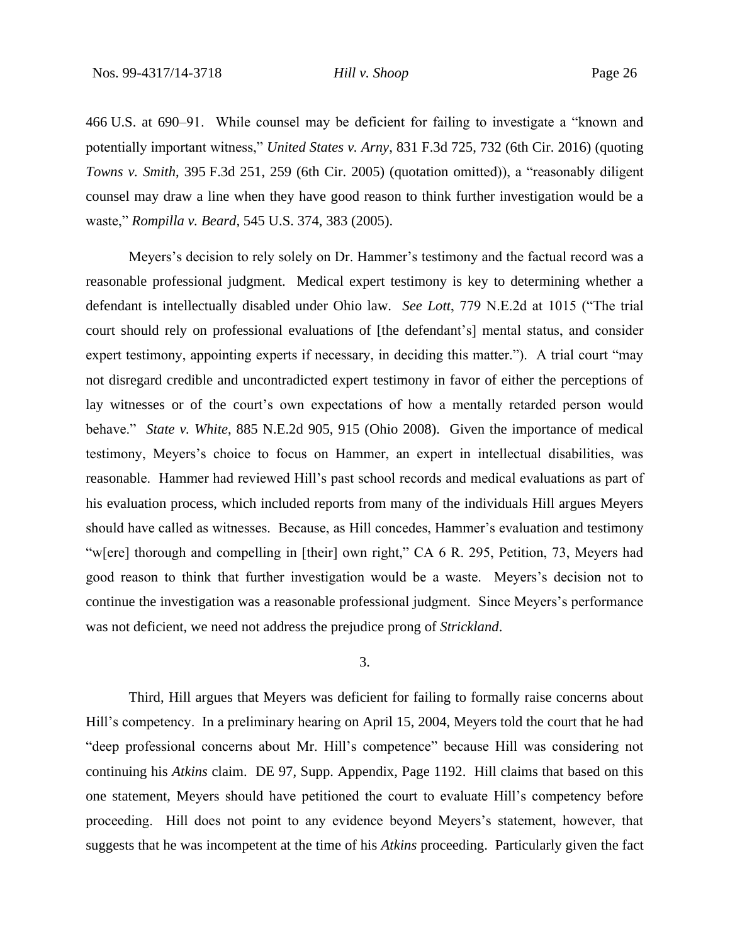466 U.S. at 690–91. While counsel may be deficient for failing to investigate a "known and potentially important witness," *United States v. Arny*, 831 F.3d 725, 732 (6th Cir. 2016) (quoting *Towns v. Smith*, 395 F.3d 251, 259 (6th Cir. 2005) (quotation omitted)), a "reasonably diligent counsel may draw a line when they have good reason to think further investigation would be a waste," *Rompilla v. Beard*, 545 U.S. 374, 383 (2005).

Meyers's decision to rely solely on Dr. Hammer's testimony and the factual record was a reasonable professional judgment. Medical expert testimony is key to determining whether a defendant is intellectually disabled under Ohio law. *See Lott*, 779 N.E.2d at 1015 ("The trial court should rely on professional evaluations of [the defendant's] mental status, and consider expert testimony, appointing experts if necessary, in deciding this matter."). A trial court "may not disregard credible and uncontradicted expert testimony in favor of either the perceptions of lay witnesses or of the court's own expectations of how a mentally retarded person would behave." *State v. White*, 885 N.E.2d 905, 915 (Ohio 2008). Given the importance of medical testimony, Meyers's choice to focus on Hammer, an expert in intellectual disabilities, was reasonable. Hammer had reviewed Hill's past school records and medical evaluations as part of his evaluation process, which included reports from many of the individuals Hill argues Meyers should have called as witnesses. Because, as Hill concedes, Hammer's evaluation and testimony "w[ere] thorough and compelling in [their] own right," CA 6 R. 295, Petition, 73, Meyers had good reason to think that further investigation would be a waste. Meyers's decision not to continue the investigation was a reasonable professional judgment. Since Meyers's performance was not deficient, we need not address the prejudice prong of *Strickland*.

## 3.

Third, Hill argues that Meyers was deficient for failing to formally raise concerns about Hill's competency. In a preliminary hearing on April 15, 2004, Meyers told the court that he had "deep professional concerns about Mr. Hill's competence" because Hill was considering not continuing his *Atkins* claim. DE 97, Supp. Appendix, Page 1192. Hill claims that based on this one statement, Meyers should have petitioned the court to evaluate Hill's competency before proceeding. Hill does not point to any evidence beyond Meyers's statement, however, that suggests that he was incompetent at the time of his *Atkins* proceeding. Particularly given the fact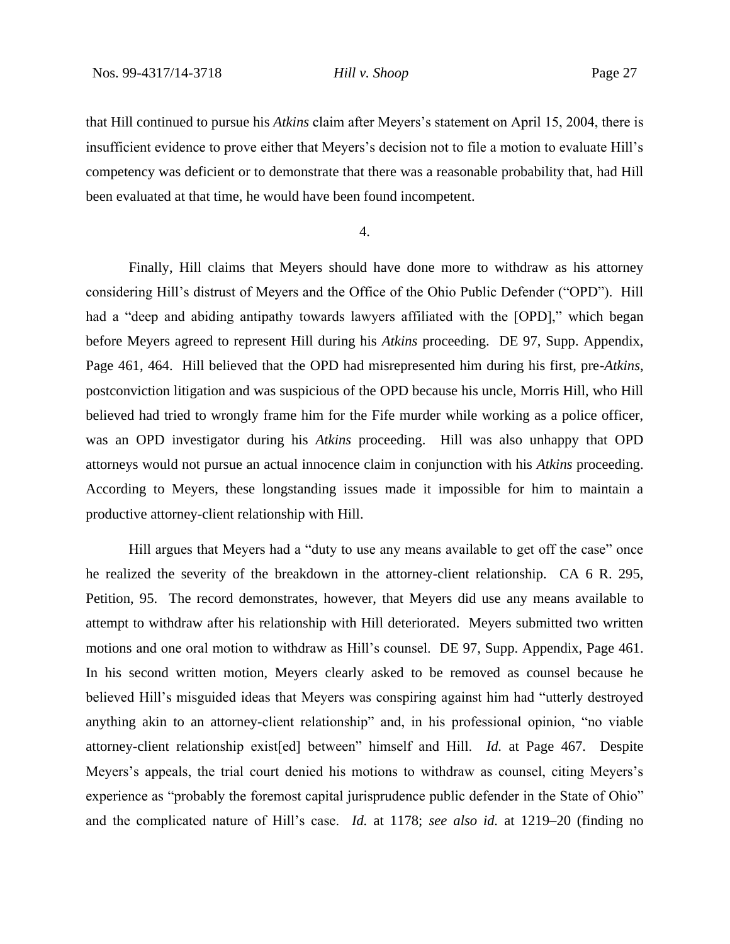that Hill continued to pursue his *Atkins* claim after Meyers's statement on April 15, 2004, there is insufficient evidence to prove either that Meyers's decision not to file a motion to evaluate Hill's competency was deficient or to demonstrate that there was a reasonable probability that, had Hill been evaluated at that time, he would have been found incompetent.

4.

Finally, Hill claims that Meyers should have done more to withdraw as his attorney considering Hill's distrust of Meyers and the Office of the Ohio Public Defender ("OPD"). Hill had a "deep and abiding antipathy towards lawyers affiliated with the [OPD]," which began before Meyers agreed to represent Hill during his *Atkins* proceeding. DE 97, Supp. Appendix, Page 461, 464. Hill believed that the OPD had misrepresented him during his first, pre-*Atkins*, postconviction litigation and was suspicious of the OPD because his uncle, Morris Hill, who Hill believed had tried to wrongly frame him for the Fife murder while working as a police officer, was an OPD investigator during his *Atkins* proceeding. Hill was also unhappy that OPD attorneys would not pursue an actual innocence claim in conjunction with his *Atkins* proceeding. According to Meyers, these longstanding issues made it impossible for him to maintain a productive attorney-client relationship with Hill.

Hill argues that Meyers had a "duty to use any means available to get off the case" once he realized the severity of the breakdown in the attorney-client relationship. CA 6 R. 295, Petition, 95. The record demonstrates, however, that Meyers did use any means available to attempt to withdraw after his relationship with Hill deteriorated. Meyers submitted two written motions and one oral motion to withdraw as Hill's counsel. DE 97, Supp. Appendix, Page 461. In his second written motion, Meyers clearly asked to be removed as counsel because he believed Hill's misguided ideas that Meyers was conspiring against him had "utterly destroyed anything akin to an attorney-client relationship" and, in his professional opinion, "no viable attorney-client relationship exist[ed] between" himself and Hill. *Id.* at Page 467. Despite Meyers's appeals, the trial court denied his motions to withdraw as counsel, citing Meyers's experience as "probably the foremost capital jurisprudence public defender in the State of Ohio" and the complicated nature of Hill's case. *Id.* at 1178; *see also id.* at 1219–20 (finding no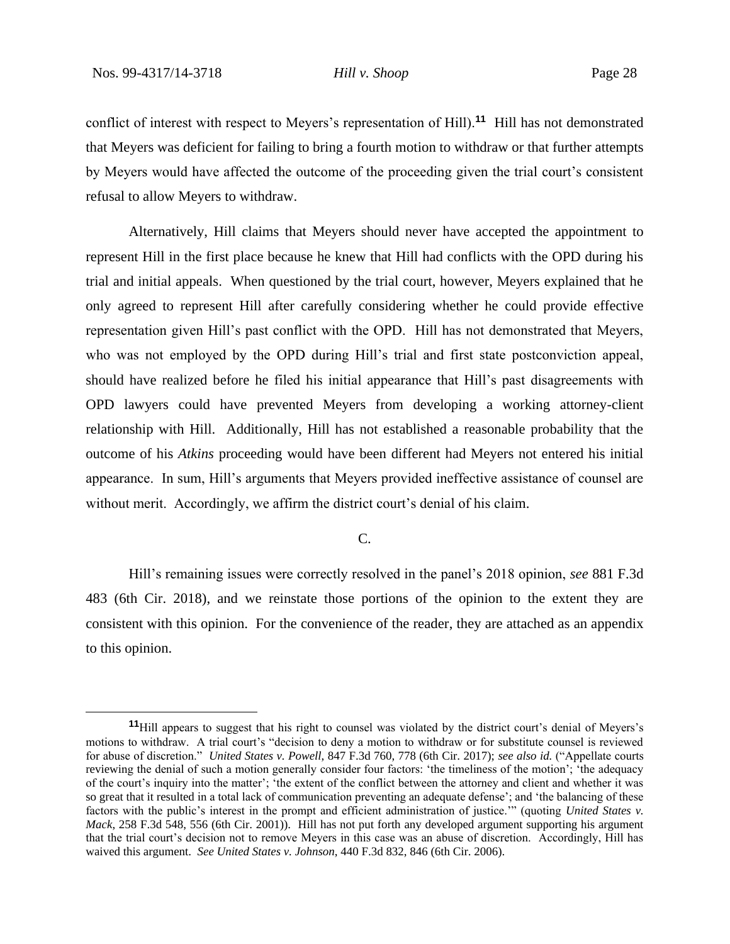conflict of interest with respect to Meyers's representation of Hill).**<sup>11</sup>** Hill has not demonstrated that Meyers was deficient for failing to bring a fourth motion to withdraw or that further attempts by Meyers would have affected the outcome of the proceeding given the trial court's consistent refusal to allow Meyers to withdraw.

Alternatively, Hill claims that Meyers should never have accepted the appointment to represent Hill in the first place because he knew that Hill had conflicts with the OPD during his trial and initial appeals. When questioned by the trial court, however, Meyers explained that he only agreed to represent Hill after carefully considering whether he could provide effective representation given Hill's past conflict with the OPD. Hill has not demonstrated that Meyers, who was not employed by the OPD during Hill's trial and first state postconviction appeal, should have realized before he filed his initial appearance that Hill's past disagreements with OPD lawyers could have prevented Meyers from developing a working attorney-client relationship with Hill. Additionally, Hill has not established a reasonable probability that the outcome of his *Atkins* proceeding would have been different had Meyers not entered his initial appearance. In sum, Hill's arguments that Meyers provided ineffective assistance of counsel are without merit. Accordingly, we affirm the district court's denial of his claim.

## C.

Hill's remaining issues were correctly resolved in the panel's 2018 opinion, *see* 881 F.3d 483 (6th Cir. 2018), and we reinstate those portions of the opinion to the extent they are consistent with this opinion. For the convenience of the reader, they are attached as an appendix to this opinion.

**<sup>11</sup>**Hill appears to suggest that his right to counsel was violated by the district court's denial of Meyers's motions to withdraw. A trial court's "decision to deny a motion to withdraw or for substitute counsel is reviewed for abuse of discretion." *United States v. Powell*, 847 F.3d 760, 778 (6th Cir. 2017); *see also id.* ("Appellate courts reviewing the denial of such a motion generally consider four factors: 'the timeliness of the motion'; 'the adequacy of the court's inquiry into the matter'; 'the extent of the conflict between the attorney and client and whether it was so great that it resulted in a total lack of communication preventing an adequate defense'; and 'the balancing of these factors with the public's interest in the prompt and efficient administration of justice.'" (quoting *United States v. Mack*, 258 F.3d 548, 556 (6th Cir. 2001)). Hill has not put forth any developed argument supporting his argument that the trial court's decision not to remove Meyers in this case was an abuse of discretion. Accordingly, Hill has waived this argument. *See United States v. Johnson*, 440 F.3d 832, 846 (6th Cir. 2006).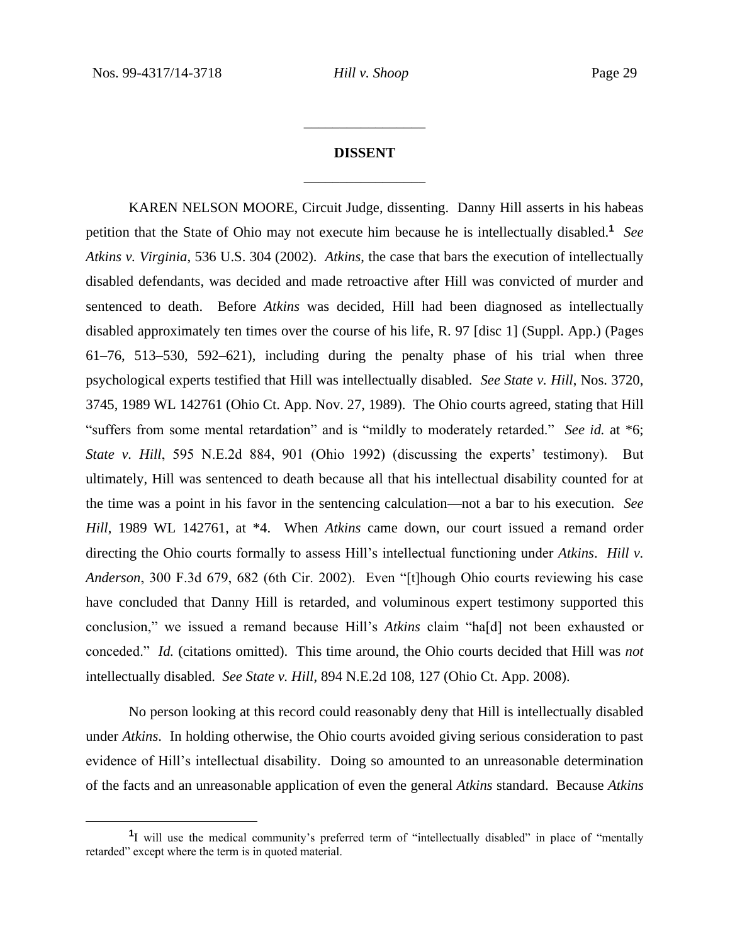# **DISSENT** \_\_\_\_\_\_\_\_\_\_\_\_\_\_\_\_\_

\_\_\_\_\_\_\_\_\_\_\_\_\_\_\_\_\_

KAREN NELSON MOORE, Circuit Judge, dissenting. Danny Hill asserts in his habeas petition that the State of Ohio may not execute him because he is intellectually disabled.**<sup>1</sup>** *See Atkins v. Virginia*, 536 U.S. 304 (2002). *Atkins*, the case that bars the execution of intellectually disabled defendants, was decided and made retroactive after Hill was convicted of murder and sentenced to death. Before *Atkins* was decided, Hill had been diagnosed as intellectually disabled approximately ten times over the course of his life, R. 97 [disc 1] (Suppl. App.) (Pages 61–76, 513–530, 592–621), including during the penalty phase of his trial when three psychological experts testified that Hill was intellectually disabled. *See State v. Hill*, Nos. 3720, 3745, 1989 WL 142761 (Ohio Ct. App. Nov. 27, 1989). The Ohio courts agreed, stating that Hill "suffers from some mental retardation" and is "mildly to moderately retarded." *See id.* at \*6; *State v. Hill*, 595 N.E.2d 884, 901 (Ohio 1992) (discussing the experts' testimony). But ultimately, Hill was sentenced to death because all that his intellectual disability counted for at the time was a point in his favor in the sentencing calculation—not a bar to his execution. *See Hill*, 1989 WL 142761, at \*4. When *Atkins* came down, our court issued a remand order directing the Ohio courts formally to assess Hill's intellectual functioning under *Atkins*. *Hill v. Anderson*, 300 F.3d 679, 682 (6th Cir. 2002). Even "[t]hough Ohio courts reviewing his case have concluded that Danny Hill is retarded, and voluminous expert testimony supported this conclusion," we issued a remand because Hill's *Atkins* claim "ha[d] not been exhausted or conceded." *Id.* (citations omitted). This time around, the Ohio courts decided that Hill was *not* intellectually disabled. *See State v. Hill*, 894 N.E.2d 108, 127 (Ohio Ct. App. 2008).

No person looking at this record could reasonably deny that Hill is intellectually disabled under *Atkins*. In holding otherwise, the Ohio courts avoided giving serious consideration to past evidence of Hill's intellectual disability. Doing so amounted to an unreasonable determination of the facts and an unreasonable application of even the general *Atkins* standard. Because *Atkins*

<sup>&</sup>lt;sup>1</sup>I will use the medical community's preferred term of "intellectually disabled" in place of "mentally retarded" except where the term is in quoted material.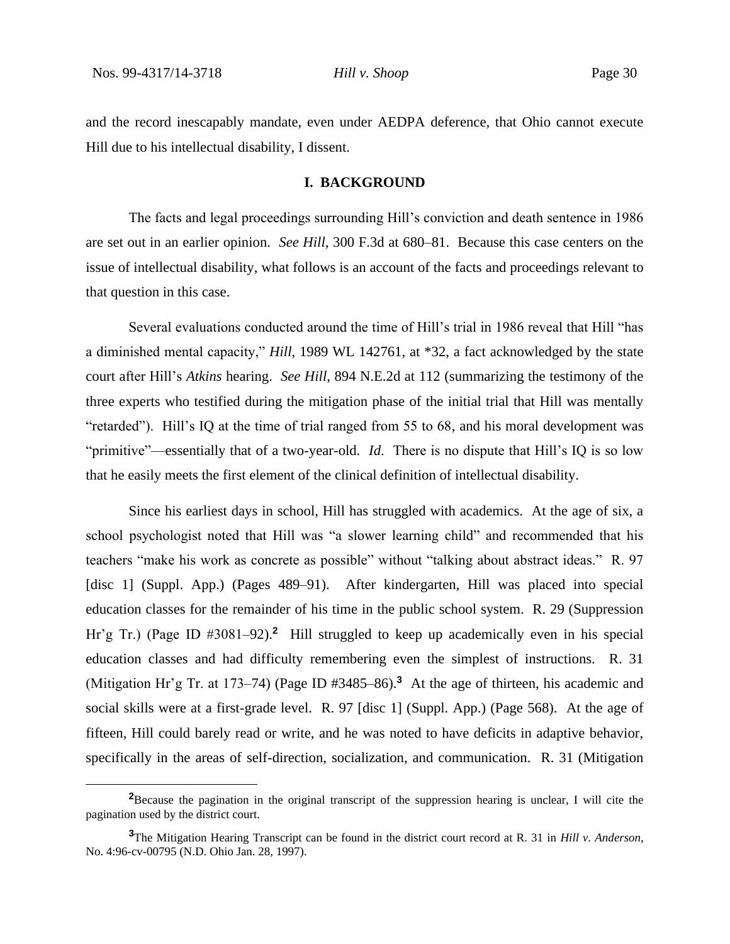and the record inescapably mandate, even under AEDPA deference, that Ohio cannot execute Hill due to his intellectual disability, I dissent.

#### **I. BACKGROUND**

The facts and legal proceedings surrounding Hill's conviction and death sentence in 1986 are set out in an earlier opinion. *See Hill*, 300 F.3d at 680–81. Because this case centers on the issue of intellectual disability, what follows is an account of the facts and proceedings relevant to that question in this case.

Several evaluations conducted around the time of Hill's trial in 1986 reveal that Hill "has a diminished mental capacity," *Hill*, 1989 WL 142761, at \*32, a fact acknowledged by the state court after Hill's *Atkins* hearing. *See Hill*, 894 N.E.2d at 112 (summarizing the testimony of the three experts who testified during the mitigation phase of the initial trial that Hill was mentally "retarded"). Hill's IQ at the time of trial ranged from 55 to 68, and his moral development was "primitive"—essentially that of a two-year-old. *Id*. There is no dispute that Hill's IQ is so low that he easily meets the first element of the clinical definition of intellectual disability.

Since his earliest days in school, Hill has struggled with academics. At the age of six, a school psychologist noted that Hill was "a slower learning child" and recommended that his teachers "make his work as concrete as possible" without "talking about abstract ideas." R. 97 [disc 1] (Suppl. App.) (Pages 489–91). After kindergarten, Hill was placed into special education classes for the remainder of his time in the public school system. R. 29 (Suppression Hr'g Tr.) (Page ID #3081-92).<sup>2</sup> Hill struggled to keep up academically even in his special education classes and had difficulty remembering even the simplest of instructions. R. 31 (Mitigation Hr'g Tr. at 173–74) (Page ID #3485–86).**<sup>3</sup>** At the age of thirteen, his academic and social skills were at a first-grade level. R. 97 [disc 1] (Suppl. App.) (Page 568). At the age of fifteen, Hill could barely read or write, and he was noted to have deficits in adaptive behavior, specifically in the areas of self-direction, socialization, and communication. R. 31 (Mitigation

**<sup>2</sup>**Because the pagination in the original transcript of the suppression hearing is unclear, I will cite the pagination used by the district court.

**<sup>3</sup>**The Mitigation Hearing Transcript can be found in the district court record at R. 31 in *Hill v. Anderson*, No. 4:96-cv-00795 (N.D. Ohio Jan. 28, 1997).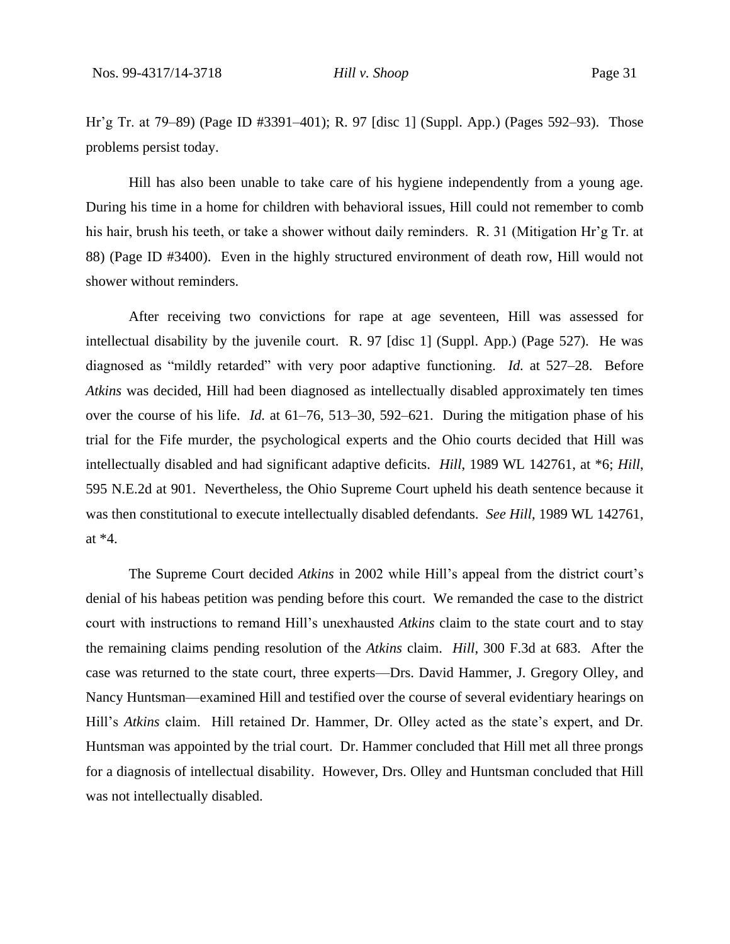Hr'g Tr. at 79–89) (Page ID #3391–401); R. 97 [disc 1] (Suppl. App.) (Pages 592–93). Those problems persist today.

Hill has also been unable to take care of his hygiene independently from a young age. During his time in a home for children with behavioral issues, Hill could not remember to comb his hair, brush his teeth, or take a shower without daily reminders. R. 31 (Mitigation Hr'g Tr. at 88) (Page ID #3400). Even in the highly structured environment of death row, Hill would not shower without reminders.

After receiving two convictions for rape at age seventeen, Hill was assessed for intellectual disability by the juvenile court. R. 97 [disc 1] (Suppl. App.) (Page 527). He was diagnosed as "mildly retarded" with very poor adaptive functioning. *Id.* at 527–28. Before *Atkins* was decided, Hill had been diagnosed as intellectually disabled approximately ten times over the course of his life. *Id.* at 61–76, 513–30, 592–621. During the mitigation phase of his trial for the Fife murder, the psychological experts and the Ohio courts decided that Hill was intellectually disabled and had significant adaptive deficits. *Hill*, 1989 WL 142761, at \*6; *Hill*, 595 N.E.2d at 901. Nevertheless, the Ohio Supreme Court upheld his death sentence because it was then constitutional to execute intellectually disabled defendants. *See Hill*, 1989 WL 142761, at \*4.

The Supreme Court decided *Atkins* in 2002 while Hill's appeal from the district court's denial of his habeas petition was pending before this court. We remanded the case to the district court with instructions to remand Hill's unexhausted *Atkins* claim to the state court and to stay the remaining claims pending resolution of the *Atkins* claim. *Hill*, 300 F.3d at 683. After the case was returned to the state court, three experts—Drs. David Hammer, J. Gregory Olley, and Nancy Huntsman—examined Hill and testified over the course of several evidentiary hearings on Hill's *Atkins* claim. Hill retained Dr. Hammer, Dr. Olley acted as the state's expert, and Dr. Huntsman was appointed by the trial court. Dr. Hammer concluded that Hill met all three prongs for a diagnosis of intellectual disability. However, Drs. Olley and Huntsman concluded that Hill was not intellectually disabled.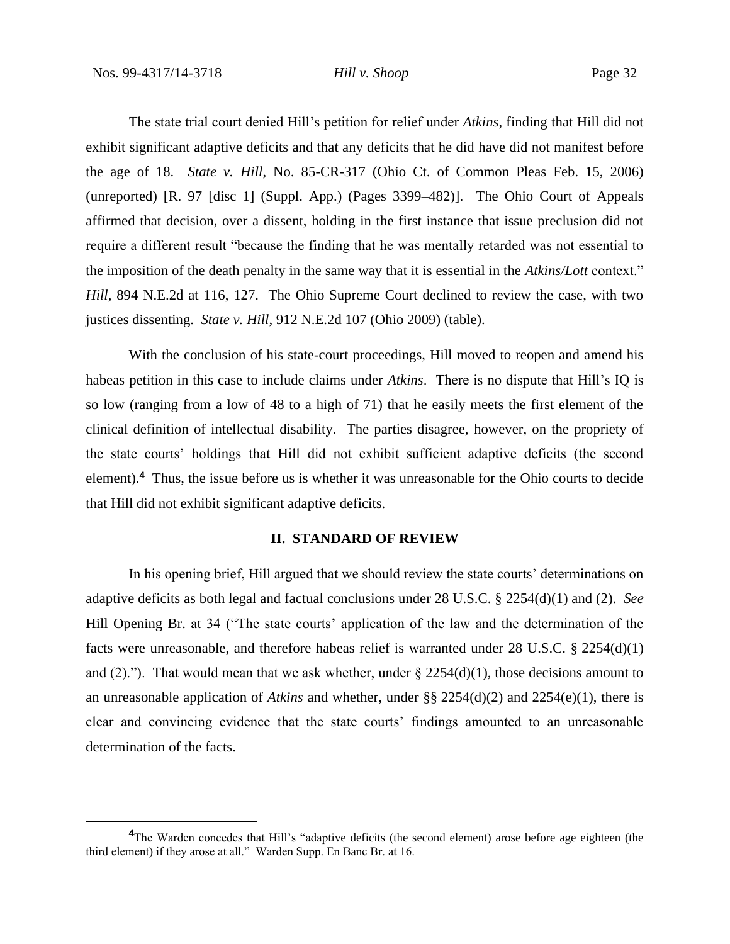The state trial court denied Hill's petition for relief under *Atkins*, finding that Hill did not exhibit significant adaptive deficits and that any deficits that he did have did not manifest before the age of 18. *State v. Hill*, No. 85-CR-317 (Ohio Ct. of Common Pleas Feb. 15, 2006) (unreported) [R. 97 [disc 1] (Suppl. App.) (Pages 3399–482)]. The Ohio Court of Appeals affirmed that decision, over a dissent, holding in the first instance that issue preclusion did not require a different result "because the finding that he was mentally retarded was not essential to the imposition of the death penalty in the same way that it is essential in the *Atkins/Lott* context." *Hill*, 894 N.E.2d at 116, 127. The Ohio Supreme Court declined to review the case, with two justices dissenting. *State v. Hill*, 912 N.E.2d 107 (Ohio 2009) (table).

With the conclusion of his state-court proceedings, Hill moved to reopen and amend his habeas petition in this case to include claims under *Atkins*. There is no dispute that Hill's IQ is so low (ranging from a low of 48 to a high of 71) that he easily meets the first element of the clinical definition of intellectual disability. The parties disagree, however, on the propriety of the state courts' holdings that Hill did not exhibit sufficient adaptive deficits (the second element).**<sup>4</sup>** Thus, the issue before us is whether it was unreasonable for the Ohio courts to decide that Hill did not exhibit significant adaptive deficits.

### **II. STANDARD OF REVIEW**

In his opening brief, Hill argued that we should review the state courts' determinations on adaptive deficits as both legal and factual conclusions under 28 U.S.C. § 2254(d)(1) and (2). *See*  Hill Opening Br. at 34 ("The state courts' application of the law and the determination of the facts were unreasonable, and therefore habeas relief is warranted under 28 U.S.C. § 2254(d)(1) and (2)."). That would mean that we ask whether, under  $\S 2254(d)(1)$ , those decisions amount to an unreasonable application of *Atkins* and whether, under §§ 2254(d)(2) and 2254(e)(1), there is clear and convincing evidence that the state courts' findings amounted to an unreasonable determination of the facts.

**<sup>4</sup>**The Warden concedes that Hill's "adaptive deficits (the second element) arose before age eighteen (the third element) if they arose at all." Warden Supp. En Banc Br. at 16.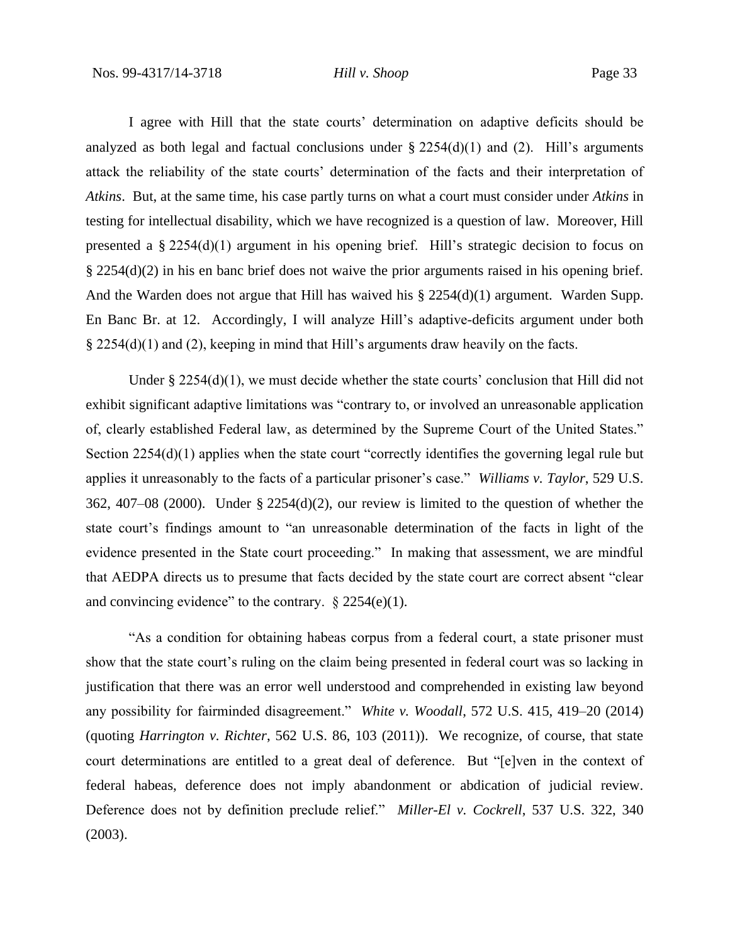I agree with Hill that the state courts' determination on adaptive deficits should be analyzed as both legal and factual conclusions under  $\S 2254(d)(1)$  and (2). Hill's arguments attack the reliability of the state courts' determination of the facts and their interpretation of *Atkins*. But, at the same time, his case partly turns on what a court must consider under *Atkins* in testing for intellectual disability, which we have recognized is a question of law. Moreover, Hill presented a § 2254(d)(1) argument in his opening brief. Hill's strategic decision to focus on § 2254(d)(2) in his en banc brief does not waive the prior arguments raised in his opening brief. And the Warden does not argue that Hill has waived his § 2254(d)(1) argument. Warden Supp. En Banc Br. at 12. Accordingly, I will analyze Hill's adaptive-deficits argument under both § 2254(d)(1) and (2), keeping in mind that Hill's arguments draw heavily on the facts.

Under § 2254(d)(1), we must decide whether the state courts' conclusion that Hill did not exhibit significant adaptive limitations was "contrary to, or involved an unreasonable application of, clearly established Federal law, as determined by the Supreme Court of the United States." Section 2254(d)(1) applies when the state court "correctly identifies the governing legal rule but applies it unreasonably to the facts of a particular prisoner's case." *Williams v. Taylor*, 529 U.S. 362, 407–08 (2000). Under § 2254(d)(2), our review is limited to the question of whether the state court's findings amount to "an unreasonable determination of the facts in light of the evidence presented in the State court proceeding." In making that assessment, we are mindful that AEDPA directs us to presume that facts decided by the state court are correct absent "clear and convincing evidence" to the contrary.  $\S 2254(e)(1)$ .

"As a condition for obtaining habeas corpus from a federal court, a state prisoner must show that the state court's ruling on the claim being presented in federal court was so lacking in justification that there was an error well understood and comprehended in existing law beyond any possibility for fairminded disagreement." *White v. Woodall*, 572 U.S. 415, 419–20 (2014) (quoting *Harrington v. Richter*, 562 U.S. 86, 103 (2011)). We recognize, of course, that state court determinations are entitled to a great deal of deference. But "[e]ven in the context of federal habeas, deference does not imply abandonment or abdication of judicial review. Deference does not by definition preclude relief." *Miller-El v. Cockrell*, 537 U.S. 322, 340 (2003).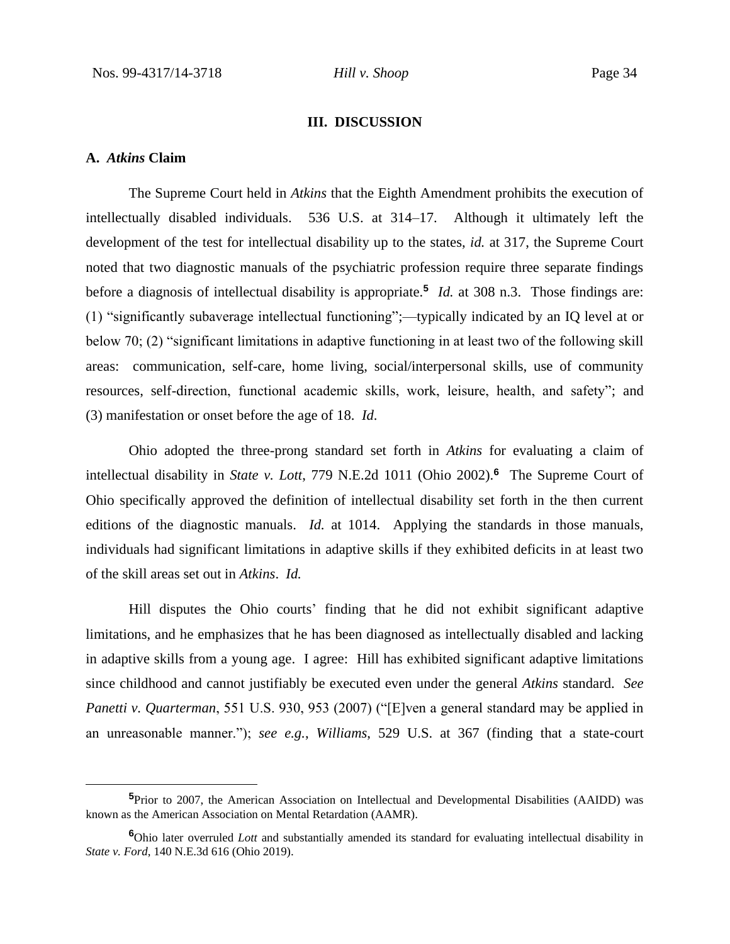#### **III. DISCUSSION**

### **A.** *Atkins* **Claim**

The Supreme Court held in *Atkins* that the Eighth Amendment prohibits the execution of intellectually disabled individuals. 536 U.S. at 314–17. Although it ultimately left the development of the test for intellectual disability up to the states, *id.* at 317, the Supreme Court noted that two diagnostic manuals of the psychiatric profession require three separate findings before a diagnosis of intellectual disability is appropriate.**<sup>5</sup>** *Id.* at 308 n.3. Those findings are: (1) "significantly subaverage intellectual functioning";—typically indicated by an IQ level at or below 70; (2) "significant limitations in adaptive functioning in at least two of the following skill areas: communication, self-care, home living, social/interpersonal skills, use of community resources, self-direction, functional academic skills, work, leisure, health, and safety"; and (3) manifestation or onset before the age of 18. *Id*.

Ohio adopted the three-prong standard set forth in *Atkins* for evaluating a claim of intellectual disability in *State v. Lott*, 779 N.E.2d 1011 (Ohio 2002).**<sup>6</sup>** The Supreme Court of Ohio specifically approved the definition of intellectual disability set forth in the then current editions of the diagnostic manuals. *Id.* at 1014. Applying the standards in those manuals, individuals had significant limitations in adaptive skills if they exhibited deficits in at least two of the skill areas set out in *Atkins*. *Id.*

Hill disputes the Ohio courts' finding that he did not exhibit significant adaptive limitations, and he emphasizes that he has been diagnosed as intellectually disabled and lacking in adaptive skills from a young age. I agree: Hill has exhibited significant adaptive limitations since childhood and cannot justifiably be executed even under the general *Atkins* standard. *See Panetti v. Quarterman*, 551 U.S. 930, 953 (2007) ("[E]ven a general standard may be applied in an unreasonable manner."); *see e.g.*, *Williams*, 529 U.S. at 367 (finding that a state-court

**<sup>5</sup>**Prior to 2007, the American Association on Intellectual and Developmental Disabilities (AAIDD) was known as the American Association on Mental Retardation (AAMR).

**<sup>6</sup>**Ohio later overruled *Lott* and substantially amended its standard for evaluating intellectual disability in *State v. Ford*, 140 N.E.3d 616 (Ohio 2019).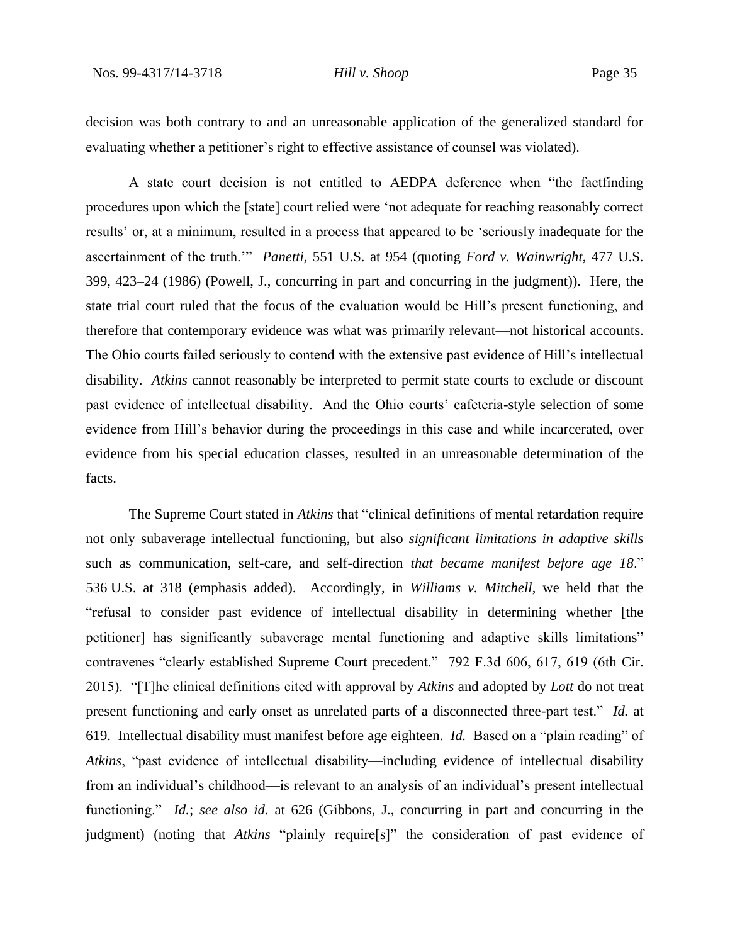decision was both contrary to and an unreasonable application of the generalized standard for evaluating whether a petitioner's right to effective assistance of counsel was violated).

A state court decision is not entitled to AEDPA deference when "the factfinding procedures upon which the [state] court relied were 'not adequate for reaching reasonably correct results' or, at a minimum, resulted in a process that appeared to be 'seriously inadequate for the ascertainment of the truth.'" *Panetti*, 551 U.S. at 954 (quoting *Ford v. Wainwright*, 477 U.S. 399, 423–24 (1986) (Powell, J., concurring in part and concurring in the judgment)). Here, the state trial court ruled that the focus of the evaluation would be Hill's present functioning, and therefore that contemporary evidence was what was primarily relevant—not historical accounts. The Ohio courts failed seriously to contend with the extensive past evidence of Hill's intellectual disability. *Atkins* cannot reasonably be interpreted to permit state courts to exclude or discount past evidence of intellectual disability. And the Ohio courts' cafeteria-style selection of some evidence from Hill's behavior during the proceedings in this case and while incarcerated, over evidence from his special education classes, resulted in an unreasonable determination of the facts.

The Supreme Court stated in *Atkins* that "clinical definitions of mental retardation require not only subaverage intellectual functioning, but also *significant limitations in adaptive skills* such as communication, self-care, and self-direction *that became manifest before age 18*." 536 U.S. at 318 (emphasis added). Accordingly, in *Williams v. Mitchell*, we held that the "refusal to consider past evidence of intellectual disability in determining whether [the petitioner] has significantly subaverage mental functioning and adaptive skills limitations" contravenes "clearly established Supreme Court precedent." 792 F.3d 606, 617, 619 (6th Cir. 2015). "[T]he clinical definitions cited with approval by *Atkins* and adopted by *Lott* do not treat present functioning and early onset as unrelated parts of a disconnected three-part test." *Id.* at 619. Intellectual disability must manifest before age eighteen. *Id.* Based on a "plain reading" of *Atkins*, "past evidence of intellectual disability—including evidence of intellectual disability from an individual's childhood—is relevant to an analysis of an individual's present intellectual functioning." *Id.*; *see also id.* at 626 (Gibbons, J., concurring in part and concurring in the judgment) (noting that *Atkins* "plainly require[s]" the consideration of past evidence of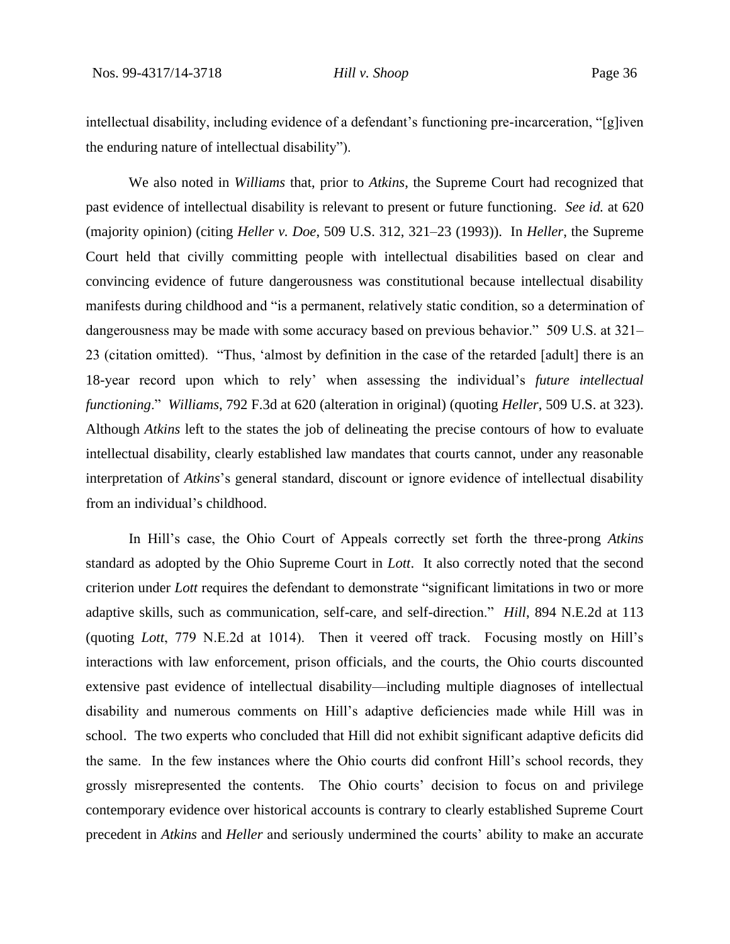intellectual disability, including evidence of a defendant's functioning pre-incarceration, "[g]iven the enduring nature of intellectual disability").

We also noted in *Williams* that, prior to *Atkins*, the Supreme Court had recognized that past evidence of intellectual disability is relevant to present or future functioning. *See id.* at 620 (majority opinion) (citing *Heller v. Doe*, 509 U.S. 312, 321–23 (1993)). In *Heller*, the Supreme Court held that civilly committing people with intellectual disabilities based on clear and convincing evidence of future dangerousness was constitutional because intellectual disability manifests during childhood and "is a permanent, relatively static condition, so a determination of dangerousness may be made with some accuracy based on previous behavior." 509 U.S. at 321– 23 (citation omitted). "Thus, 'almost by definition in the case of the retarded [adult] there is an 18-year record upon which to rely' when assessing the individual's *future intellectual functioning*." *Williams*, 792 F.3d at 620 (alteration in original) (quoting *Heller*, 509 U.S. at 323). Although *Atkins* left to the states the job of delineating the precise contours of how to evaluate intellectual disability, clearly established law mandates that courts cannot, under any reasonable interpretation of *Atkins*'s general standard, discount or ignore evidence of intellectual disability from an individual's childhood.

In Hill's case, the Ohio Court of Appeals correctly set forth the three-prong *Atkins*  standard as adopted by the Ohio Supreme Court in *Lott*. It also correctly noted that the second criterion under *Lott* requires the defendant to demonstrate "significant limitations in two or more adaptive skills, such as communication, self-care, and self-direction." *Hill*, 894 N.E.2d at 113 (quoting *Lott*, 779 N.E.2d at 1014). Then it veered off track. Focusing mostly on Hill's interactions with law enforcement, prison officials, and the courts, the Ohio courts discounted extensive past evidence of intellectual disability—including multiple diagnoses of intellectual disability and numerous comments on Hill's adaptive deficiencies made while Hill was in school. The two experts who concluded that Hill did not exhibit significant adaptive deficits did the same. In the few instances where the Ohio courts did confront Hill's school records, they grossly misrepresented the contents. The Ohio courts' decision to focus on and privilege contemporary evidence over historical accounts is contrary to clearly established Supreme Court precedent in *Atkins* and *Heller* and seriously undermined the courts' ability to make an accurate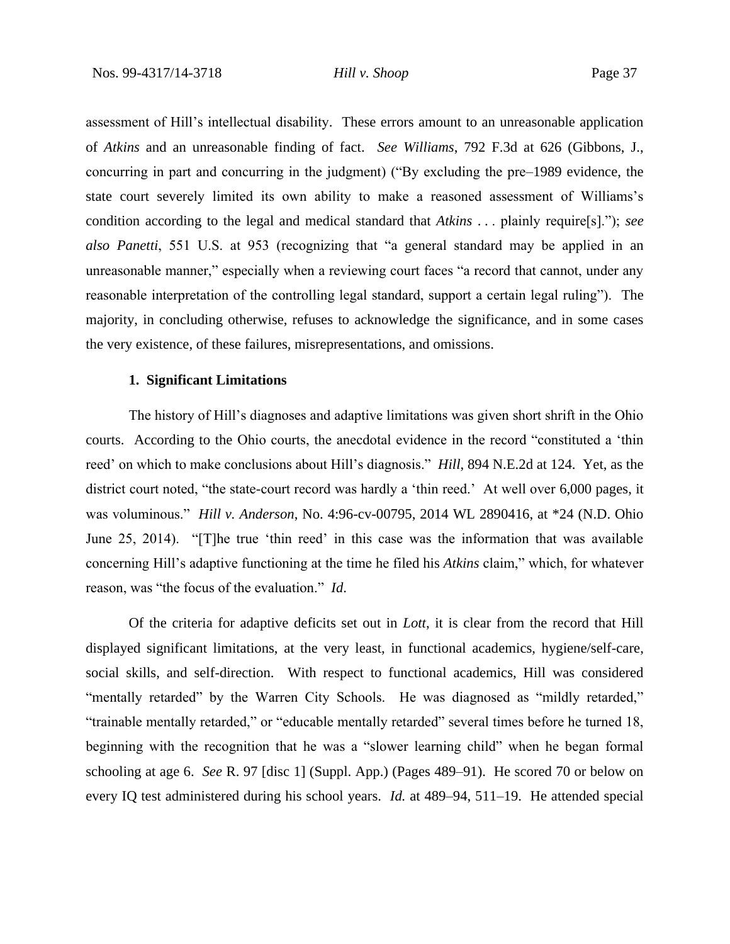assessment of Hill's intellectual disability. These errors amount to an unreasonable application of *Atkins* and an unreasonable finding of fact. *See Williams*, 792 F.3d at 626 (Gibbons, J., concurring in part and concurring in the judgment) ("By excluding the pre–1989 evidence, the state court severely limited its own ability to make a reasoned assessment of Williams's condition according to the legal and medical standard that *Atkins* . . . plainly require[s]."); *see also Panetti*, 551 U.S. at 953 (recognizing that "a general standard may be applied in an unreasonable manner," especially when a reviewing court faces "a record that cannot, under any reasonable interpretation of the controlling legal standard, support a certain legal ruling"). The majority, in concluding otherwise, refuses to acknowledge the significance, and in some cases the very existence, of these failures, misrepresentations, and omissions.

# **1. Significant Limitations**

The history of Hill's diagnoses and adaptive limitations was given short shrift in the Ohio courts. According to the Ohio courts, the anecdotal evidence in the record "constituted a 'thin reed' on which to make conclusions about Hill's diagnosis." *Hill*, 894 N.E.2d at 124. Yet, as the district court noted, "the state-court record was hardly a 'thin reed.' At well over 6,000 pages, it was voluminous." *Hill v. Anderson*, No. 4:96-cv-00795, 2014 WL 2890416, at \*24 (N.D. Ohio June 25, 2014). "[T]he true 'thin reed' in this case was the information that was available concerning Hill's adaptive functioning at the time he filed his *Atkins* claim," which, for whatever reason, was "the focus of the evaluation." *Id*.

Of the criteria for adaptive deficits set out in *Lott*, it is clear from the record that Hill displayed significant limitations, at the very least, in functional academics, hygiene/self-care, social skills, and self-direction. With respect to functional academics, Hill was considered "mentally retarded" by the Warren City Schools. He was diagnosed as "mildly retarded," "trainable mentally retarded," or "educable mentally retarded" several times before he turned 18, beginning with the recognition that he was a "slower learning child" when he began formal schooling at age 6. *See* R. 97 [disc 1] (Suppl. App.) (Pages 489–91). He scored 70 or below on every IQ test administered during his school years. *Id.* at 489–94, 511–19. He attended special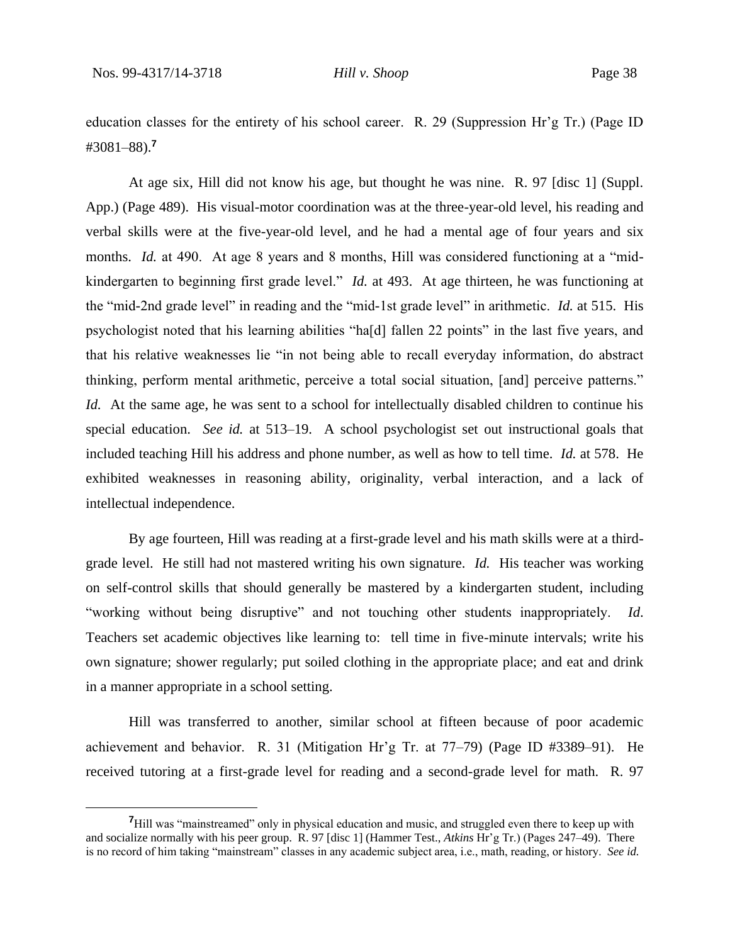education classes for the entirety of his school career. R. 29 (Suppression Hr'g Tr.) (Page ID #3081–88).**<sup>7</sup>**

At age six, Hill did not know his age, but thought he was nine. R. 97 [disc 1] (Suppl. App.) (Page 489). His visual-motor coordination was at the three-year-old level, his reading and verbal skills were at the five-year-old level, and he had a mental age of four years and six months. *Id.* at 490. At age 8 years and 8 months, Hill was considered functioning at a "midkindergarten to beginning first grade level." *Id.* at 493. At age thirteen, he was functioning at the "mid-2nd grade level" in reading and the "mid-1st grade level" in arithmetic. *Id.* at 515. His psychologist noted that his learning abilities "ha[d] fallen 22 points" in the last five years, and that his relative weaknesses lie "in not being able to recall everyday information, do abstract thinking, perform mental arithmetic, perceive a total social situation, [and] perceive patterns." *Id.* At the same age, he was sent to a school for intellectually disabled children to continue his special education. *See id.* at 513–19. A school psychologist set out instructional goals that included teaching Hill his address and phone number, as well as how to tell time. *Id.* at 578. He exhibited weaknesses in reasoning ability, originality, verbal interaction, and a lack of intellectual independence.

By age fourteen, Hill was reading at a first-grade level and his math skills were at a thirdgrade level. He still had not mastered writing his own signature. *Id.* His teacher was working on self-control skills that should generally be mastered by a kindergarten student, including "working without being disruptive" and not touching other students inappropriately. *Id*. Teachers set academic objectives like learning to: tell time in five-minute intervals; write his own signature; shower regularly; put soiled clothing in the appropriate place; and eat and drink in a manner appropriate in a school setting.

Hill was transferred to another, similar school at fifteen because of poor academic achievement and behavior. R. 31 (Mitigation Hr'g Tr. at 77–79) (Page ID #3389–91). He received tutoring at a first-grade level for reading and a second-grade level for math. R. 97

<sup>&</sup>lt;sup>7</sup>Hill was "mainstreamed" only in physical education and music, and struggled even there to keep up with and socialize normally with his peer group. R. 97 [disc 1] (Hammer Test., *Atkins* Hr'g Tr.) (Pages 247–49). There is no record of him taking "mainstream" classes in any academic subject area, i.e., math, reading, or history. *See id.*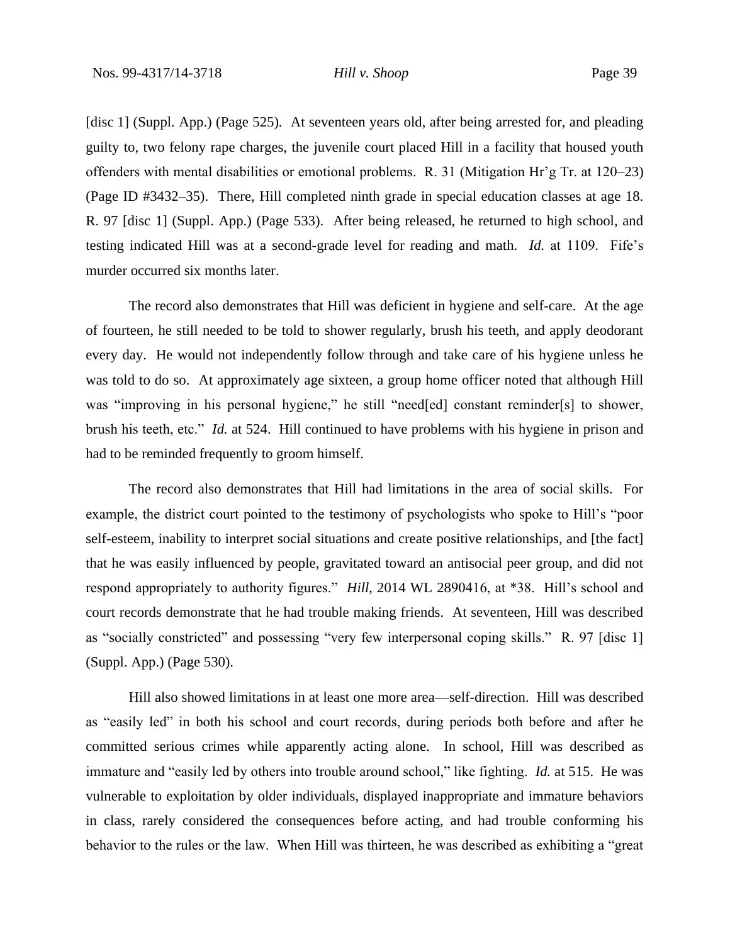[disc 1] (Suppl. App.) (Page 525)*.* At seventeen years old, after being arrested for, and pleading guilty to, two felony rape charges, the juvenile court placed Hill in a facility that housed youth offenders with mental disabilities or emotional problems. R. 31 (Mitigation Hr'g Tr. at 120–23) (Page ID #3432–35). There, Hill completed ninth grade in special education classes at age 18. R. 97 [disc 1] (Suppl. App.) (Page 533). After being released, he returned to high school, and testing indicated Hill was at a second-grade level for reading and math. *Id.* at 1109. Fife's murder occurred six months later.

The record also demonstrates that Hill was deficient in hygiene and self-care. At the age of fourteen, he still needed to be told to shower regularly, brush his teeth, and apply deodorant every day. He would not independently follow through and take care of his hygiene unless he was told to do so. At approximately age sixteen, a group home officer noted that although Hill was "improving in his personal hygiene," he still "need[ed] constant reminder[s] to shower, brush his teeth, etc." *Id.* at 524. Hill continued to have problems with his hygiene in prison and had to be reminded frequently to groom himself.

The record also demonstrates that Hill had limitations in the area of social skills. For example, the district court pointed to the testimony of psychologists who spoke to Hill's "poor self-esteem, inability to interpret social situations and create positive relationships, and [the fact] that he was easily influenced by people, gravitated toward an antisocial peer group, and did not respond appropriately to authority figures." *Hill*, 2014 WL 2890416, at \*38. Hill's school and court records demonstrate that he had trouble making friends. At seventeen, Hill was described as "socially constricted" and possessing "very few interpersonal coping skills." R. 97 [disc 1] (Suppl. App.) (Page 530).

Hill also showed limitations in at least one more area—self-direction. Hill was described as "easily led" in both his school and court records, during periods both before and after he committed serious crimes while apparently acting alone. In school, Hill was described as immature and "easily led by others into trouble around school," like fighting. *Id.* at 515. He was vulnerable to exploitation by older individuals, displayed inappropriate and immature behaviors in class, rarely considered the consequences before acting, and had trouble conforming his behavior to the rules or the law. When Hill was thirteen, he was described as exhibiting a "great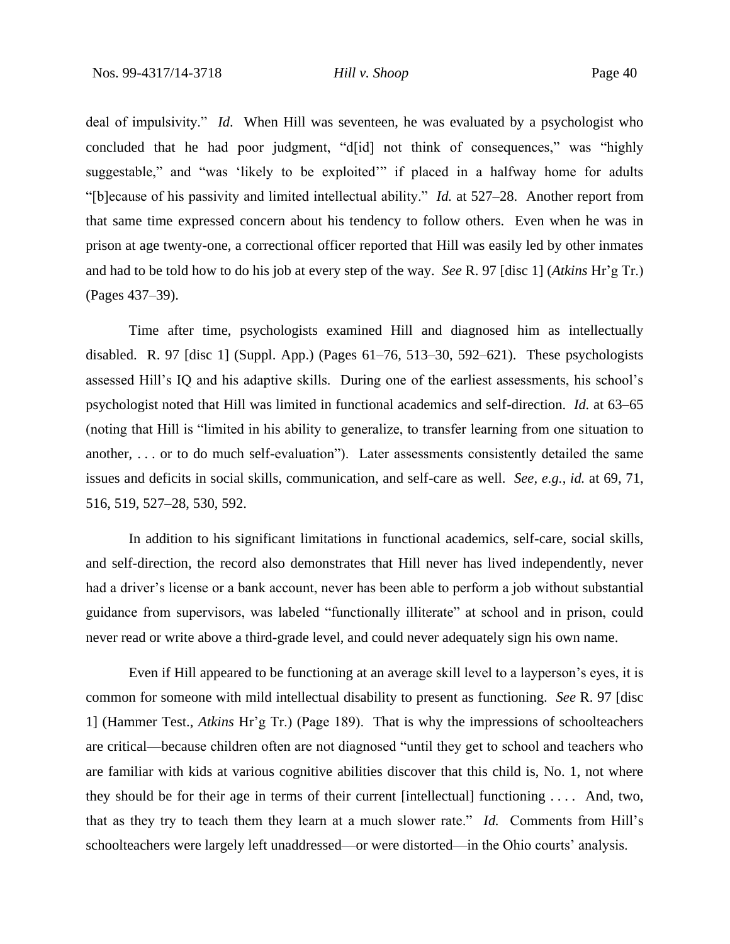deal of impulsivity." *Id*. When Hill was seventeen, he was evaluated by a psychologist who concluded that he had poor judgment, "d[id] not think of consequences," was "highly suggestable," and "was 'likely to be exploited" if placed in a halfway home for adults "[b]ecause of his passivity and limited intellectual ability." *Id.* at 527–28. Another report from that same time expressed concern about his tendency to follow others. Even when he was in prison at age twenty-one, a correctional officer reported that Hill was easily led by other inmates and had to be told how to do his job at every step of the way. *See* R. 97 [disc 1] (*Atkins* Hr'g Tr.) (Pages 437–39).

Time after time, psychologists examined Hill and diagnosed him as intellectually disabled. R. 97 [disc 1] (Suppl. App.) (Pages 61–76, 513–30, 592–621). These psychologists assessed Hill's IQ and his adaptive skills. During one of the earliest assessments, his school's psychologist noted that Hill was limited in functional academics and self-direction. *Id.* at 63–65 (noting that Hill is "limited in his ability to generalize, to transfer learning from one situation to another, . . . or to do much self-evaluation"). Later assessments consistently detailed the same issues and deficits in social skills, communication, and self-care as well. *See, e.g.*, *id.* at 69, 71, 516, 519, 527–28, 530, 592.

In addition to his significant limitations in functional academics, self-care, social skills, and self-direction, the record also demonstrates that Hill never has lived independently, never had a driver's license or a bank account, never has been able to perform a job without substantial guidance from supervisors, was labeled "functionally illiterate" at school and in prison, could never read or write above a third-grade level, and could never adequately sign his own name.

Even if Hill appeared to be functioning at an average skill level to a layperson's eyes, it is common for someone with mild intellectual disability to present as functioning. *See* R. 97 [disc 1] (Hammer Test., *Atkins* Hr'g Tr.) (Page 189).That is why the impressions of schoolteachers are critical—because children often are not diagnosed "until they get to school and teachers who are familiar with kids at various cognitive abilities discover that this child is, No. 1, not where they should be for their age in terms of their current [intellectual] functioning . . . . And, two, that as they try to teach them they learn at a much slower rate." *Id.* Comments from Hill's schoolteachers were largely left unaddressed—or were distorted—in the Ohio courts' analysis.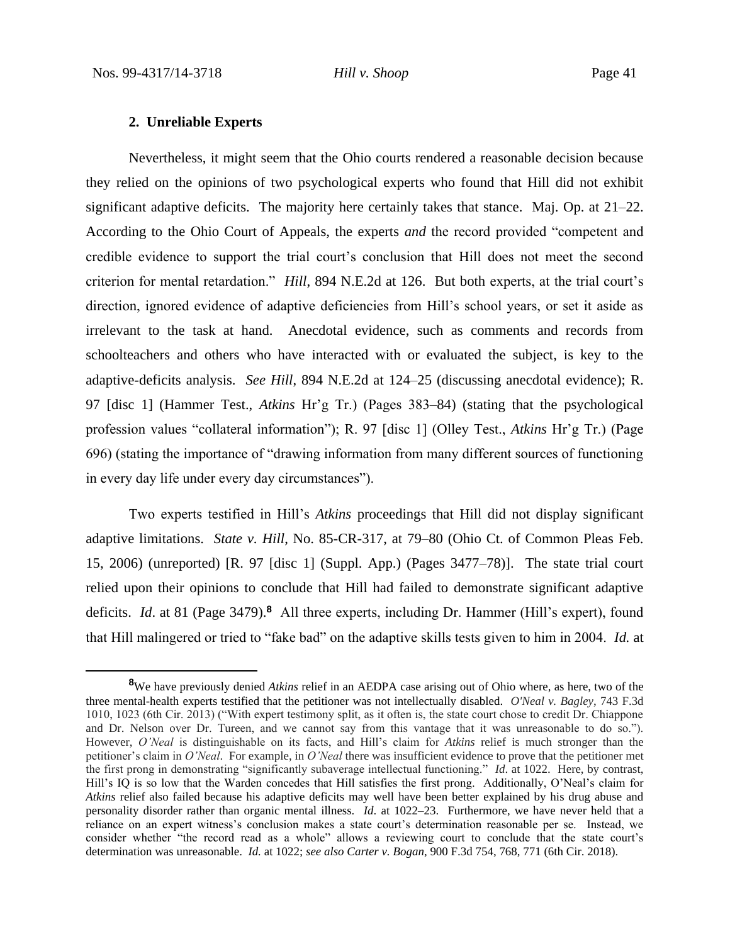# **2. Unreliable Experts**

Nevertheless, it might seem that the Ohio courts rendered a reasonable decision because they relied on the opinions of two psychological experts who found that Hill did not exhibit significant adaptive deficits. The majority here certainly takes that stance. Maj. Op. at 21–22. According to the Ohio Court of Appeals, the experts *and* the record provided "competent and credible evidence to support the trial court's conclusion that Hill does not meet the second criterion for mental retardation." *Hill*, 894 N.E.2d at 126. But both experts, at the trial court's direction, ignored evidence of adaptive deficiencies from Hill's school years, or set it aside as irrelevant to the task at hand. Anecdotal evidence, such as comments and records from schoolteachers and others who have interacted with or evaluated the subject, is key to the adaptive-deficits analysis. *See Hill*, 894 N.E.2d at 124–25 (discussing anecdotal evidence); R. 97 [disc 1] (Hammer Test., *Atkins* Hr'g Tr.) (Pages 383–84) (stating that the psychological profession values "collateral information"); R. 97 [disc 1] (Olley Test., *Atkins* Hr'g Tr.) (Page 696) (stating the importance of "drawing information from many different sources of functioning in every day life under every day circumstances").

Two experts testified in Hill's *Atkins* proceedings that Hill did not display significant adaptive limitations. *State v. Hill*, No. 85-CR-317, at 79–80 (Ohio Ct. of Common Pleas Feb. 15, 2006) (unreported) [R. 97 [disc 1] (Suppl. App.) (Pages 3477–78)]. The state trial court relied upon their opinions to conclude that Hill had failed to demonstrate significant adaptive deficits. *Id*. at 81 (Page 3479).**<sup>8</sup>** All three experts, including Dr. Hammer (Hill's expert), found that Hill malingered or tried to "fake bad" on the adaptive skills tests given to him in 2004. *Id.* at

**<sup>8</sup>**We have previously denied *Atkins* relief in an AEDPA case arising out of Ohio where, as here, two of the three mental-health experts testified that the petitioner was not intellectually disabled. *O'Neal v. Bagley*, 743 F.3d 1010, 1023 (6th Cir. 2013) ("With expert testimony split, as it often is, the state court chose to credit Dr. Chiappone and Dr. Nelson over Dr. Tureen, and we cannot say from this vantage that it was unreasonable to do so."). However, *O'Neal* is distinguishable on its facts, and Hill's claim for *Atkins* relief is much stronger than the petitioner's claim in *O'Neal*. For example, in *O'Neal* there was insufficient evidence to prove that the petitioner met the first prong in demonstrating "significantly subaverage intellectual functioning." *Id*. at 1022. Here, by contrast, Hill's IQ is so low that the Warden concedes that Hill satisfies the first prong. Additionally, O'Neal's claim for *Atkins* relief also failed because his adaptive deficits may well have been better explained by his drug abuse and personality disorder rather than organic mental illness. *Id*. at 1022–23. Furthermore, we have never held that a reliance on an expert witness's conclusion makes a state court's determination reasonable per se. Instead, we consider whether "the record read as a whole" allows a reviewing court to conclude that the state court's determination was unreasonable. *Id.* at 1022; *see also Carter v. Bogan*, 900 F.3d 754, 768, 771 (6th Cir. 2018).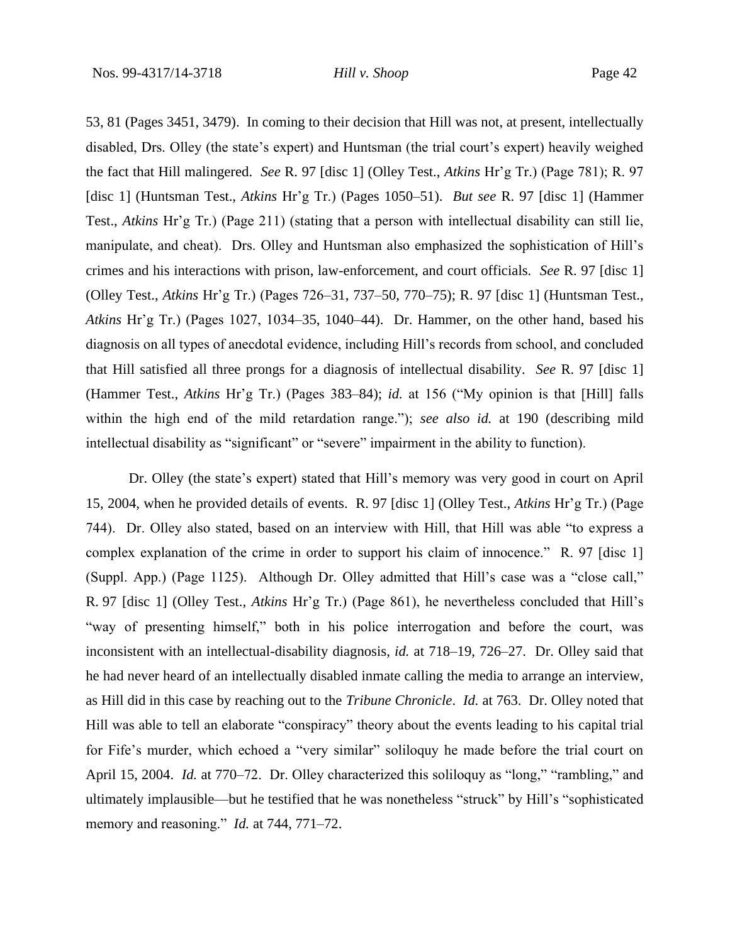53, 81 (Pages 3451, 3479). In coming to their decision that Hill was not, at present, intellectually disabled, Drs. Olley (the state's expert) and Huntsman (the trial court's expert) heavily weighed the fact that Hill malingered. *See* R. 97 [disc 1] (Olley Test., *Atkins* Hr'g Tr.) (Page 781); R. 97 [disc 1] (Huntsman Test., *Atkins* Hr'g Tr.) (Pages 1050–51). *But see* R. 97 [disc 1] (Hammer Test., *Atkins* Hr'g Tr.) (Page 211) (stating that a person with intellectual disability can still lie, manipulate, and cheat). Drs. Olley and Huntsman also emphasized the sophistication of Hill's crimes and his interactions with prison, law-enforcement, and court officials. *See* R. 97 [disc 1] (Olley Test., *Atkins* Hr'g Tr.) (Pages 726–31, 737–50, 770–75); R. 97 [disc 1] (Huntsman Test., *Atkins* Hr'g Tr.) (Pages 1027, 1034–35, 1040–44). Dr. Hammer, on the other hand, based his diagnosis on all types of anecdotal evidence, including Hill's records from school, and concluded that Hill satisfied all three prongs for a diagnosis of intellectual disability. *See* R. 97 [disc 1] (Hammer Test., *Atkins* Hr'g Tr.) (Pages 383–84); *id.* at 156 ("My opinion is that [Hill] falls within the high end of the mild retardation range."); *see also id.* at 190 (describing mild intellectual disability as "significant" or "severe" impairment in the ability to function).

Dr. Olley (the state's expert) stated that Hill's memory was very good in court on April 15, 2004, when he provided details of events. R. 97 [disc 1] (Olley Test., *Atkins* Hr'g Tr.) (Page 744). Dr. Olley also stated, based on an interview with Hill, that Hill was able "to express a complex explanation of the crime in order to support his claim of innocence." R. 97 [disc 1] (Suppl. App.) (Page 1125). Although Dr. Olley admitted that Hill's case was a "close call," R. 97 [disc 1] (Olley Test., *Atkins* Hr'g Tr.) (Page 861), he nevertheless concluded that Hill's "way of presenting himself," both in his police interrogation and before the court, was inconsistent with an intellectual-disability diagnosis, *id.* at 718–19, 726–27. Dr. Olley said that he had never heard of an intellectually disabled inmate calling the media to arrange an interview, as Hill did in this case by reaching out to the *Tribune Chronicle*. *Id.* at 763. Dr. Olley noted that Hill was able to tell an elaborate "conspiracy" theory about the events leading to his capital trial for Fife's murder, which echoed a "very similar" soliloquy he made before the trial court on April 15, 2004. *Id.* at 770–72. Dr. Olley characterized this soliloquy as "long," "rambling," and ultimately implausible—but he testified that he was nonetheless "struck" by Hill's "sophisticated memory and reasoning." *Id.* at 744, 771–72.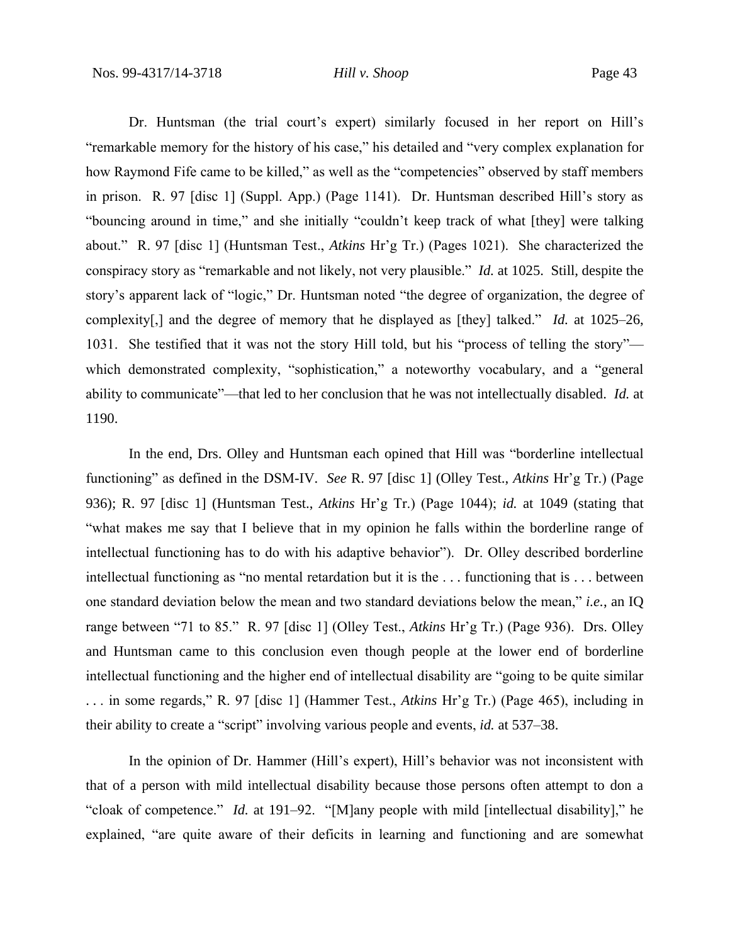Dr. Huntsman (the trial court's expert) similarly focused in her report on Hill's "remarkable memory for the history of his case," his detailed and "very complex explanation for how Raymond Fife came to be killed," as well as the "competencies" observed by staff members in prison. R. 97 [disc 1] (Suppl. App.) (Page 1141). Dr. Huntsman described Hill's story as "bouncing around in time," and she initially "couldn't keep track of what [they] were talking about." R. 97 [disc 1] (Huntsman Test., *Atkins* Hr'g Tr.) (Pages 1021). She characterized the conspiracy story as "remarkable and not likely, not very plausible." *Id.* at 1025. Still, despite the story's apparent lack of "logic," Dr. Huntsman noted "the degree of organization, the degree of complexity[,] and the degree of memory that he displayed as [they] talked." *Id.* at 1025–26, 1031. She testified that it was not the story Hill told, but his "process of telling the story" which demonstrated complexity, "sophistication," a noteworthy vocabulary, and a "general ability to communicate"—that led to her conclusion that he was not intellectually disabled. *Id.* at 1190.

In the end, Drs. Olley and Huntsman each opined that Hill was "borderline intellectual functioning" as defined in the DSM-IV. *See* R. 97 [disc 1] (Olley Test., *Atkins* Hr'g Tr.) (Page 936); R. 97 [disc 1] (Huntsman Test., *Atkins* Hr'g Tr.) (Page 1044); *id.* at 1049 (stating that "what makes me say that I believe that in my opinion he falls within the borderline range of intellectual functioning has to do with his adaptive behavior"). Dr. Olley described borderline intellectual functioning as "no mental retardation but it is the . . . functioning that is . . . between one standard deviation below the mean and two standard deviations below the mean," *i.e.*, an IQ range between "71 to 85." R. 97 [disc 1] (Olley Test., *Atkins* Hr'g Tr.) (Page 936). Drs. Olley and Huntsman came to this conclusion even though people at the lower end of borderline intellectual functioning and the higher end of intellectual disability are "going to be quite similar . . . in some regards," R. 97 [disc 1] (Hammer Test., *Atkins* Hr'g Tr.) (Page 465), including in their ability to create a "script" involving various people and events, *id.* at 537–38.

In the opinion of Dr. Hammer (Hill's expert), Hill's behavior was not inconsistent with that of a person with mild intellectual disability because those persons often attempt to don a "cloak of competence." *Id.* at 191–92. "[M]any people with mild [intellectual disability]," he explained, "are quite aware of their deficits in learning and functioning and are somewhat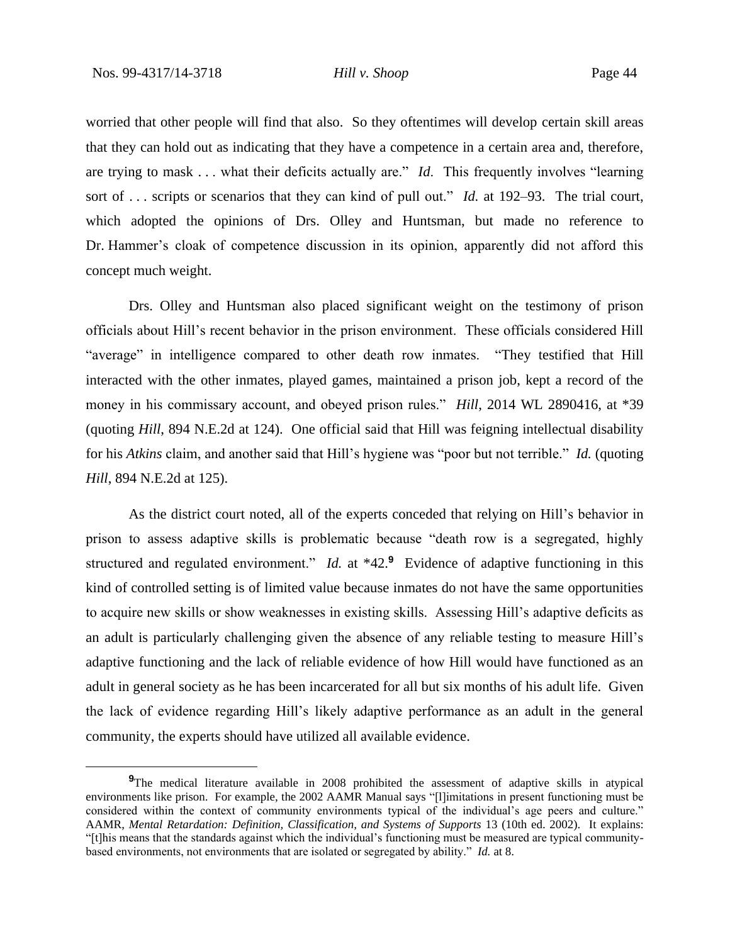worried that other people will find that also. So they oftentimes will develop certain skill areas that they can hold out as indicating that they have a competence in a certain area and, therefore, are trying to mask . . . what their deficits actually are." *Id*. This frequently involves "learning sort of . . . scripts or scenarios that they can kind of pull out." *Id.* at 192–93. The trial court, which adopted the opinions of Drs. Olley and Huntsman, but made no reference to Dr. Hammer's cloak of competence discussion in its opinion, apparently did not afford this concept much weight.

Drs. Olley and Huntsman also placed significant weight on the testimony of prison officials about Hill's recent behavior in the prison environment. These officials considered Hill "average" in intelligence compared to other death row inmates. "They testified that Hill interacted with the other inmates, played games, maintained a prison job, kept a record of the money in his commissary account, and obeyed prison rules." *Hill*, 2014 WL 2890416, at \*39 (quoting *Hill*, 894 N.E.2d at 124). One official said that Hill was feigning intellectual disability for his *Atkins* claim, and another said that Hill's hygiene was "poor but not terrible." *Id.* (quoting *Hill*, 894 N.E.2d at 125).

As the district court noted, all of the experts conceded that relying on Hill's behavior in prison to assess adaptive skills is problematic because "death row is a segregated, highly structured and regulated environment." *Id.* at \*42.9 Evidence of adaptive functioning in this kind of controlled setting is of limited value because inmates do not have the same opportunities to acquire new skills or show weaknesses in existing skills. Assessing Hill's adaptive deficits as an adult is particularly challenging given the absence of any reliable testing to measure Hill's adaptive functioning and the lack of reliable evidence of how Hill would have functioned as an adult in general society as he has been incarcerated for all but six months of his adult life. Given the lack of evidence regarding Hill's likely adaptive performance as an adult in the general community, the experts should have utilized all available evidence.

**<sup>9</sup>**The medical literature available in 2008 prohibited the assessment of adaptive skills in atypical environments like prison. For example, the 2002 AAMR Manual says "[l]imitations in present functioning must be considered within the context of community environments typical of the individual's age peers and culture." AAMR, *Mental Retardation: Definition, Classification, and Systems of Supports* 13 (10th ed. 2002). It explains: "[t]his means that the standards against which the individual's functioning must be measured are typical communitybased environments, not environments that are isolated or segregated by ability." *Id.* at 8.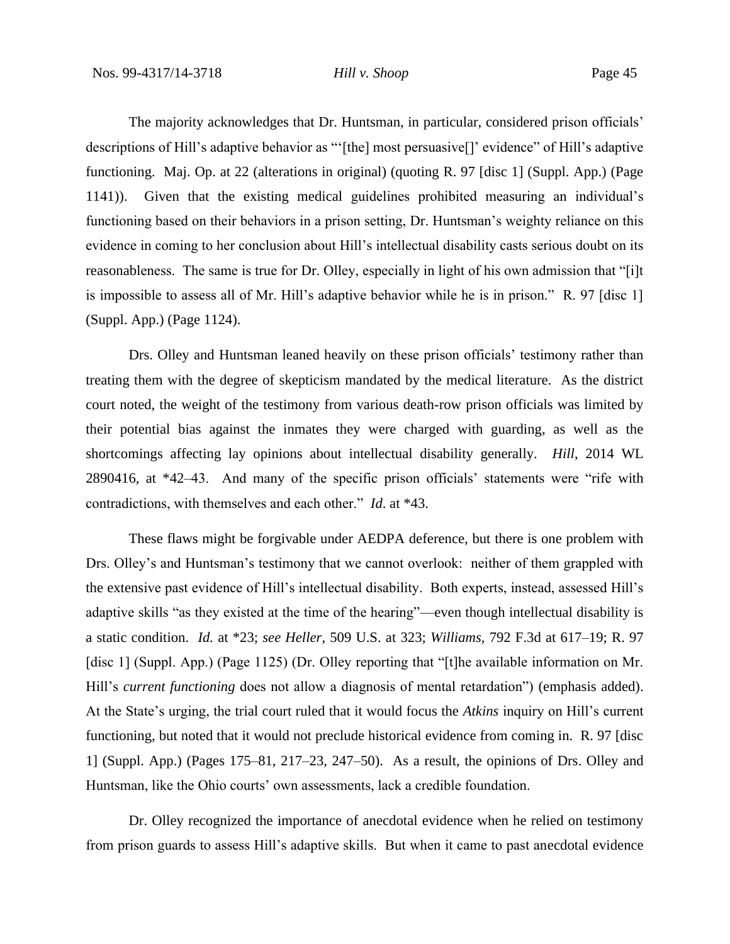The majority acknowledges that Dr. Huntsman, in particular, considered prison officials' descriptions of Hill's adaptive behavior as "'[the] most persuasive[]' evidence" of Hill's adaptive functioning. Maj. Op. at 22 (alterations in original) (quoting R. 97 [disc 1] (Suppl. App.) (Page 1141)). Given that the existing medical guidelines prohibited measuring an individual's functioning based on their behaviors in a prison setting, Dr. Huntsman's weighty reliance on this evidence in coming to her conclusion about Hill's intellectual disability casts serious doubt on its reasonableness. The same is true for Dr. Olley, especially in light of his own admission that "[i]t is impossible to assess all of Mr. Hill's adaptive behavior while he is in prison." R. 97 [disc 1] (Suppl. App.) (Page 1124).

Drs. Olley and Huntsman leaned heavily on these prison officials' testimony rather than treating them with the degree of skepticism mandated by the medical literature. As the district court noted, the weight of the testimony from various death-row prison officials was limited by their potential bias against the inmates they were charged with guarding, as well as the shortcomings affecting lay opinions about intellectual disability generally. *Hill*, 2014 WL 2890416, at \*42–43. And many of the specific prison officials' statements were "rife with contradictions, with themselves and each other." *Id*. at \*43.

These flaws might be forgivable under AEDPA deference, but there is one problem with Drs. Olley's and Huntsman's testimony that we cannot overlook: neither of them grappled with the extensive past evidence of Hill's intellectual disability. Both experts, instead, assessed Hill's adaptive skills "as they existed at the time of the hearing"—even though intellectual disability is a static condition. *Id.* at \*23; *see Heller*, 509 U.S. at 323; *Williams*, 792 F.3d at 617–19; R. 97 [disc 1] (Suppl. App.) (Page 1125) (Dr. Olley reporting that "[t]he available information on Mr. Hill's *current functioning* does not allow a diagnosis of mental retardation") (emphasis added). At the State's urging, the trial court ruled that it would focus the *Atkins* inquiry on Hill's current functioning, but noted that it would not preclude historical evidence from coming in. R. 97 [disc 1] (Suppl. App.) (Pages 175–81, 217–23, 247–50). As a result, the opinions of Drs. Olley and Huntsman, like the Ohio courts' own assessments, lack a credible foundation.

Dr. Olley recognized the importance of anecdotal evidence when he relied on testimony from prison guards to assess Hill's adaptive skills. But when it came to past anecdotal evidence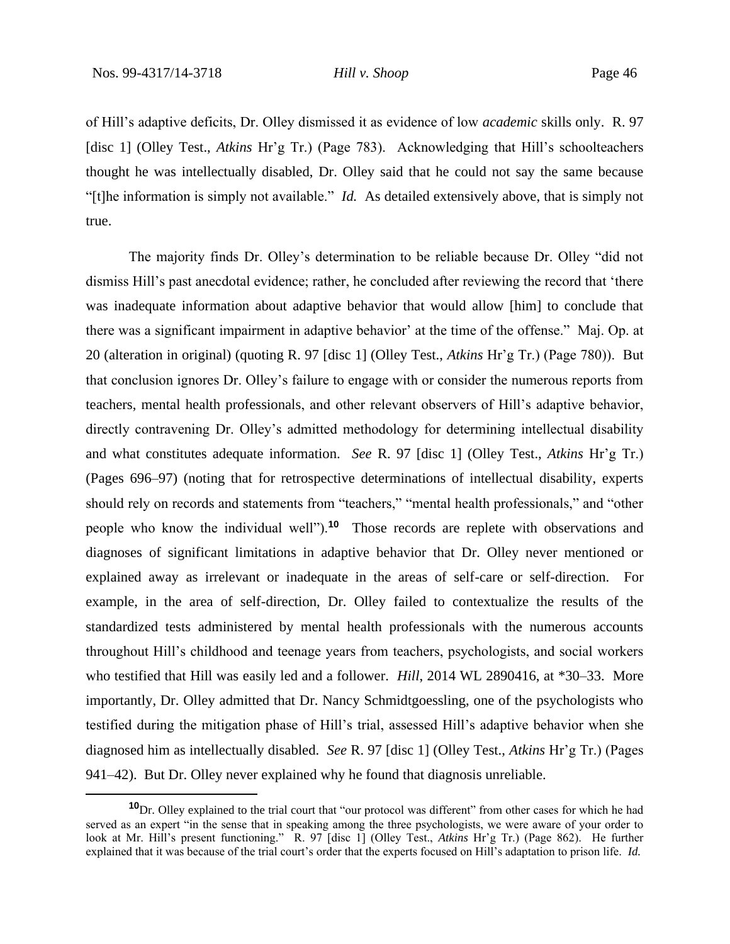of Hill's adaptive deficits, Dr. Olley dismissed it as evidence of low *academic* skills only. R. 97 [disc 1] (Olley Test., *Atkins* Hr'g Tr.) (Page 783). Acknowledging that Hill's schoolteachers thought he was intellectually disabled, Dr. Olley said that he could not say the same because "[t]he information is simply not available." *Id.* As detailed extensively above, that is simply not true.

The majority finds Dr. Olley's determination to be reliable because Dr. Olley "did not dismiss Hill's past anecdotal evidence; rather, he concluded after reviewing the record that 'there was inadequate information about adaptive behavior that would allow [him] to conclude that there was a significant impairment in adaptive behavior' at the time of the offense." Maj. Op. at 20 (alteration in original) (quoting R. 97 [disc 1] (Olley Test., *Atkins* Hr'g Tr.) (Page 780)). But that conclusion ignores Dr. Olley's failure to engage with or consider the numerous reports from teachers, mental health professionals, and other relevant observers of Hill's adaptive behavior, directly contravening Dr. Olley's admitted methodology for determining intellectual disability and what constitutes adequate information. *See* R. 97 [disc 1] (Olley Test., *Atkins* Hr'g Tr.) (Pages 696–97) (noting that for retrospective determinations of intellectual disability, experts should rely on records and statements from "teachers," "mental health professionals," and "other people who know the individual well").**<sup>10</sup>** Those records are replete with observations and diagnoses of significant limitations in adaptive behavior that Dr. Olley never mentioned or explained away as irrelevant or inadequate in the areas of self-care or self-direction. For example, in the area of self-direction, Dr. Olley failed to contextualize the results of the standardized tests administered by mental health professionals with the numerous accounts throughout Hill's childhood and teenage years from teachers, psychologists, and social workers who testified that Hill was easily led and a follower. *Hill*, 2014 WL 2890416, at \*30–33. More importantly, Dr. Olley admitted that Dr. Nancy Schmidtgoessling, one of the psychologists who testified during the mitigation phase of Hill's trial, assessed Hill's adaptive behavior when she diagnosed him as intellectually disabled. *See* R. 97 [disc 1] (Olley Test., *Atkins* Hr'g Tr.) (Pages 941–42). But Dr. Olley never explained why he found that diagnosis unreliable.

**<sup>10</sup>**Dr. Olley explained to the trial court that "our protocol was different" from other cases for which he had served as an expert "in the sense that in speaking among the three psychologists, we were aware of your order to look at Mr. Hill's present functioning." R. 97 [disc 1] (Olley Test., *Atkins* Hr'g Tr.) (Page 862). He further explained that it was because of the trial court's order that the experts focused on Hill's adaptation to prison life. *Id.*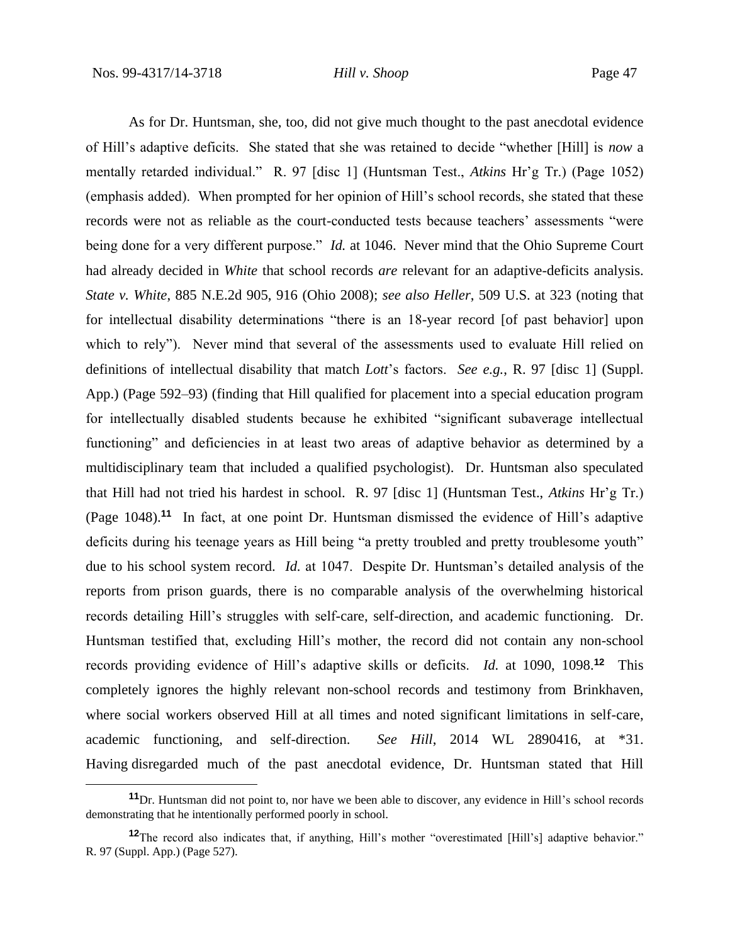As for Dr. Huntsman, she, too, did not give much thought to the past anecdotal evidence of Hill's adaptive deficits. She stated that she was retained to decide "whether [Hill] is *now* a mentally retarded individual." R. 97 [disc 1] (Huntsman Test., *Atkins* Hr'g Tr.) (Page 1052) (emphasis added). When prompted for her opinion of Hill's school records, she stated that these records were not as reliable as the court-conducted tests because teachers' assessments "were being done for a very different purpose." *Id.* at 1046. Never mind that the Ohio Supreme Court had already decided in *White* that school records *are* relevant for an adaptive-deficits analysis. *State v. White*, 885 N.E.2d 905, 916 (Ohio 2008); *see also Heller*, 509 U.S. at 323 (noting that for intellectual disability determinations "there is an 18-year record [of past behavior] upon which to rely"). Never mind that several of the assessments used to evaluate Hill relied on definitions of intellectual disability that match *Lott*'s factors. *See e.g.*, R. 97 [disc 1] (Suppl. App.) (Page 592–93) (finding that Hill qualified for placement into a special education program for intellectually disabled students because he exhibited "significant subaverage intellectual functioning" and deficiencies in at least two areas of adaptive behavior as determined by a multidisciplinary team that included a qualified psychologist). Dr. Huntsman also speculated that Hill had not tried his hardest in school. R. 97 [disc 1] (Huntsman Test., *Atkins* Hr'g Tr.) (Page 1048).**<sup>11</sup>** In fact, at one point Dr. Huntsman dismissed the evidence of Hill's adaptive deficits during his teenage years as Hill being "a pretty troubled and pretty troublesome youth" due to his school system record. *Id.* at 1047. Despite Dr. Huntsman's detailed analysis of the reports from prison guards, there is no comparable analysis of the overwhelming historical records detailing Hill's struggles with self-care, self-direction, and academic functioning. Dr. Huntsman testified that, excluding Hill's mother, the record did not contain any non-school records providing evidence of Hill's adaptive skills or deficits. *Id.* at 1090, 1098.**<sup>12</sup>** This completely ignores the highly relevant non-school records and testimony from Brinkhaven, where social workers observed Hill at all times and noted significant limitations in self-care, academic functioning, and self-direction. *See Hill*, 2014 WL 2890416, at \*31. Having disregarded much of the past anecdotal evidence, Dr. Huntsman stated that Hill

**<sup>11</sup>**Dr. Huntsman did not point to, nor have we been able to discover, any evidence in Hill's school records demonstrating that he intentionally performed poorly in school.

**<sup>12</sup>**The record also indicates that, if anything, Hill's mother "overestimated [Hill's] adaptive behavior." R. 97 (Suppl. App.) (Page 527).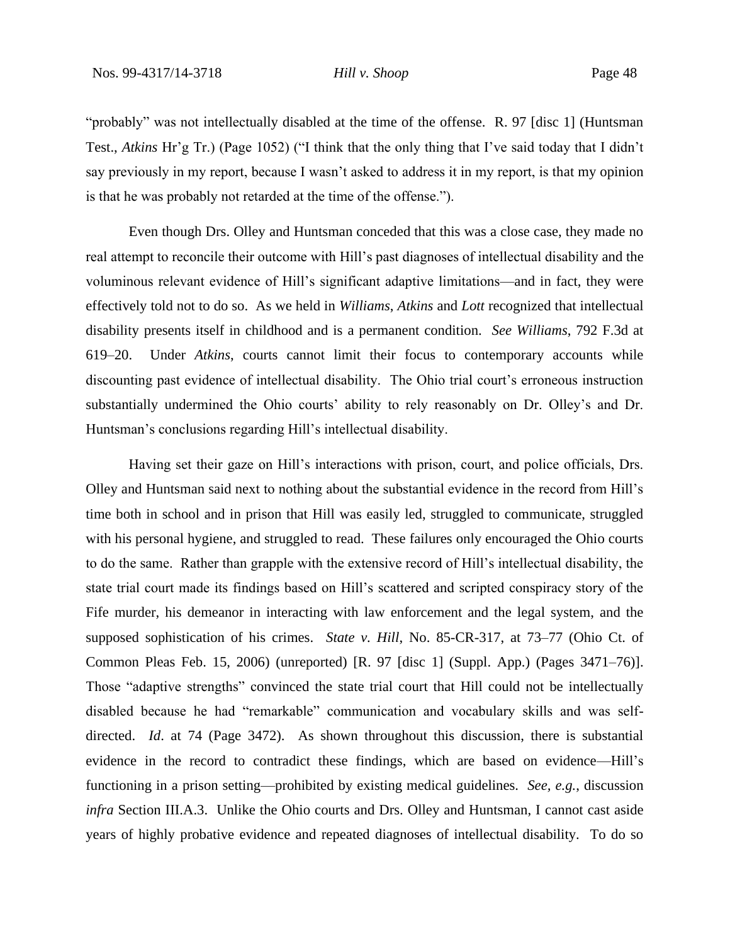"probably" was not intellectually disabled at the time of the offense. R. 97 [disc 1] (Huntsman Test., *Atkins* Hr'g Tr.) (Page 1052) ("I think that the only thing that I've said today that I didn't say previously in my report, because I wasn't asked to address it in my report, is that my opinion is that he was probably not retarded at the time of the offense.").

Even though Drs. Olley and Huntsman conceded that this was a close case, they made no real attempt to reconcile their outcome with Hill's past diagnoses of intellectual disability and the voluminous relevant evidence of Hill's significant adaptive limitations—and in fact, they were effectively told not to do so. As we held in *Williams*, *Atkins* and *Lott* recognized that intellectual disability presents itself in childhood and is a permanent condition. *See Williams*, 792 F.3d at 619–20. Under *Atkins*, courts cannot limit their focus to contemporary accounts while discounting past evidence of intellectual disability. The Ohio trial court's erroneous instruction substantially undermined the Ohio courts' ability to rely reasonably on Dr. Olley's and Dr. Huntsman's conclusions regarding Hill's intellectual disability.

Having set their gaze on Hill's interactions with prison, court, and police officials, Drs. Olley and Huntsman said next to nothing about the substantial evidence in the record from Hill's time both in school and in prison that Hill was easily led, struggled to communicate, struggled with his personal hygiene, and struggled to read. These failures only encouraged the Ohio courts to do the same. Rather than grapple with the extensive record of Hill's intellectual disability, the state trial court made its findings based on Hill's scattered and scripted conspiracy story of the Fife murder, his demeanor in interacting with law enforcement and the legal system, and the supposed sophistication of his crimes. *State v. Hill*, No. 85-CR-317, at 73–77 (Ohio Ct. of Common Pleas Feb. 15, 2006) (unreported) [R. 97 [disc 1] (Suppl. App.) (Pages 3471–76)]. Those "adaptive strengths" convinced the state trial court that Hill could not be intellectually disabled because he had "remarkable" communication and vocabulary skills and was selfdirected. *Id*. at 74 (Page 3472). As shown throughout this discussion, there is substantial evidence in the record to contradict these findings, which are based on evidence—Hill's functioning in a prison setting—prohibited by existing medical guidelines. *See, e.g.*, discussion *infra* Section III.A.3. Unlike the Ohio courts and Drs. Olley and Huntsman, I cannot cast aside years of highly probative evidence and repeated diagnoses of intellectual disability. To do so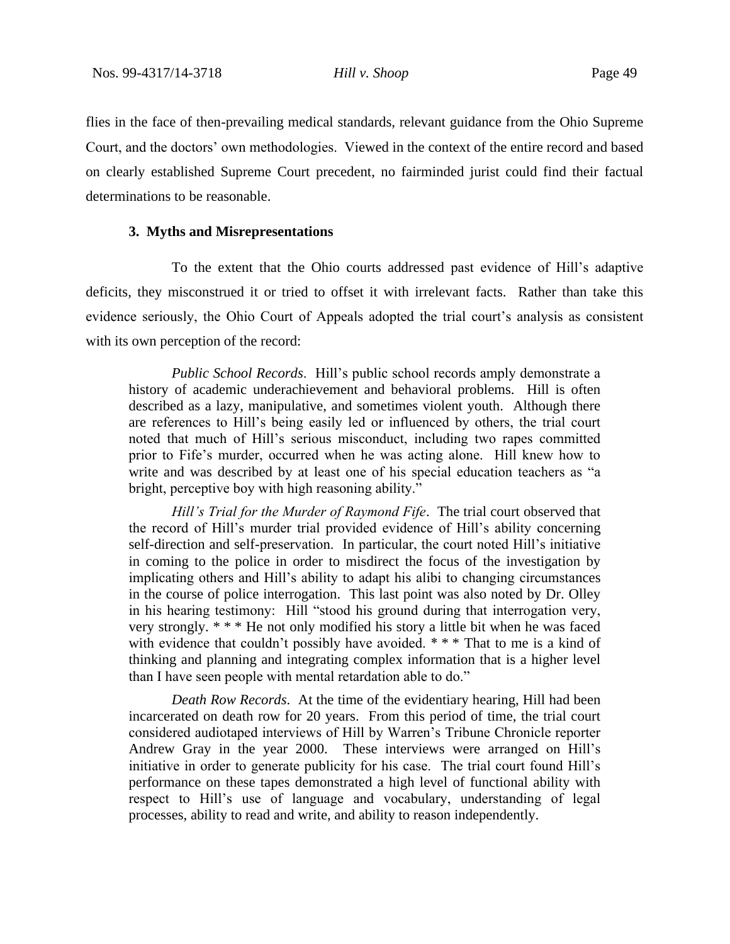flies in the face of then-prevailing medical standards, relevant guidance from the Ohio Supreme Court, and the doctors' own methodologies. Viewed in the context of the entire record and based on clearly established Supreme Court precedent, no fairminded jurist could find their factual determinations to be reasonable.

# **3. Myths and Misrepresentations**

To the extent that the Ohio courts addressed past evidence of Hill's adaptive deficits, they misconstrued it or tried to offset it with irrelevant facts. Rather than take this evidence seriously, the Ohio Court of Appeals adopted the trial court's analysis as consistent with its own perception of the record:

*Public School Records*. Hill's public school records amply demonstrate a history of academic underachievement and behavioral problems. Hill is often described as a lazy, manipulative, and sometimes violent youth. Although there are references to Hill's being easily led or influenced by others, the trial court noted that much of Hill's serious misconduct, including two rapes committed prior to Fife's murder, occurred when he was acting alone. Hill knew how to write and was described by at least one of his special education teachers as "a bright, perceptive boy with high reasoning ability."

*Hill's Trial for the Murder of Raymond Fife*. The trial court observed that the record of Hill's murder trial provided evidence of Hill's ability concerning self-direction and self-preservation. In particular, the court noted Hill's initiative in coming to the police in order to misdirect the focus of the investigation by implicating others and Hill's ability to adapt his alibi to changing circumstances in the course of police interrogation. This last point was also noted by Dr. Olley in his hearing testimony: Hill "stood his ground during that interrogation very, very strongly. \* \* \* He not only modified his story a little bit when he was faced with evidence that couldn't possibly have avoided. \*\*\* That to me is a kind of thinking and planning and integrating complex information that is a higher level than I have seen people with mental retardation able to do."

*Death Row Records*. At the time of the evidentiary hearing, Hill had been incarcerated on death row for 20 years. From this period of time, the trial court considered audiotaped interviews of Hill by Warren's Tribune Chronicle reporter Andrew Gray in the year 2000. These interviews were arranged on Hill's initiative in order to generate publicity for his case. The trial court found Hill's performance on these tapes demonstrated a high level of functional ability with respect to Hill's use of language and vocabulary, understanding of legal processes, ability to read and write, and ability to reason independently.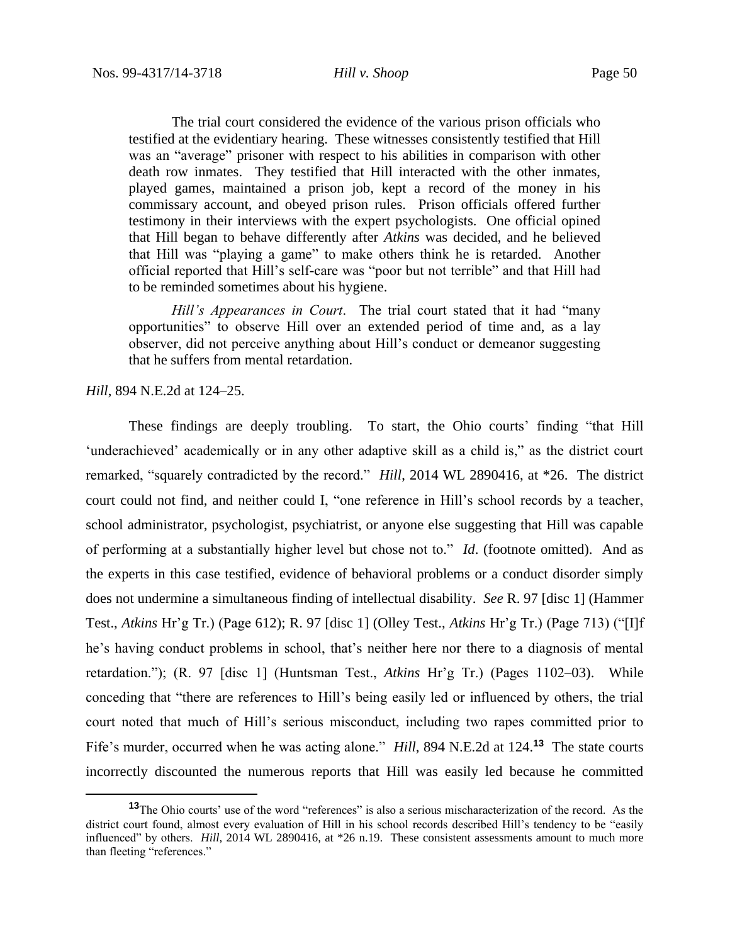The trial court considered the evidence of the various prison officials who testified at the evidentiary hearing. These witnesses consistently testified that Hill was an "average" prisoner with respect to his abilities in comparison with other death row inmates. They testified that Hill interacted with the other inmates, played games, maintained a prison job, kept a record of the money in his commissary account, and obeyed prison rules. Prison officials offered further testimony in their interviews with the expert psychologists. One official opined that Hill began to behave differently after *Atkins* was decided, and he believed that Hill was "playing a game" to make others think he is retarded. Another official reported that Hill's self-care was "poor but not terrible" and that Hill had to be reminded sometimes about his hygiene.

*Hill's Appearances in Court*. The trial court stated that it had "many opportunities" to observe Hill over an extended period of time and, as a lay observer, did not perceive anything about Hill's conduct or demeanor suggesting that he suffers from mental retardation.

*Hill*, 894 N.E.2d at 124–25.

These findings are deeply troubling. To start, the Ohio courts' finding "that Hill 'underachieved' academically or in any other adaptive skill as a child is," as the district court remarked, "squarely contradicted by the record." *Hill*, 2014 WL 2890416, at \*26. The district court could not find, and neither could I, "one reference in Hill's school records by a teacher, school administrator, psychologist, psychiatrist, or anyone else suggesting that Hill was capable of performing at a substantially higher level but chose not to." *Id*. (footnote omitted). And as the experts in this case testified, evidence of behavioral problems or a conduct disorder simply does not undermine a simultaneous finding of intellectual disability. *See* R. 97 [disc 1] (Hammer Test., *Atkins* Hr'g Tr.) (Page 612); R. 97 [disc 1] (Olley Test., *Atkins* Hr'g Tr.) (Page 713) ("[I]f he's having conduct problems in school, that's neither here nor there to a diagnosis of mental retardation."); (R. 97 [disc 1] (Huntsman Test., *Atkins* Hr'g Tr.) (Pages 1102–03). While conceding that "there are references to Hill's being easily led or influenced by others, the trial court noted that much of Hill's serious misconduct, including two rapes committed prior to Fife's murder, occurred when he was acting alone." *Hill*, 894 N.E.2d at 124.**<sup>13</sup>** The state courts incorrectly discounted the numerous reports that Hill was easily led because he committed

**<sup>13</sup>**The Ohio courts' use of the word "references" is also a serious mischaracterization of the record. As the district court found, almost every evaluation of Hill in his school records described Hill's tendency to be "easily influenced" by others. *Hill*, 2014 WL 2890416, at \*26 n.19. These consistent assessments amount to much more than fleeting "references."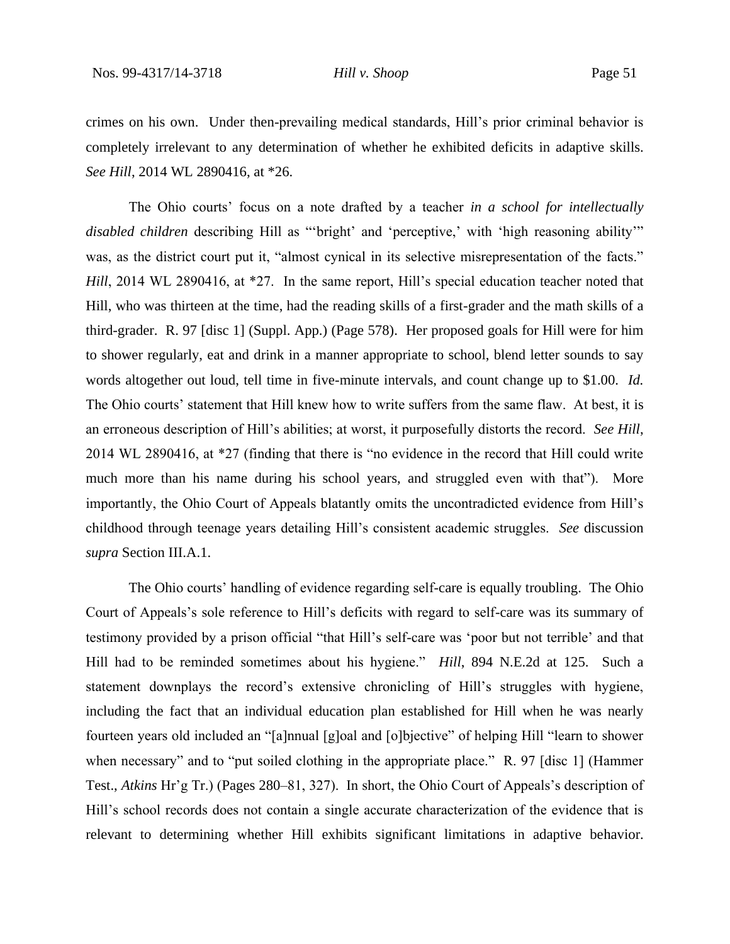crimes on his own. Under then-prevailing medical standards, Hill's prior criminal behavior is completely irrelevant to any determination of whether he exhibited deficits in adaptive skills. *See Hill*, 2014 WL 2890416, at \*26.

The Ohio courts' focus on a note drafted by a teacher *in a school for intellectually disabled children* describing Hill as "'bright' and 'perceptive,' with 'high reasoning ability'" was, as the district court put it, "almost cynical in its selective misrepresentation of the facts." *Hill*, 2014 WL 2890416, at \*27. In the same report, Hill's special education teacher noted that Hill, who was thirteen at the time, had the reading skills of a first-grader and the math skills of a third-grader. R. 97 [disc 1] (Suppl. App.) (Page 578).Her proposed goals for Hill were for him to shower regularly, eat and drink in a manner appropriate to school, blend letter sounds to say words altogether out loud, tell time in five-minute intervals, and count change up to \$1.00. *Id.* The Ohio courts' statement that Hill knew how to write suffers from the same flaw. At best, it is an erroneous description of Hill's abilities; at worst, it purposefully distorts the record. *See Hill*, 2014 WL 2890416, at \*27 (finding that there is "no evidence in the record that Hill could write much more than his name during his school years, and struggled even with that"). More importantly, the Ohio Court of Appeals blatantly omits the uncontradicted evidence from Hill's childhood through teenage years detailing Hill's consistent academic struggles. *See* discussion *supra* Section III.A.1.

The Ohio courts' handling of evidence regarding self-care is equally troubling. The Ohio Court of Appeals's sole reference to Hill's deficits with regard to self-care was its summary of testimony provided by a prison official "that Hill's self-care was 'poor but not terrible' and that Hill had to be reminded sometimes about his hygiene." *Hill*, 894 N.E.2d at 125. Such a statement downplays the record's extensive chronicling of Hill's struggles with hygiene, including the fact that an individual education plan established for Hill when he was nearly fourteen years old included an "[a]nnual [g]oal and [o]bjective" of helping Hill "learn to shower when necessary" and to "put soiled clothing in the appropriate place." R. 97 [disc 1] (Hammer Test., *Atkins* Hr'g Tr.) (Pages 280–81, 327). In short, the Ohio Court of Appeals's description of Hill's school records does not contain a single accurate characterization of the evidence that is relevant to determining whether Hill exhibits significant limitations in adaptive behavior.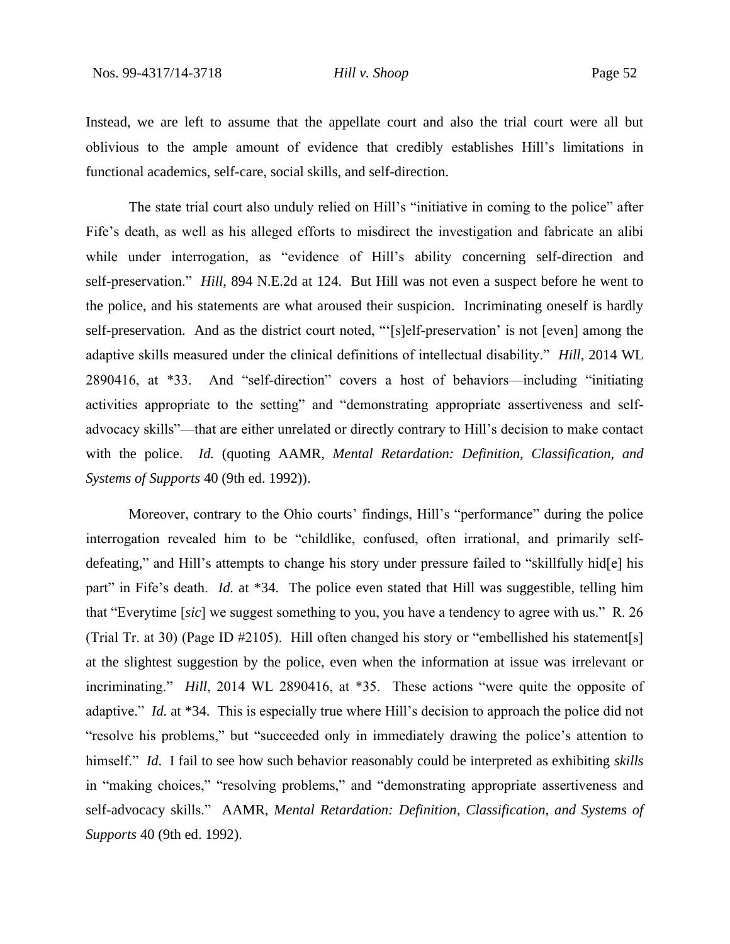Instead, we are left to assume that the appellate court and also the trial court were all but oblivious to the ample amount of evidence that credibly establishes Hill's limitations in functional academics, self-care, social skills, and self-direction.

The state trial court also unduly relied on Hill's "initiative in coming to the police" after Fife's death, as well as his alleged efforts to misdirect the investigation and fabricate an alibi while under interrogation, as "evidence of Hill's ability concerning self-direction and self-preservation." *Hill*, 894 N.E.2d at 124. But Hill was not even a suspect before he went to the police, and his statements are what aroused their suspicion. Incriminating oneself is hardly self-preservation. And as the district court noted, "'[s]elf-preservation' is not [even] among the adaptive skills measured under the clinical definitions of intellectual disability." *Hill*, 2014 WL 2890416, at \*33. And "self-direction" covers a host of behaviors—including "initiating activities appropriate to the setting" and "demonstrating appropriate assertiveness and selfadvocacy skills"—that are either unrelated or directly contrary to Hill's decision to make contact with the police. *Id.* (quoting AAMR, *Mental Retardation: Definition, Classification, and Systems of Supports* 40 (9th ed. 1992)).

Moreover, contrary to the Ohio courts' findings, Hill's "performance" during the police interrogation revealed him to be "childlike, confused, often irrational, and primarily selfdefeating," and Hill's attempts to change his story under pressure failed to "skillfully hid[e] his part" in Fife's death. *Id.* at \*34. The police even stated that Hill was suggestible, telling him that "Everytime [*sic*] we suggest something to you, you have a tendency to agree with us." R. 26 (Trial Tr. at 30) (Page ID #2105). Hill often changed his story or "embellished his statement[s] at the slightest suggestion by the police, even when the information at issue was irrelevant or incriminating." *Hill*, 2014 WL 2890416, at \*35. These actions "were quite the opposite of adaptive." *Id.* at \*34.This is especially true where Hill's decision to approach the police did not "resolve his problems," but "succeeded only in immediately drawing the police's attention to himself." *Id*. I fail to see how such behavior reasonably could be interpreted as exhibiting *skills* in "making choices," "resolving problems," and "demonstrating appropriate assertiveness and self-advocacy skills." AAMR, *Mental Retardation: Definition, Classification, and Systems of Supports* 40 (9th ed. 1992).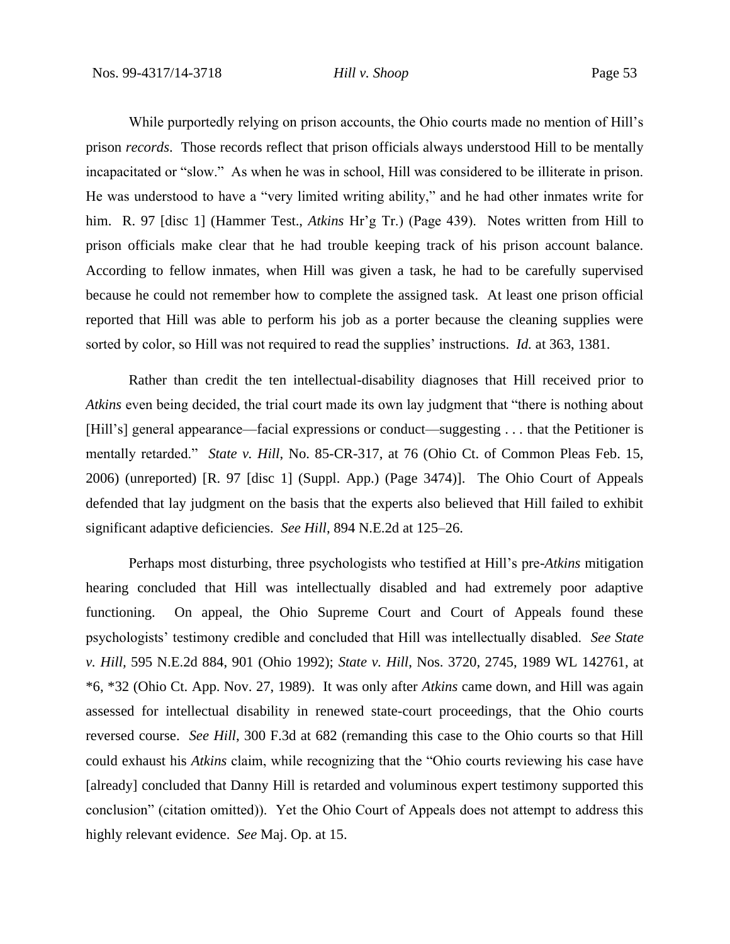While purportedly relying on prison accounts, the Ohio courts made no mention of Hill's prison *records*. Those records reflect that prison officials always understood Hill to be mentally incapacitated or "slow." As when he was in school, Hill was considered to be illiterate in prison. He was understood to have a "very limited writing ability," and he had other inmates write for him. R. 97 [disc 1] (Hammer Test., *Atkins* Hr'g Tr.) (Page 439).Notes written from Hill to prison officials make clear that he had trouble keeping track of his prison account balance. According to fellow inmates, when Hill was given a task, he had to be carefully supervised because he could not remember how to complete the assigned task. At least one prison official reported that Hill was able to perform his job as a porter because the cleaning supplies were sorted by color, so Hill was not required to read the supplies' instructions. *Id.* at 363, 1381.

Rather than credit the ten intellectual-disability diagnoses that Hill received prior to *Atkins* even being decided, the trial court made its own lay judgment that "there is nothing about [Hill's] general appearance—facial expressions or conduct—suggesting . . . that the Petitioner is mentally retarded." *State v. Hill*, No. 85-CR-317, at 76 (Ohio Ct. of Common Pleas Feb. 15, 2006) (unreported) [R. 97 [disc 1] (Suppl. App.) (Page 3474)]. The Ohio Court of Appeals defended that lay judgment on the basis that the experts also believed that Hill failed to exhibit significant adaptive deficiencies. *See Hill*, 894 N.E.2d at 125–26.

Perhaps most disturbing, three psychologists who testified at Hill's pre-*Atkins* mitigation hearing concluded that Hill was intellectually disabled and had extremely poor adaptive functioning. On appeal, the Ohio Supreme Court and Court of Appeals found these psychologists' testimony credible and concluded that Hill was intellectually disabled. *See State v. Hill,* 595 N.E.2d 884, 901 (Ohio 1992); *State v. Hill*, Nos. 3720, 2745, 1989 WL 142761, at \*6, \*32 (Ohio Ct. App. Nov. 27, 1989). It was only after *Atkins* came down, and Hill was again assessed for intellectual disability in renewed state-court proceedings, that the Ohio courts reversed course. *See Hill*, 300 F.3d at 682 (remanding this case to the Ohio courts so that Hill could exhaust his *Atkins* claim, while recognizing that the "Ohio courts reviewing his case have [already] concluded that Danny Hill is retarded and voluminous expert testimony supported this conclusion" (citation omitted)). Yet the Ohio Court of Appeals does not attempt to address this highly relevant evidence. *See* Maj. Op. at 15.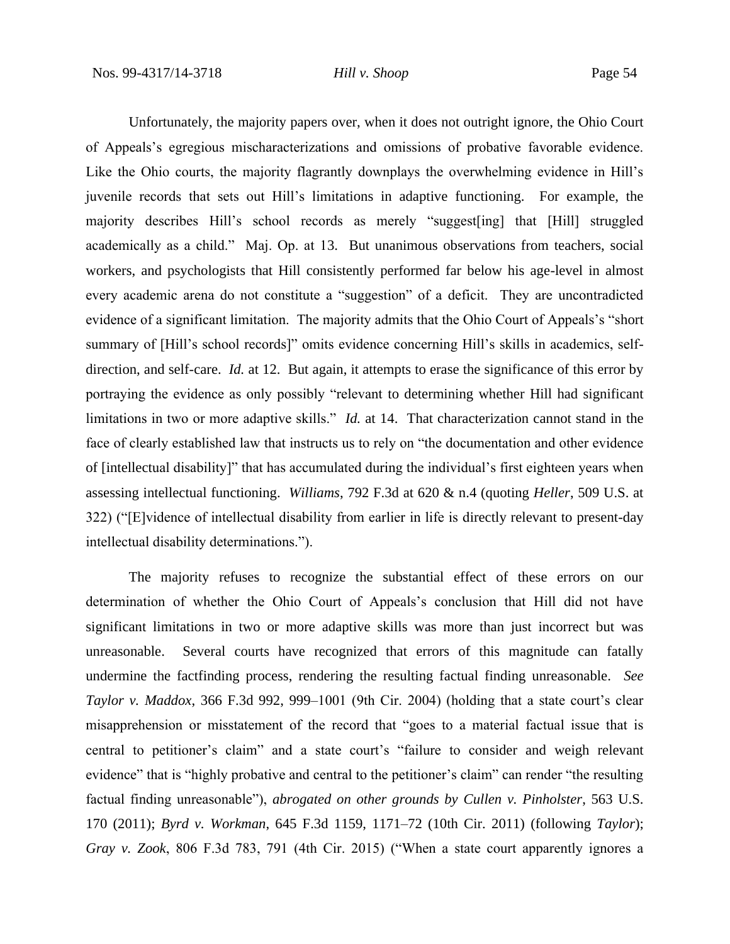Unfortunately, the majority papers over, when it does not outright ignore, the Ohio Court of Appeals's egregious mischaracterizations and omissions of probative favorable evidence. Like the Ohio courts, the majority flagrantly downplays the overwhelming evidence in Hill's juvenile records that sets out Hill's limitations in adaptive functioning. For example, the majority describes Hill's school records as merely "suggest[ing] that [Hill] struggled academically as a child." Maj. Op. at 13. But unanimous observations from teachers, social workers, and psychologists that Hill consistently performed far below his age-level in almost every academic arena do not constitute a "suggestion" of a deficit. They are uncontradicted evidence of a significant limitation. The majority admits that the Ohio Court of Appeals's "short summary of [Hill's school records]" omits evidence concerning Hill's skills in academics, selfdirection, and self-care. *Id.* at 12. But again, it attempts to erase the significance of this error by portraying the evidence as only possibly "relevant to determining whether Hill had significant limitations in two or more adaptive skills." *Id.* at 14. That characterization cannot stand in the face of clearly established law that instructs us to rely on "the documentation and other evidence of [intellectual disability]" that has accumulated during the individual's first eighteen years when assessing intellectual functioning. *Williams*, 792 F.3d at 620 & n.4 (quoting *Heller*, 509 U.S. at 322) ("[E]vidence of intellectual disability from earlier in life is directly relevant to present-day intellectual disability determinations.").

The majority refuses to recognize the substantial effect of these errors on our determination of whether the Ohio Court of Appeals's conclusion that Hill did not have significant limitations in two or more adaptive skills was more than just incorrect but was unreasonable. Several courts have recognized that errors of this magnitude can fatally undermine the factfinding process, rendering the resulting factual finding unreasonable. *See Taylor v. Maddox*, 366 F.3d 992, 999–1001 (9th Cir. 2004) (holding that a state court's clear misapprehension or misstatement of the record that "goes to a material factual issue that is central to petitioner's claim" and a state court's "failure to consider and weigh relevant evidence" that is "highly probative and central to the petitioner's claim" can render "the resulting factual finding unreasonable"), *abrogated on other grounds by Cullen v. Pinholster*, 563 U.S. 170 (2011); *Byrd v. Workman*, 645 F.3d 1159, 1171–72 (10th Cir. 2011) (following *Taylor*); *Gray v. Zook*, 806 F.3d 783, 791 (4th Cir. 2015) ("When a state court apparently ignores a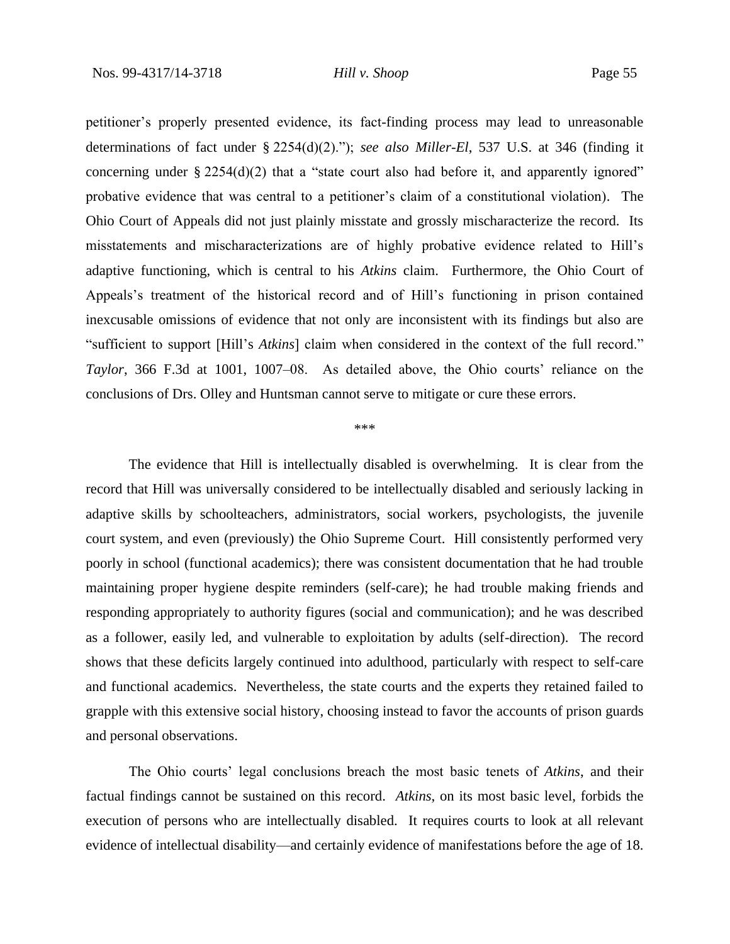petitioner's properly presented evidence, its fact-finding process may lead to unreasonable determinations of fact under § 2254(d)(2)."); *see also Miller-El*, 537 U.S. at 346 (finding it concerning under  $\S 2254(d)(2)$  that a "state court also had before it, and apparently ignored" probative evidence that was central to a petitioner's claim of a constitutional violation). The Ohio Court of Appeals did not just plainly misstate and grossly mischaracterize the record. Its misstatements and mischaracterizations are of highly probative evidence related to Hill's adaptive functioning, which is central to his *Atkins* claim. Furthermore, the Ohio Court of Appeals's treatment of the historical record and of Hill's functioning in prison contained inexcusable omissions of evidence that not only are inconsistent with its findings but also are "sufficient to support [Hill's *Atkins*] claim when considered in the context of the full record." *Taylor*, 366 F.3d at 1001, 1007–08. As detailed above, the Ohio courts' reliance on the conclusions of Drs. Olley and Huntsman cannot serve to mitigate or cure these errors.

### \*\*\*

The evidence that Hill is intellectually disabled is overwhelming. It is clear from the record that Hill was universally considered to be intellectually disabled and seriously lacking in adaptive skills by schoolteachers, administrators, social workers, psychologists, the juvenile court system, and even (previously) the Ohio Supreme Court. Hill consistently performed very poorly in school (functional academics); there was consistent documentation that he had trouble maintaining proper hygiene despite reminders (self-care); he had trouble making friends and responding appropriately to authority figures (social and communication); and he was described as a follower, easily led, and vulnerable to exploitation by adults (self-direction). The record shows that these deficits largely continued into adulthood, particularly with respect to self-care and functional academics. Nevertheless, the state courts and the experts they retained failed to grapple with this extensive social history, choosing instead to favor the accounts of prison guards and personal observations.

The Ohio courts' legal conclusions breach the most basic tenets of *Atkins*, and their factual findings cannot be sustained on this record. *Atkins*, on its most basic level, forbids the execution of persons who are intellectually disabled. It requires courts to look at all relevant evidence of intellectual disability—and certainly evidence of manifestations before the age of 18.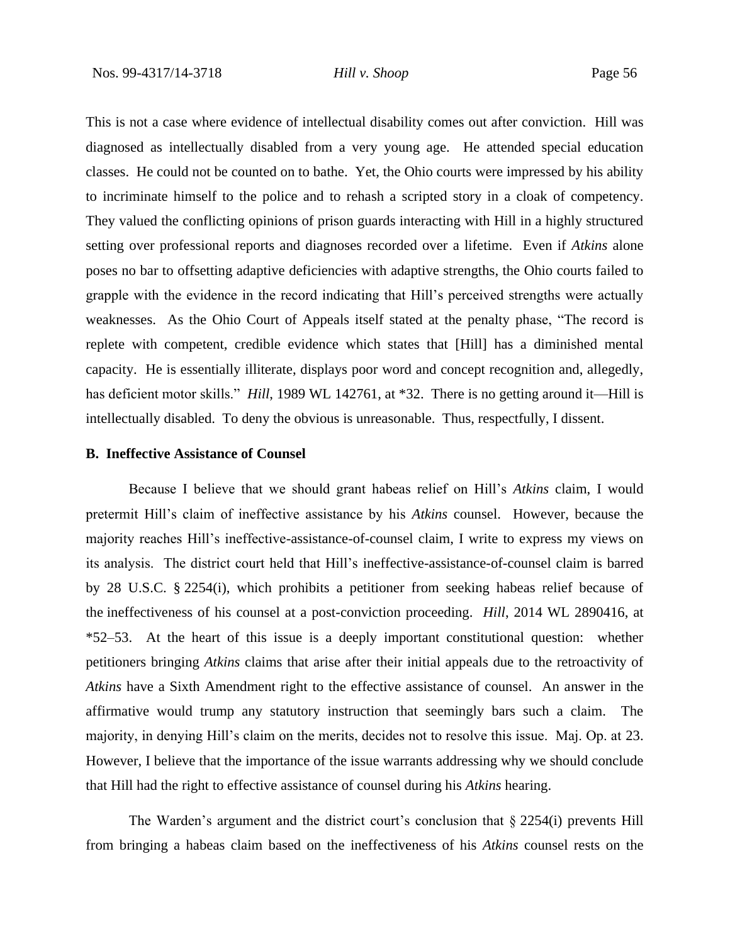This is not a case where evidence of intellectual disability comes out after conviction. Hill was diagnosed as intellectually disabled from a very young age. He attended special education classes. He could not be counted on to bathe. Yet, the Ohio courts were impressed by his ability to incriminate himself to the police and to rehash a scripted story in a cloak of competency. They valued the conflicting opinions of prison guards interacting with Hill in a highly structured setting over professional reports and diagnoses recorded over a lifetime. Even if *Atkins* alone poses no bar to offsetting adaptive deficiencies with adaptive strengths, the Ohio courts failed to grapple with the evidence in the record indicating that Hill's perceived strengths were actually weaknesses. As the Ohio Court of Appeals itself stated at the penalty phase, "The record is replete with competent, credible evidence which states that [Hill] has a diminished mental capacity. He is essentially illiterate, displays poor word and concept recognition and, allegedly, has deficient motor skills." *Hill*, 1989 WL 142761, at \*32. There is no getting around it—Hill is intellectually disabled. To deny the obvious is unreasonable. Thus, respectfully, I dissent.

# **B. Ineffective Assistance of Counsel**

Because I believe that we should grant habeas relief on Hill's *Atkins* claim, I would pretermit Hill's claim of ineffective assistance by his *Atkins* counsel. However, because the majority reaches Hill's ineffective-assistance-of-counsel claim, I write to express my views on its analysis. The district court held that Hill's ineffective-assistance-of-counsel claim is barred by 28 U.S.C. § 2254(i), which prohibits a petitioner from seeking habeas relief because of the ineffectiveness of his counsel at a post-conviction proceeding. *Hill*, 2014 WL 2890416, at \*52–53. At the heart of this issue is a deeply important constitutional question: whether petitioners bringing *Atkins* claims that arise after their initial appeals due to the retroactivity of *Atkins* have a Sixth Amendment right to the effective assistance of counsel. An answer in the affirmative would trump any statutory instruction that seemingly bars such a claim. The majority, in denying Hill's claim on the merits, decides not to resolve this issue. Maj. Op. at 23. However, I believe that the importance of the issue warrants addressing why we should conclude that Hill had the right to effective assistance of counsel during his *Atkins* hearing.

The Warden's argument and the district court's conclusion that § 2254(i) prevents Hill from bringing a habeas claim based on the ineffectiveness of his *Atkins* counsel rests on the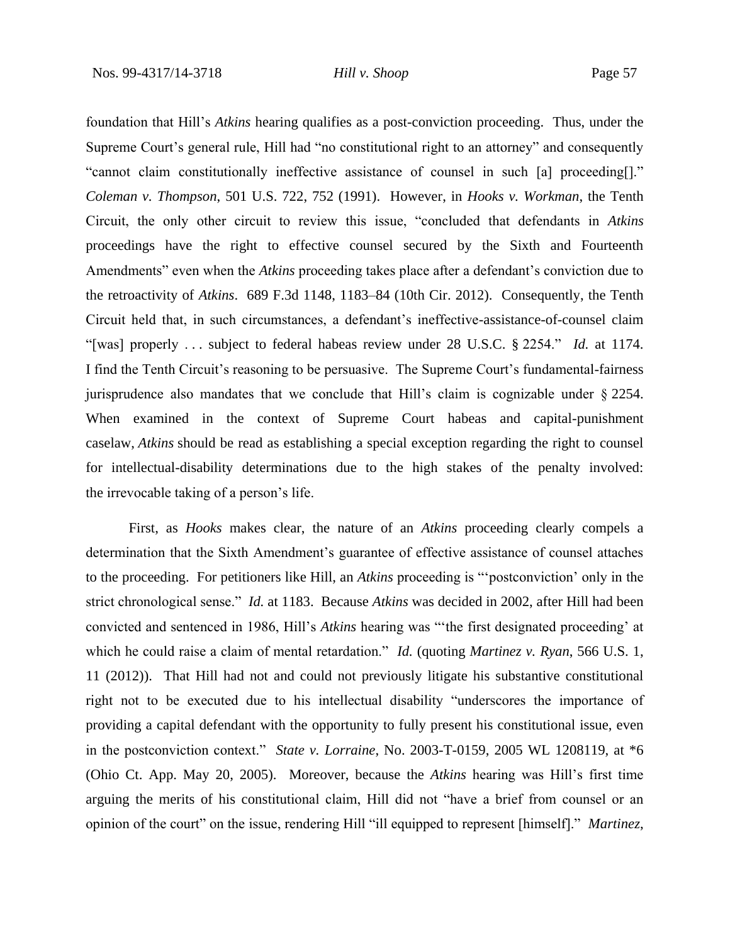foundation that Hill's *Atkins* hearing qualifies as a post-conviction proceeding. Thus, under the Supreme Court's general rule, Hill had "no constitutional right to an attorney" and consequently "cannot claim constitutionally ineffective assistance of counsel in such [a] proceeding[]." *Coleman v. Thompson*, 501 U.S. 722, 752 (1991). However, in *Hooks v. Workman*, the Tenth Circuit, the only other circuit to review this issue, "concluded that defendants in *Atkins* proceedings have the right to effective counsel secured by the Sixth and Fourteenth Amendments" even when the *Atkins* proceeding takes place after a defendant's conviction due to the retroactivity of *Atkins*. 689 F.3d 1148, 1183–84 (10th Cir. 2012). Consequently, the Tenth Circuit held that, in such circumstances, a defendant's ineffective-assistance-of-counsel claim "[was] properly . . . subject to federal habeas review under 28 U.S.C. § 2254." *Id.* at 1174. I find the Tenth Circuit's reasoning to be persuasive. The Supreme Court's fundamental-fairness jurisprudence also mandates that we conclude that Hill's claim is cognizable under § 2254. When examined in the context of Supreme Court habeas and capital-punishment caselaw, *Atkins* should be read as establishing a special exception regarding the right to counsel for intellectual-disability determinations due to the high stakes of the penalty involved: the irrevocable taking of a person's life.

First, as *Hooks* makes clear, the nature of an *Atkins* proceeding clearly compels a determination that the Sixth Amendment's guarantee of effective assistance of counsel attaches to the proceeding. For petitioners like Hill, an *Atkins* proceeding is "'postconviction' only in the strict chronological sense." *Id.* at 1183. Because *Atkins* was decided in 2002, after Hill had been convicted and sentenced in 1986, Hill's *Atkins* hearing was "'the first designated proceeding' at which he could raise a claim of mental retardation." *Id.* (quoting *Martinez v. Ryan*, 566 U.S. 1, 11 (2012)). That Hill had not and could not previously litigate his substantive constitutional right not to be executed due to his intellectual disability "underscores the importance of providing a capital defendant with the opportunity to fully present his constitutional issue, even in the postconviction context." *State v. Lorraine*, No. 2003-T-0159, 2005 WL 1208119, at \*6 (Ohio Ct. App. May 20, 2005). Moreover, because the *Atkins* hearing was Hill's first time arguing the merits of his constitutional claim, Hill did not "have a brief from counsel or an opinion of the court" on the issue, rendering Hill "ill equipped to represent [himself]." *Martinez*,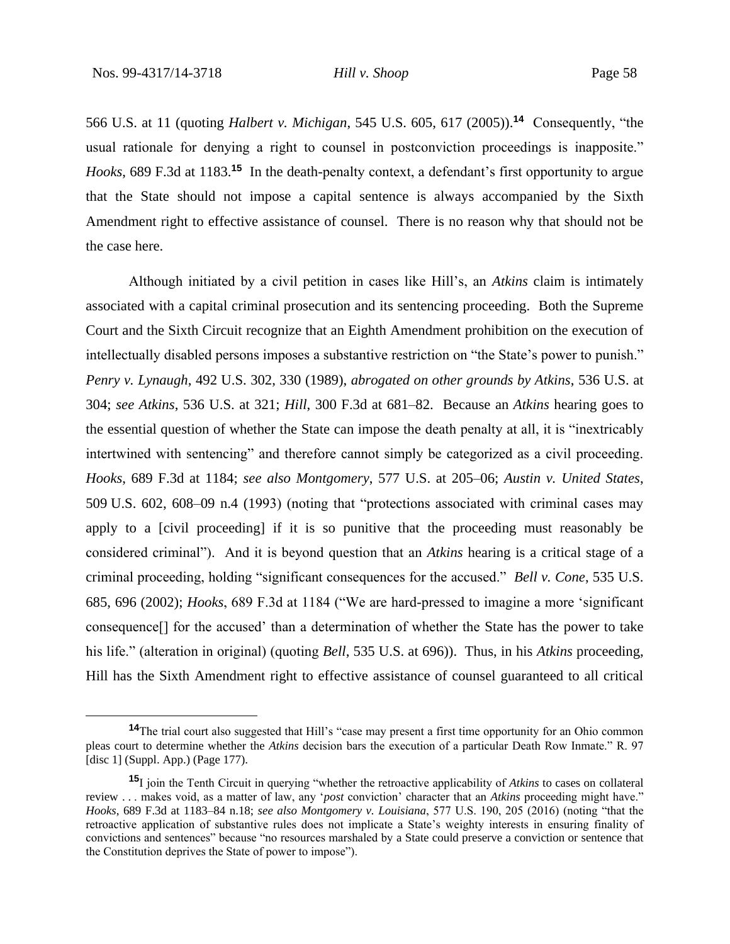566 U.S. at 11 (quoting *Halbert v. Michigan*, 545 U.S. 605, 617 (2005)).**<sup>14</sup>** Consequently, "the usual rationale for denying a right to counsel in postconviction proceedings is inapposite." *Hooks*, 689 F.3d at 1183.**<sup>15</sup>** In the death-penalty context, a defendant's first opportunity to argue that the State should not impose a capital sentence is always accompanied by the Sixth Amendment right to effective assistance of counsel. There is no reason why that should not be the case here.

Although initiated by a civil petition in cases like Hill's, an *Atkins* claim is intimately associated with a capital criminal prosecution and its sentencing proceeding. Both the Supreme Court and the Sixth Circuit recognize that an Eighth Amendment prohibition on the execution of intellectually disabled persons imposes a substantive restriction on "the State's power to punish." *Penry v. Lynaugh*, 492 U.S. 302, 330 (1989), *abrogated on other grounds by Atkins*, 536 U.S. at 304; *see Atkins*, 536 U.S. at 321; *Hill*, 300 F.3d at 681–82. Because an *Atkins* hearing goes to the essential question of whether the State can impose the death penalty at all, it is "inextricably intertwined with sentencing" and therefore cannot simply be categorized as a civil proceeding. *Hooks*, 689 F.3d at 1184; *see also Montgomery*, 577 U.S. at 205–06; *Austin v. United States*, 509 U.S. 602, 608–09 n.4 (1993) (noting that "protections associated with criminal cases may apply to a [civil proceeding] if it is so punitive that the proceeding must reasonably be considered criminal"). And it is beyond question that an *Atkins* hearing is a critical stage of a criminal proceeding, holding "significant consequences for the accused." *Bell v. Cone*, 535 U.S. 685, 696 (2002); *Hooks*, 689 F.3d at 1184 ("We are hard-pressed to imagine a more 'significant consequence[] for the accused' than a determination of whether the State has the power to take his life." (alteration in original) (quoting *Bell*, 535 U.S. at 696)). Thus, in his *Atkins* proceeding, Hill has the Sixth Amendment right to effective assistance of counsel guaranteed to all critical

**<sup>14</sup>**The trial court also suggested that Hill's "case may present a first time opportunity for an Ohio common pleas court to determine whether the *Atkins* decision bars the execution of a particular Death Row Inmate." R. 97 [disc 1] (Suppl. App.) (Page 177).

**<sup>15</sup>**I join the Tenth Circuit in querying "whether the retroactive applicability of *Atkins* to cases on collateral review . . . makes void, as a matter of law, any '*post* conviction' character that an *Atkins* proceeding might have." *Hooks*, 689 F.3d at 1183–84 n.18; *see also Montgomery v. Louisiana*, 577 U.S. 190, 205 (2016) (noting "that the retroactive application of substantive rules does not implicate a State's weighty interests in ensuring finality of convictions and sentences" because "no resources marshaled by a State could preserve a conviction or sentence that the Constitution deprives the State of power to impose").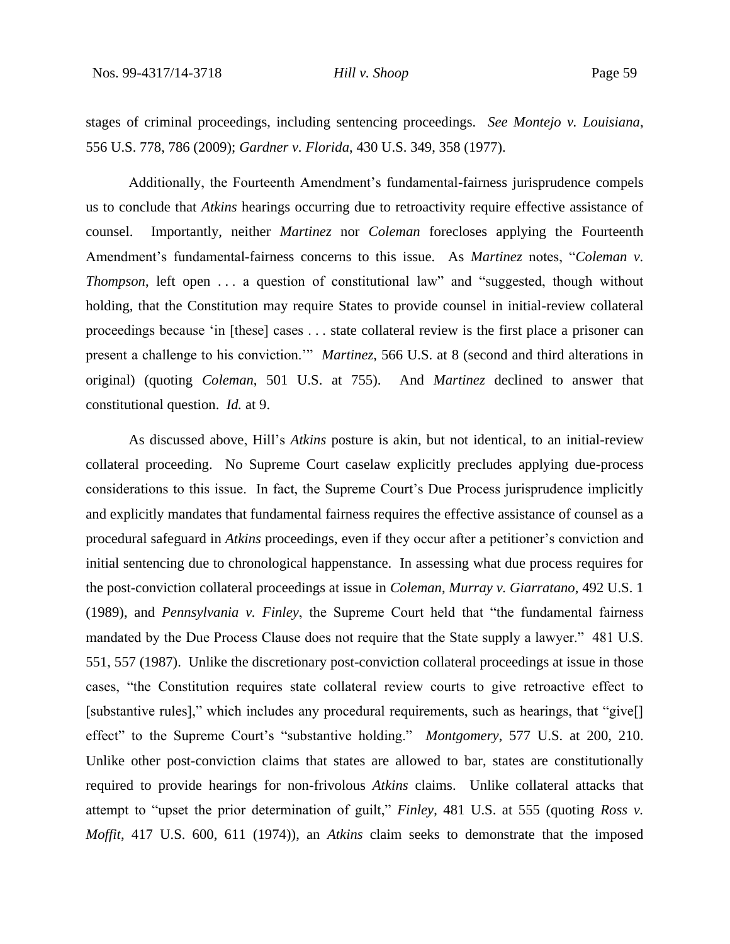stages of criminal proceedings, including sentencing proceedings. *See Montejo v. Louisiana*, 556 U.S. 778, 786 (2009); *Gardner v. Florida*, 430 U.S. 349, 358 (1977).

Additionally, the Fourteenth Amendment's fundamental-fairness jurisprudence compels us to conclude that *Atkins* hearings occurring due to retroactivity require effective assistance of counsel. Importantly, neither *Martinez* nor *Coleman* forecloses applying the Fourteenth Amendment's fundamental-fairness concerns to this issue. As *Martinez* notes, "*Coleman v. Thompson*, left open ... a question of constitutional law" and "suggested, though without holding, that the Constitution may require States to provide counsel in initial-review collateral proceedings because 'in [these] cases . . . state collateral review is the first place a prisoner can present a challenge to his conviction.'" *Martinez*, 566 U.S. at 8 (second and third alterations in original) (quoting *Coleman*, 501 U.S. at 755). And *Martinez* declined to answer that constitutional question. *Id.* at 9.

As discussed above, Hill's *Atkins* posture is akin, but not identical, to an initial-review collateral proceeding. No Supreme Court caselaw explicitly precludes applying due-process considerations to this issue. In fact, the Supreme Court's Due Process jurisprudence implicitly and explicitly mandates that fundamental fairness requires the effective assistance of counsel as a procedural safeguard in *Atkins* proceedings, even if they occur after a petitioner's conviction and initial sentencing due to chronological happenstance. In assessing what due process requires for the post-conviction collateral proceedings at issue in *Coleman*, *Murray v. Giarratano*, 492 U.S. 1 (1989), and *Pennsylvania v. Finley*, the Supreme Court held that "the fundamental fairness mandated by the Due Process Clause does not require that the State supply a lawyer." 481 U.S. 551, 557 (1987). Unlike the discretionary post-conviction collateral proceedings at issue in those cases, "the Constitution requires state collateral review courts to give retroactive effect to [substantive rules]," which includes any procedural requirements, such as hearings, that "give[] effect" to the Supreme Court's "substantive holding." *Montgomery*, 577 U.S. at 200, 210. Unlike other post-conviction claims that states are allowed to bar, states are constitutionally required to provide hearings for non-frivolous *Atkins* claims. Unlike collateral attacks that attempt to "upset the prior determination of guilt," *Finley*, 481 U.S. at 555 (quoting *Ross v. Moffit*, 417 U.S. 600, 611 (1974)), an *Atkins* claim seeks to demonstrate that the imposed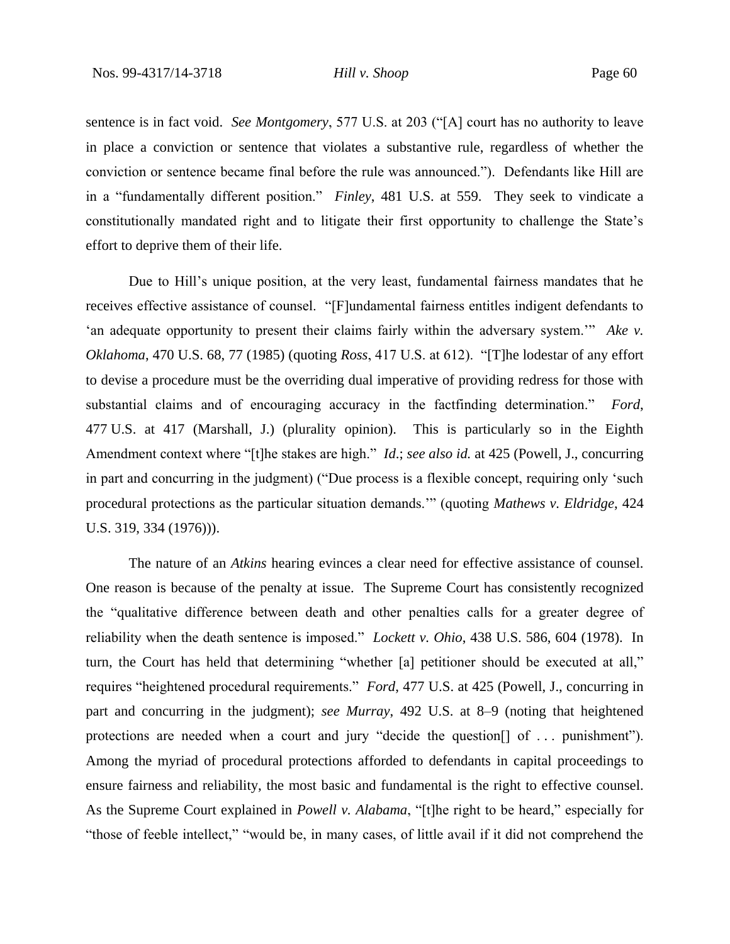sentence is in fact void. *See Montgomery*, 577 U.S. at 203 ("[A] court has no authority to leave in place a conviction or sentence that violates a substantive rule, regardless of whether the conviction or sentence became final before the rule was announced."). Defendants like Hill are in a "fundamentally different position." *Finley*, 481 U.S. at 559. They seek to vindicate a constitutionally mandated right and to litigate their first opportunity to challenge the State's effort to deprive them of their life.

Due to Hill's unique position, at the very least, fundamental fairness mandates that he receives effective assistance of counsel. "[F]undamental fairness entitles indigent defendants to 'an adequate opportunity to present their claims fairly within the adversary system.'" *Ake v. Oklahoma*, 470 U.S. 68, 77 (1985) (quoting *Ross*, 417 U.S. at 612). "[T]he lodestar of any effort to devise a procedure must be the overriding dual imperative of providing redress for those with substantial claims and of encouraging accuracy in the factfinding determination." *Ford*, 477 U.S. at 417 (Marshall, J.) (plurality opinion). This is particularly so in the Eighth Amendment context where "[t]he stakes are high." *Id*.; *see also id.* at 425 (Powell, J., concurring in part and concurring in the judgment) ("Due process is a flexible concept, requiring only 'such procedural protections as the particular situation demands.'" (quoting *Mathews v. Eldridge*, 424 U.S. 319, 334 (1976))).

The nature of an *Atkins* hearing evinces a clear need for effective assistance of counsel. One reason is because of the penalty at issue. The Supreme Court has consistently recognized the "qualitative difference between death and other penalties calls for a greater degree of reliability when the death sentence is imposed." *Lockett v. Ohio*, 438 U.S. 586, 604 (1978). In turn, the Court has held that determining "whether [a] petitioner should be executed at all," requires "heightened procedural requirements." *Ford*, 477 U.S. at 425 (Powell, J., concurring in part and concurring in the judgment); *see Murray*, 492 U.S. at 8–9 (noting that heightened protections are needed when a court and jury "decide the question[] of . . . punishment"). Among the myriad of procedural protections afforded to defendants in capital proceedings to ensure fairness and reliability, the most basic and fundamental is the right to effective counsel. As the Supreme Court explained in *Powell v. Alabama*, "[t]he right to be heard," especially for "those of feeble intellect," "would be, in many cases, of little avail if it did not comprehend the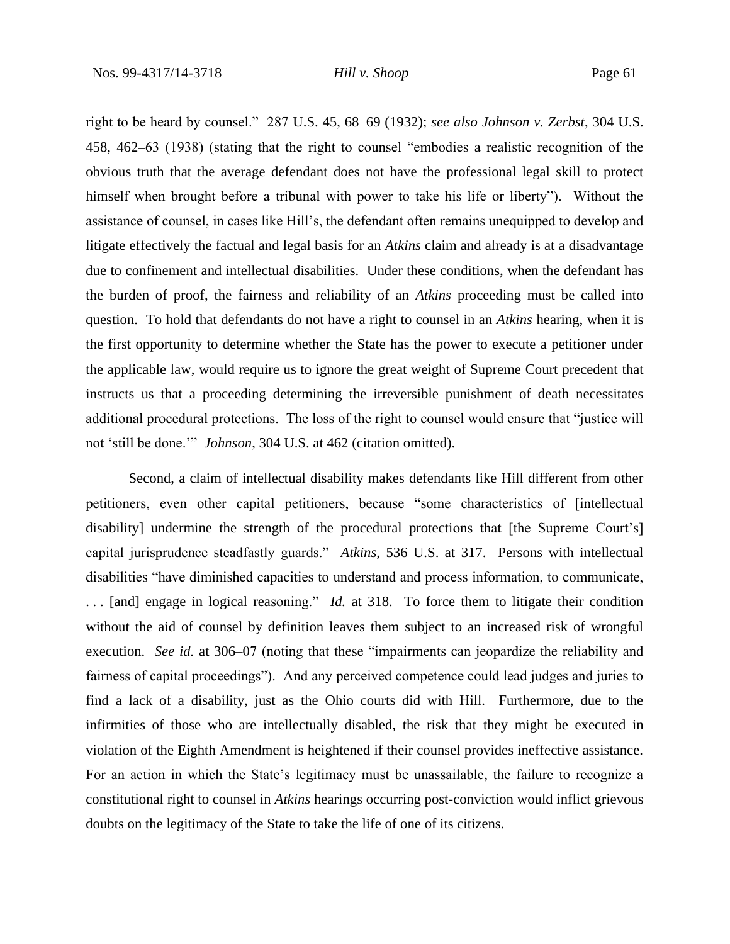right to be heard by counsel." 287 U.S. 45, 68–69 (1932); *see also Johnson v. Zerbst*, 304 U.S. 458, 462–63 (1938) (stating that the right to counsel "embodies a realistic recognition of the obvious truth that the average defendant does not have the professional legal skill to protect himself when brought before a tribunal with power to take his life or liberty"). Without the assistance of counsel, in cases like Hill's, the defendant often remains unequipped to develop and litigate effectively the factual and legal basis for an *Atkins* claim and already is at a disadvantage due to confinement and intellectual disabilities. Under these conditions, when the defendant has the burden of proof, the fairness and reliability of an *Atkins* proceeding must be called into question. To hold that defendants do not have a right to counsel in an *Atkins* hearing, when it is the first opportunity to determine whether the State has the power to execute a petitioner under the applicable law, would require us to ignore the great weight of Supreme Court precedent that instructs us that a proceeding determining the irreversible punishment of death necessitates additional procedural protections. The loss of the right to counsel would ensure that "justice will not 'still be done.'" *Johnson*, 304 U.S. at 462 (citation omitted).

Second, a claim of intellectual disability makes defendants like Hill different from other petitioners, even other capital petitioners, because "some characteristics of [intellectual disability] undermine the strength of the procedural protections that [the Supreme Court's] capital jurisprudence steadfastly guards." *Atkins*, 536 U.S. at 317. Persons with intellectual disabilities "have diminished capacities to understand and process information, to communicate, . . . [and] engage in logical reasoning." *Id.* at 318. To force them to litigate their condition without the aid of counsel by definition leaves them subject to an increased risk of wrongful execution. *See id.* at 306–07 (noting that these "impairments can jeopardize the reliability and fairness of capital proceedings"). And any perceived competence could lead judges and juries to find a lack of a disability, just as the Ohio courts did with Hill. Furthermore, due to the infirmities of those who are intellectually disabled, the risk that they might be executed in violation of the Eighth Amendment is heightened if their counsel provides ineffective assistance. For an action in which the State's legitimacy must be unassailable, the failure to recognize a constitutional right to counsel in *Atkins* hearings occurring post-conviction would inflict grievous doubts on the legitimacy of the State to take the life of one of its citizens.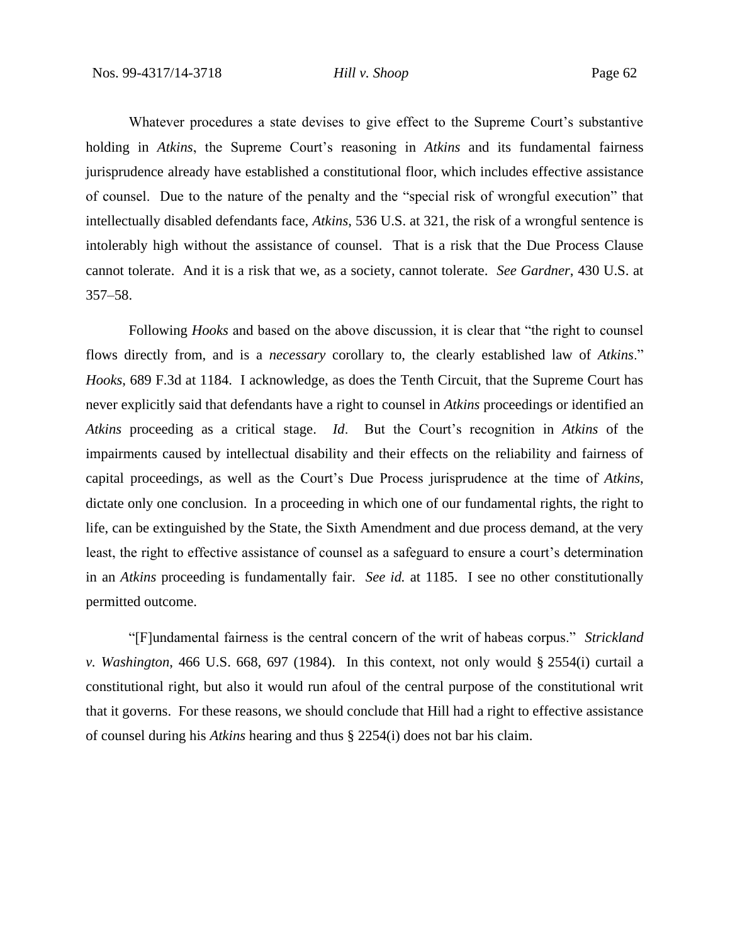Whatever procedures a state devises to give effect to the Supreme Court's substantive holding in *Atkins*, the Supreme Court's reasoning in *Atkins* and its fundamental fairness jurisprudence already have established a constitutional floor, which includes effective assistance of counsel. Due to the nature of the penalty and the "special risk of wrongful execution" that intellectually disabled defendants face, *Atkins*, 536 U.S. at 321, the risk of a wrongful sentence is intolerably high without the assistance of counsel. That is a risk that the Due Process Clause cannot tolerate. And it is a risk that we, as a society, cannot tolerate. *See Gardner*, 430 U.S. at 357–58.

Following *Hooks* and based on the above discussion, it is clear that "the right to counsel flows directly from, and is a *necessary* corollary to, the clearly established law of *Atkins*." *Hooks*, 689 F.3d at 1184. I acknowledge, as does the Tenth Circuit, that the Supreme Court has never explicitly said that defendants have a right to counsel in *Atkins* proceedings or identified an *Atkins* proceeding as a critical stage. *Id*. But the Court's recognition in *Atkins* of the impairments caused by intellectual disability and their effects on the reliability and fairness of capital proceedings, as well as the Court's Due Process jurisprudence at the time of *Atkins*, dictate only one conclusion. In a proceeding in which one of our fundamental rights, the right to life, can be extinguished by the State, the Sixth Amendment and due process demand, at the very least, the right to effective assistance of counsel as a safeguard to ensure a court's determination in an *Atkins* proceeding is fundamentally fair. *See id.* at 1185. I see no other constitutionally permitted outcome.

"[F]undamental fairness is the central concern of the writ of habeas corpus." *Strickland v. Washington*, 466 U.S. 668, 697 (1984). In this context, not only would § 2554(i) curtail a constitutional right, but also it would run afoul of the central purpose of the constitutional writ that it governs. For these reasons, we should conclude that Hill had a right to effective assistance of counsel during his *Atkins* hearing and thus § 2254(i) does not bar his claim.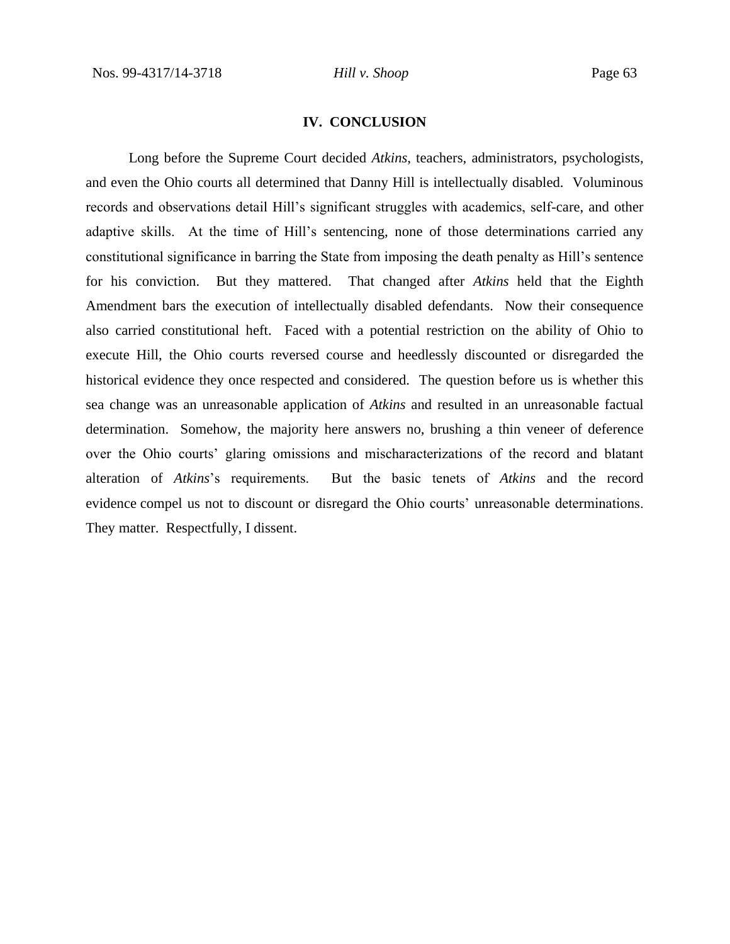# **IV. CONCLUSION**

Long before the Supreme Court decided *Atkins*, teachers, administrators, psychologists, and even the Ohio courts all determined that Danny Hill is intellectually disabled. Voluminous records and observations detail Hill's significant struggles with academics, self-care, and other adaptive skills. At the time of Hill's sentencing, none of those determinations carried any constitutional significance in barring the State from imposing the death penalty as Hill's sentence for his conviction. But they mattered. That changed after *Atkins* held that the Eighth Amendment bars the execution of intellectually disabled defendants. Now their consequence also carried constitutional heft. Faced with a potential restriction on the ability of Ohio to execute Hill, the Ohio courts reversed course and heedlessly discounted or disregarded the historical evidence they once respected and considered. The question before us is whether this sea change was an unreasonable application of *Atkins* and resulted in an unreasonable factual determination. Somehow, the majority here answers no, brushing a thin veneer of deference over the Ohio courts' glaring omissions and mischaracterizations of the record and blatant alteration of *Atkins*'s requirements. But the basic tenets of *Atkins* and the record evidence compel us not to discount or disregard the Ohio courts' unreasonable determinations. They matter. Respectfully, I dissent.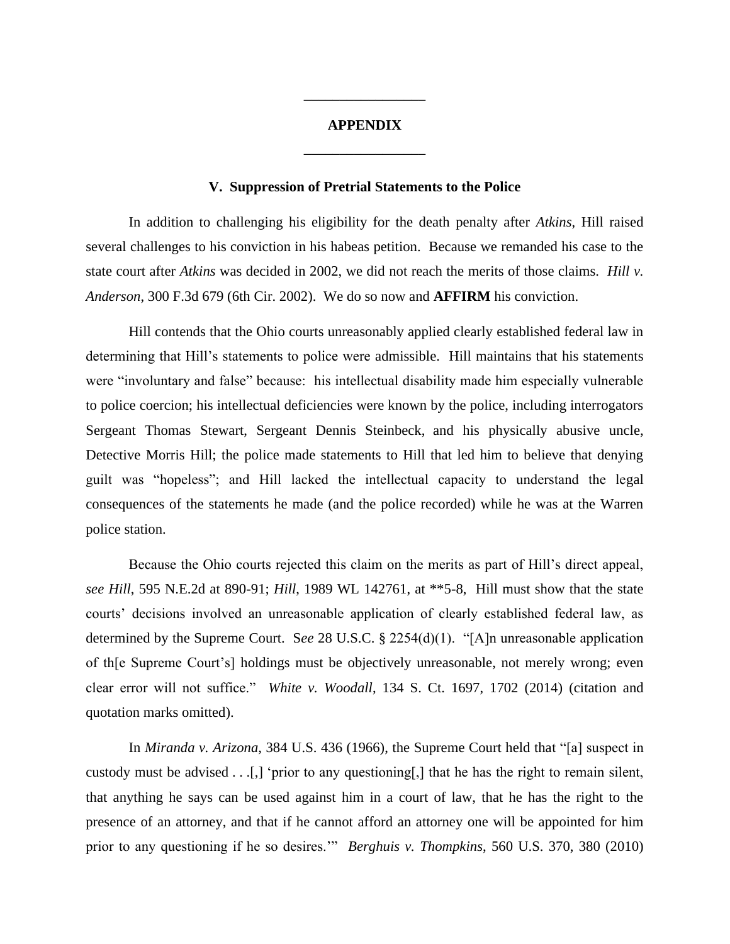# **APPENDIX** \_\_\_\_\_\_\_\_\_\_\_\_\_\_\_\_\_

\_\_\_\_\_\_\_\_\_\_\_\_\_\_\_\_\_

# **V. Suppression of Pretrial Statements to the Police**

In addition to challenging his eligibility for the death penalty after *Atkins*, Hill raised several challenges to his conviction in his habeas petition. Because we remanded his case to the state court after *Atkins* was decided in 2002, we did not reach the merits of those claims. *Hill v. Anderson*, 300 F.3d 679 (6th Cir. 2002). We do so now and **AFFIRM** his conviction.

Hill contends that the Ohio courts unreasonably applied clearly established federal law in determining that Hill's statements to police were admissible. Hill maintains that his statements were "involuntary and false" because: his intellectual disability made him especially vulnerable to police coercion; his intellectual deficiencies were known by the police, including interrogators Sergeant Thomas Stewart, Sergeant Dennis Steinbeck, and his physically abusive uncle, Detective Morris Hill; the police made statements to Hill that led him to believe that denying guilt was "hopeless"; and Hill lacked the intellectual capacity to understand the legal consequences of the statements he made (and the police recorded) while he was at the Warren police station.

Because the Ohio courts rejected this claim on the merits as part of Hill's direct appeal, *see Hill*, 595 N.E.2d at 890-91; *Hill*, 1989 WL 142761, at \*\*5-8, Hill must show that the state courts' decisions involved an unreasonable application of clearly established federal law, as determined by the Supreme Court. S*ee* 28 U.S.C. § 2254(d)(1). "[A]n unreasonable application of th[e Supreme Court's] holdings must be objectively unreasonable, not merely wrong; even clear error will not suffice." *White v. Woodall*, 134 S. Ct. 1697, 1702 (2014) (citation and quotation marks omitted).

In *Miranda v. Arizona*, 384 U.S. 436 (1966), the Supreme Court held that "[a] suspect in custody must be advised . . .[,] 'prior to any questioning[,] that he has the right to remain silent, that anything he says can be used against him in a court of law, that he has the right to the presence of an attorney, and that if he cannot afford an attorney one will be appointed for him prior to any questioning if he so desires.'" *Berghuis v. Thompkins*, 560 U.S. 370, 380 (2010)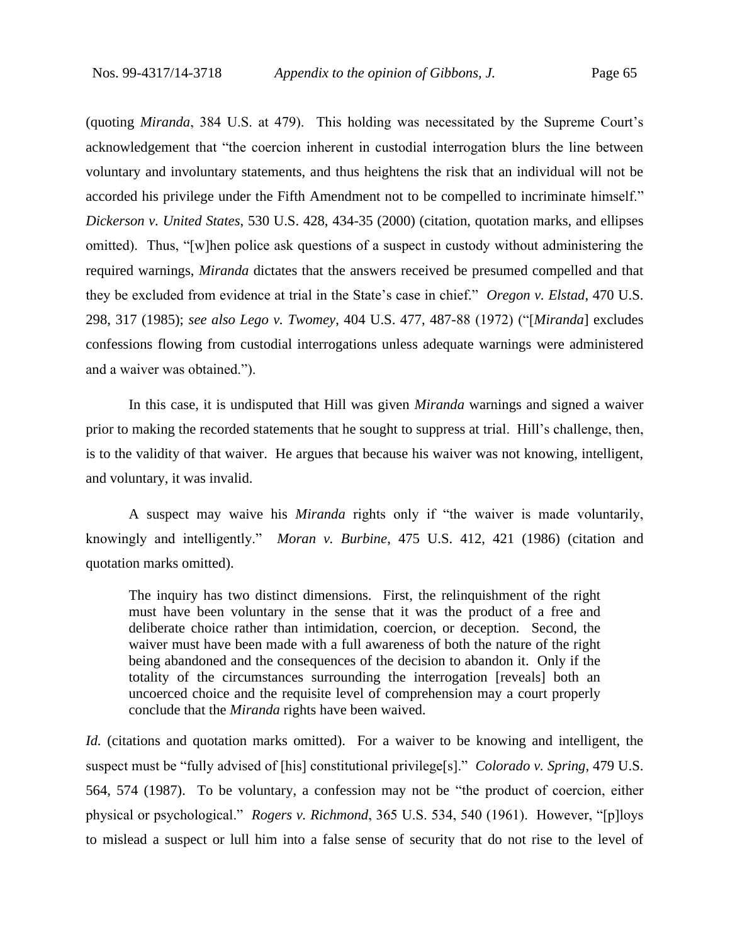(quoting *Miranda*, 384 U.S. at 479). This holding was necessitated by the Supreme Court's acknowledgement that "the coercion inherent in custodial interrogation blurs the line between voluntary and involuntary statements, and thus heightens the risk that an individual will not be accorded his privilege under the Fifth Amendment not to be compelled to incriminate himself." *Dickerson v. United States*, 530 U.S. 428, 434-35 (2000) (citation, quotation marks, and ellipses omitted). Thus, "[w]hen police ask questions of a suspect in custody without administering the required warnings, *Miranda* dictates that the answers received be presumed compelled and that they be excluded from evidence at trial in the State's case in chief." *Oregon v. Elstad*, 470 U.S. 298, 317 (1985); *see also Lego v. Twomey*, 404 U.S. 477, 487-88 (1972) ("[*Miranda*] excludes confessions flowing from custodial interrogations unless adequate warnings were administered and a waiver was obtained.").

In this case, it is undisputed that Hill was given *Miranda* warnings and signed a waiver prior to making the recorded statements that he sought to suppress at trial. Hill's challenge, then, is to the validity of that waiver. He argues that because his waiver was not knowing, intelligent, and voluntary, it was invalid.

A suspect may waive his *Miranda* rights only if "the waiver is made voluntarily, knowingly and intelligently." *Moran v. Burbine*, 475 U.S. 412, 421 (1986) (citation and quotation marks omitted).

The inquiry has two distinct dimensions. First, the relinquishment of the right must have been voluntary in the sense that it was the product of a free and deliberate choice rather than intimidation, coercion, or deception. Second, the waiver must have been made with a full awareness of both the nature of the right being abandoned and the consequences of the decision to abandon it. Only if the totality of the circumstances surrounding the interrogation [reveals] both an uncoerced choice and the requisite level of comprehension may a court properly conclude that the *Miranda* rights have been waived.

*Id.* (citations and quotation marks omitted). For a waiver to be knowing and intelligent, the suspect must be "fully advised of [his] constitutional privilege[s]." *Colorado v. Spring*, 479 U.S. 564, 574 (1987). To be voluntary, a confession may not be "the product of coercion, either physical or psychological." *Rogers v. Richmond*, 365 U.S. 534, 540 (1961). However, "[p]loys to mislead a suspect or lull him into a false sense of security that do not rise to the level of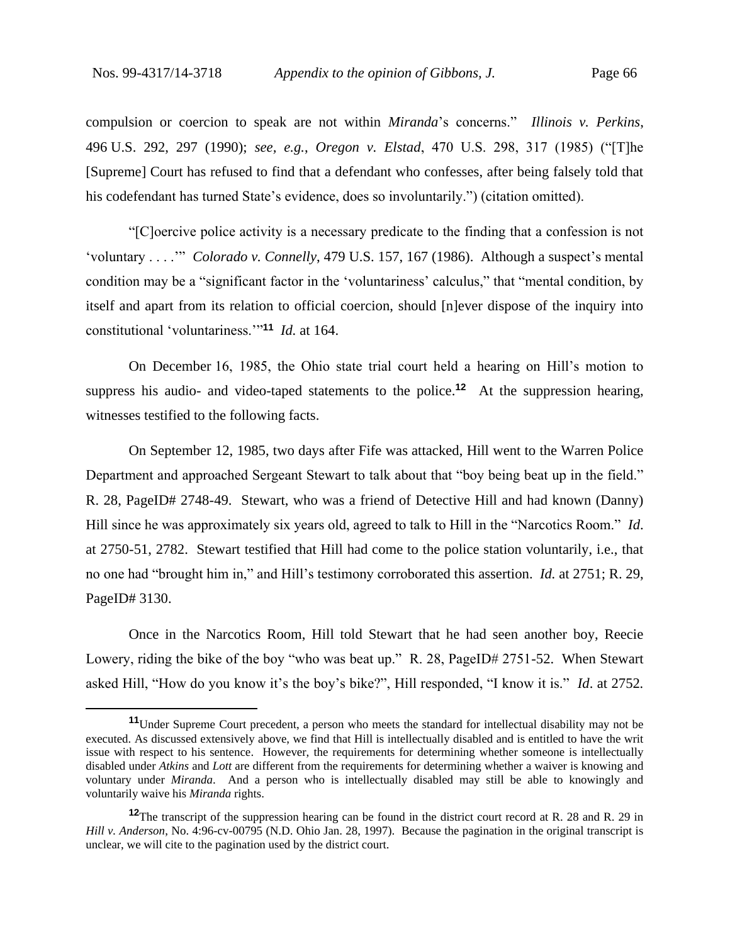compulsion or coercion to speak are not within *Miranda*'s concerns." *Illinois v. Perkins*, 496 U.S. 292, 297 (1990); *see, e.g.*, *Oregon v. Elstad*, 470 U.S. 298, 317 (1985) ("[T]he [Supreme] Court has refused to find that a defendant who confesses, after being falsely told that his codefendant has turned State's evidence, does so involuntarily.") (citation omitted).

"[C]oercive police activity is a necessary predicate to the finding that a confession is not 'voluntary . . . .'" *Colorado v. Connelly*, 479 U.S. 157, 167 (1986). Although a suspect's mental condition may be a "significant factor in the 'voluntariness' calculus," that "mental condition, by itself and apart from its relation to official coercion, should [n]ever dispose of the inquiry into constitutional 'voluntariness.'"**<sup>11</sup>** *Id.* at 164.

On December 16, 1985, the Ohio state trial court held a hearing on Hill's motion to suppress his audio- and video-taped statements to the police.**<sup>12</sup>** At the suppression hearing, witnesses testified to the following facts.

On September 12, 1985, two days after Fife was attacked, Hill went to the Warren Police Department and approached Sergeant Stewart to talk about that "boy being beat up in the field." R. 28, PageID# 2748-49. Stewart, who was a friend of Detective Hill and had known (Danny) Hill since he was approximately six years old, agreed to talk to Hill in the "Narcotics Room." *Id*. at 2750-51, 2782. Stewart testified that Hill had come to the police station voluntarily, i.e., that no one had "brought him in," and Hill's testimony corroborated this assertion. *Id.* at 2751; R. 29, PageID# 3130.

Once in the Narcotics Room, Hill told Stewart that he had seen another boy, Reecie Lowery, riding the bike of the boy "who was beat up." R. 28, PageID# 2751-52. When Stewart asked Hill, "How do you know it's the boy's bike?", Hill responded, "I know it is." *Id*. at 2752*.* 

**<sup>11</sup>**Under Supreme Court precedent, a person who meets the standard for intellectual disability may not be executed. As discussed extensively above, we find that Hill is intellectually disabled and is entitled to have the writ issue with respect to his sentence. However, the requirements for determining whether someone is intellectually disabled under *Atkins* and *Lott* are different from the requirements for determining whether a waiver is knowing and voluntary under *Miranda*. And a person who is intellectually disabled may still be able to knowingly and voluntarily waive his *Miranda* rights.

**<sup>12</sup>**The transcript of the suppression hearing can be found in the district court record at R. 28 and R. 29 in *Hill v. Anderson*, No. 4:96-cv-00795 (N.D. Ohio Jan. 28, 1997). Because the pagination in the original transcript is unclear, we will cite to the pagination used by the district court.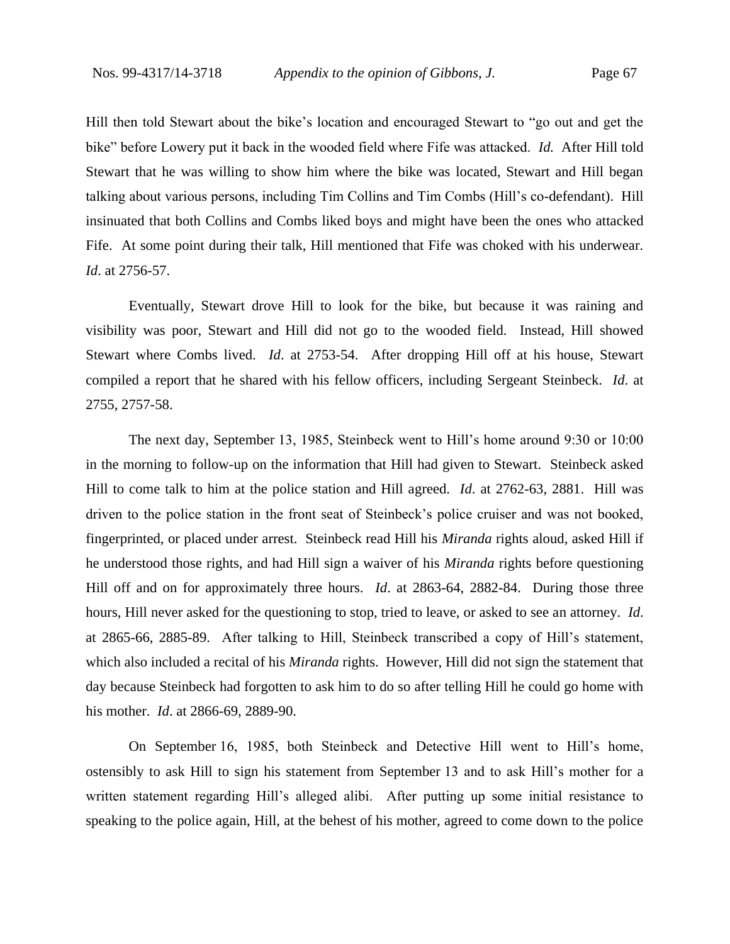Hill then told Stewart about the bike's location and encouraged Stewart to "go out and get the bike" before Lowery put it back in the wooded field where Fife was attacked. *Id.* After Hill told Stewart that he was willing to show him where the bike was located, Stewart and Hill began talking about various persons, including Tim Collins and Tim Combs (Hill's co-defendant). Hill insinuated that both Collins and Combs liked boys and might have been the ones who attacked Fife. At some point during their talk, Hill mentioned that Fife was choked with his underwear. *Id*. at 2756-57.

Eventually, Stewart drove Hill to look for the bike, but because it was raining and visibility was poor, Stewart and Hill did not go to the wooded field. Instead, Hill showed Stewart where Combs lived.*Id*. at 2753-54.After dropping Hill off at his house, Stewart compiled a report that he shared with his fellow officers, including Sergeant Steinbeck. *Id*. at 2755, 2757-58.

The next day, September 13, 1985, Steinbeck went to Hill's home around 9:30 or 10:00 in the morning to follow-up on the information that Hill had given to Stewart. Steinbeck asked Hill to come talk to him at the police station and Hill agreed. *Id*. at 2762-63, 2881. Hill was driven to the police station in the front seat of Steinbeck's police cruiser and was not booked, fingerprinted, or placed under arrest. Steinbeck read Hill his *Miranda* rights aloud, asked Hill if he understood those rights, and had Hill sign a waiver of his *Miranda* rights before questioning Hill off and on for approximately three hours. *Id*. at 2863-64, 2882-84.During those three hours, Hill never asked for the questioning to stop, tried to leave, or asked to see an attorney. *Id*. at 2865-66, 2885-89.After talking to Hill, Steinbeck transcribed a copy of Hill's statement, which also included a recital of his *Miranda* rights. However, Hill did not sign the statement that day because Steinbeck had forgotten to ask him to do so after telling Hill he could go home with his mother. *Id*. at 2866-69, 2889-90.

On September 16, 1985, both Steinbeck and Detective Hill went to Hill's home, ostensibly to ask Hill to sign his statement from September 13 and to ask Hill's mother for a written statement regarding Hill's alleged alibi. After putting up some initial resistance to speaking to the police again, Hill, at the behest of his mother, agreed to come down to the police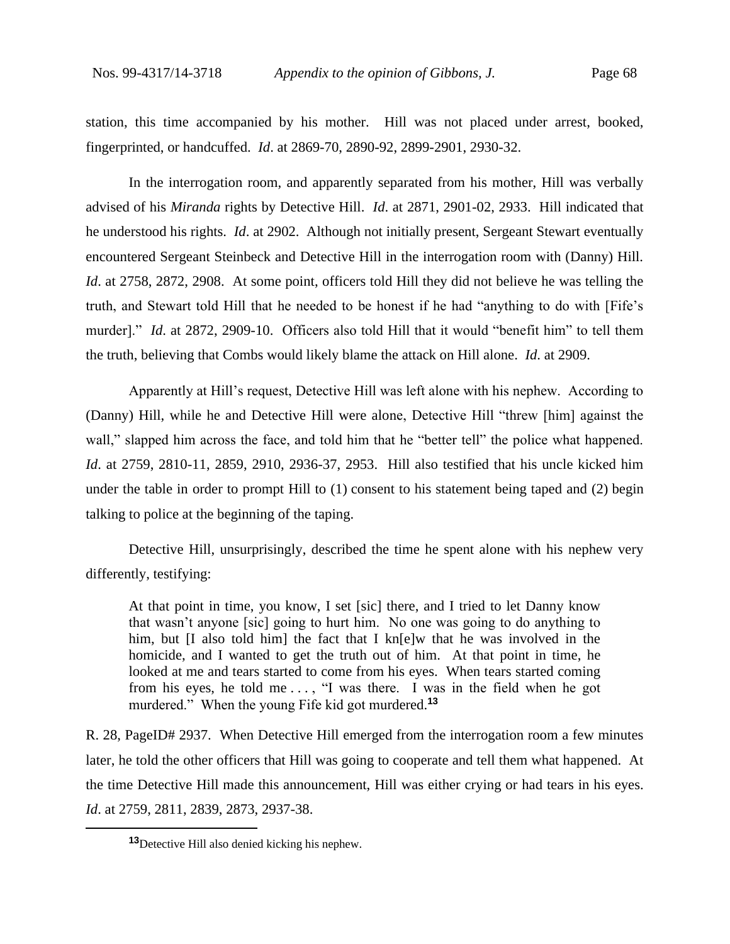station, this time accompanied by his mother. Hill was not placed under arrest, booked, fingerprinted, or handcuffed. *Id*. at 2869-70, 2890-92, 2899-2901, 2930-32.

In the interrogation room, and apparently separated from his mother, Hill was verbally advised of his *Miranda* rights by Detective Hill. *Id*. at 2871, 2901-02, 2933.Hill indicated that he understood his rights. *Id*. at 2902. Although not initially present, Sergeant Stewart eventually encountered Sergeant Steinbeck and Detective Hill in the interrogation room with (Danny) Hill. *Id*. at 2758, 2872, 2908.At some point, officers told Hill they did not believe he was telling the truth, and Stewart told Hill that he needed to be honest if he had "anything to do with [Fife's murder]." *Id*. at 2872, 2909-10.Officers also told Hill that it would "benefit him" to tell them the truth, believing that Combs would likely blame the attack on Hill alone. *Id*. at 2909.

Apparently at Hill's request, Detective Hill was left alone with his nephew. According to (Danny) Hill, while he and Detective Hill were alone, Detective Hill "threw [him] against the wall," slapped him across the face, and told him that he "better tell" the police what happened. *Id*. at 2759, 2810-11, 2859, 2910, 2936-37, 2953. Hill also testified that his uncle kicked him under the table in order to prompt Hill to (1) consent to his statement being taped and (2) begin talking to police at the beginning of the taping.

Detective Hill, unsurprisingly, described the time he spent alone with his nephew very differently, testifying:

At that point in time, you know, I set [sic] there, and I tried to let Danny know that wasn't anyone [sic] going to hurt him. No one was going to do anything to him, but [I also told him] the fact that I kn[e]w that he was involved in the homicide, and I wanted to get the truth out of him. At that point in time, he looked at me and tears started to come from his eyes. When tears started coming from his eyes, he told me ..., "I was there. I was in the field when he got murdered." When the young Fife kid got murdered.**<sup>13</sup>**

R. 28, PageID# 2937.When Detective Hill emerged from the interrogation room a few minutes later, he told the other officers that Hill was going to cooperate and tell them what happened. At the time Detective Hill made this announcement, Hill was either crying or had tears in his eyes. *Id*. at 2759, 2811, 2839, 2873, 2937-38.

**<sup>13</sup>**Detective Hill also denied kicking his nephew.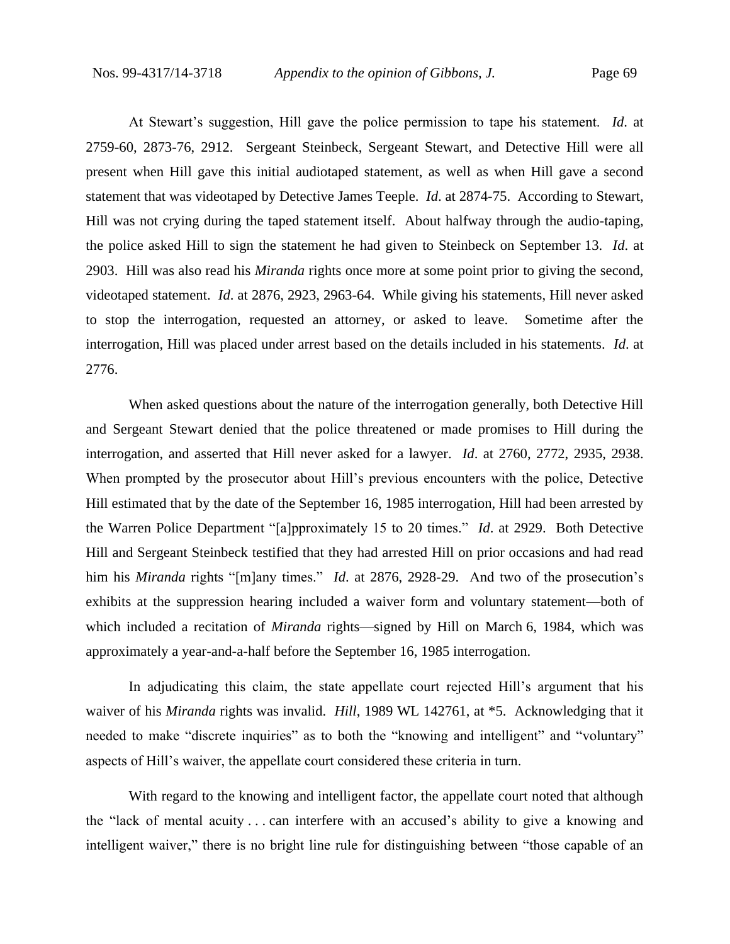At Stewart's suggestion, Hill gave the police permission to tape his statement. *Id*. at 2759-60, 2873-76, 2912.Sergeant Steinbeck, Sergeant Stewart, and Detective Hill were all present when Hill gave this initial audiotaped statement, as well as when Hill gave a second statement that was videotaped by Detective James Teeple. *Id*. at 2874-75.According to Stewart, Hill was not crying during the taped statement itself. About halfway through the audio-taping, the police asked Hill to sign the statement he had given to Steinbeck on September 13. *Id*. at 2903.Hill was also read his *Miranda* rights once more at some point prior to giving the second, videotaped statement. *Id*. at 2876, 2923, 2963-64.While giving his statements, Hill never asked to stop the interrogation, requested an attorney, or asked to leave. Sometime after the interrogation, Hill was placed under arrest based on the details included in his statements. *Id*. at 2776.

When asked questions about the nature of the interrogation generally, both Detective Hill and Sergeant Stewart denied that the police threatened or made promises to Hill during the interrogation, and asserted that Hill never asked for a lawyer. *Id*. at 2760, 2772, 2935, 2938. When prompted by the prosecutor about Hill's previous encounters with the police, Detective Hill estimated that by the date of the September 16, 1985 interrogation, Hill had been arrested by the Warren Police Department "[a]pproximately 15 to 20 times." *Id*. at 2929.Both Detective Hill and Sergeant Steinbeck testified that they had arrested Hill on prior occasions and had read him his *Miranda* rights "[m]any times." *Id*. at 2876, 2928-29.And two of the prosecution's exhibits at the suppression hearing included a waiver form and voluntary statement—both of which included a recitation of *Miranda* rights—signed by Hill on March 6, 1984, which was approximately a year-and-a-half before the September 16, 1985 interrogation.

In adjudicating this claim, the state appellate court rejected Hill's argument that his waiver of his *Miranda* rights was invalid. *Hill*, 1989 WL 142761, at \*5. Acknowledging that it needed to make "discrete inquiries" as to both the "knowing and intelligent" and "voluntary" aspects of Hill's waiver, the appellate court considered these criteria in turn.

With regard to the knowing and intelligent factor, the appellate court noted that although the "lack of mental acuity . . . can interfere with an accused's ability to give a knowing and intelligent waiver," there is no bright line rule for distinguishing between "those capable of an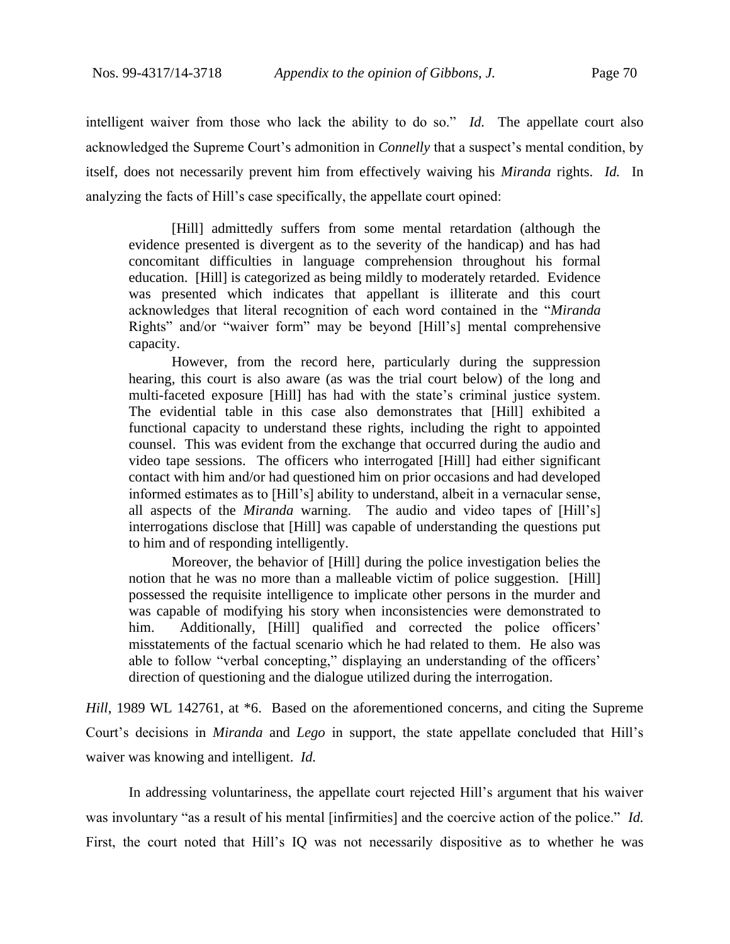intelligent waiver from those who lack the ability to do so." *Id.* The appellate court also acknowledged the Supreme Court's admonition in *Connelly* that a suspect's mental condition, by itself, does not necessarily prevent him from effectively waiving his *Miranda* rights. *Id.* In analyzing the facts of Hill's case specifically, the appellate court opined:

[Hill] admittedly suffers from some mental retardation (although the evidence presented is divergent as to the severity of the handicap) and has had concomitant difficulties in language comprehension throughout his formal education. [Hill] is categorized as being mildly to moderately retarded. Evidence was presented which indicates that appellant is illiterate and this court acknowledges that literal recognition of each word contained in the "*Miranda* Rights" and/or "waiver form" may be beyond [Hill's] mental comprehensive capacity.

However, from the record here, particularly during the suppression hearing, this court is also aware (as was the trial court below) of the long and multi-faceted exposure [Hill] has had with the state's criminal justice system. The evidential table in this case also demonstrates that [Hill] exhibited a functional capacity to understand these rights, including the right to appointed counsel. This was evident from the exchange that occurred during the audio and video tape sessions. The officers who interrogated [Hill] had either significant contact with him and/or had questioned him on prior occasions and had developed informed estimates as to [Hill's] ability to understand, albeit in a vernacular sense, all aspects of the *Miranda* warning. The audio and video tapes of [Hill's] interrogations disclose that [Hill] was capable of understanding the questions put to him and of responding intelligently.

Moreover, the behavior of [Hill] during the police investigation belies the notion that he was no more than a malleable victim of police suggestion. [Hill] possessed the requisite intelligence to implicate other persons in the murder and was capable of modifying his story when inconsistencies were demonstrated to him. Additionally, [Hill] qualified and corrected the police officers' misstatements of the factual scenario which he had related to them. He also was able to follow "verbal concepting," displaying an understanding of the officers' direction of questioning and the dialogue utilized during the interrogation.

*Hill*, 1989 WL 142761, at \*6. Based on the aforementioned concerns, and citing the Supreme Court's decisions in *Miranda* and *Lego* in support, the state appellate concluded that Hill's waiver was knowing and intelligent. *Id.*

In addressing voluntariness, the appellate court rejected Hill's argument that his waiver was involuntary "as a result of his mental [infirmities] and the coercive action of the police." *Id.* First, the court noted that Hill's IQ was not necessarily dispositive as to whether he was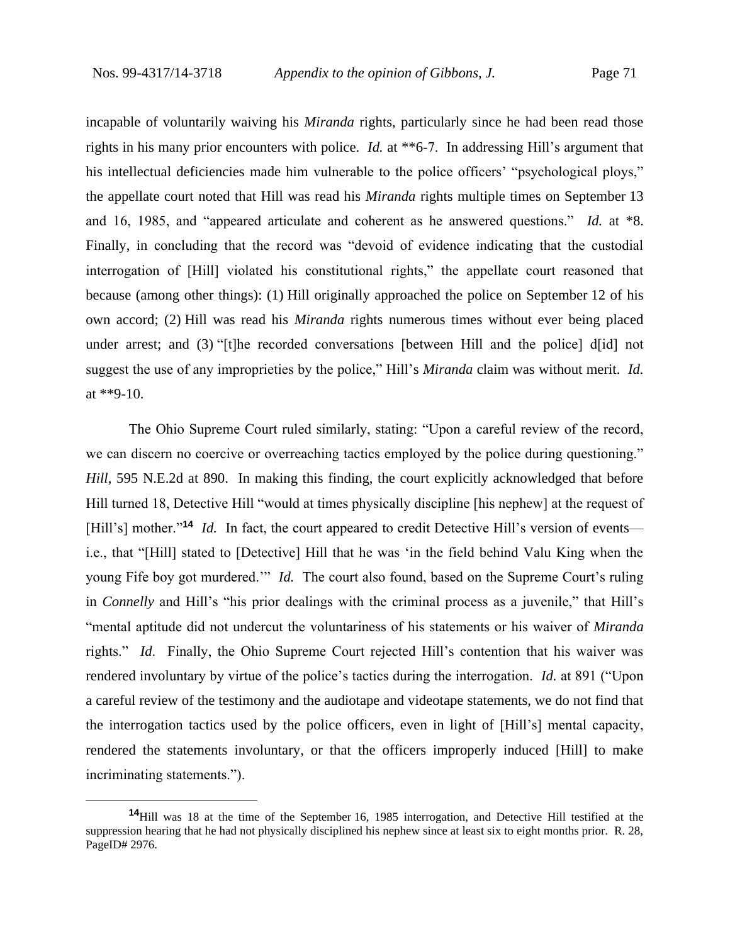incapable of voluntarily waiving his *Miranda* rights, particularly since he had been read those rights in his many prior encounters with police. *Id.* at \*\*6-7. In addressing Hill's argument that his intellectual deficiencies made him vulnerable to the police officers' "psychological ploys," the appellate court noted that Hill was read his *Miranda* rights multiple times on September 13 and 16, 1985, and "appeared articulate and coherent as he answered questions." *Id.* at \*8. Finally, in concluding that the record was "devoid of evidence indicating that the custodial interrogation of [Hill] violated his constitutional rights," the appellate court reasoned that because (among other things): (1) Hill originally approached the police on September 12 of his own accord; (2) Hill was read his *Miranda* rights numerous times without ever being placed under arrest; and (3) "[t]he recorded conversations [between Hill and the police] d[id] not suggest the use of any improprieties by the police," Hill's *Miranda* claim was without merit. *Id.*  at \*\*9-10.

The Ohio Supreme Court ruled similarly, stating: "Upon a careful review of the record, we can discern no coercive or overreaching tactics employed by the police during questioning." *Hill*, 595 N.E.2d at 890. In making this finding, the court explicitly acknowledged that before Hill turned 18, Detective Hill "would at times physically discipline [his nephew] at the request of [Hill's] mother."<sup>14</sup> *Id.* In fact, the court appeared to credit Detective Hill's version of events i.e., that "[Hill] stated to [Detective] Hill that he was 'in the field behind Valu King when the young Fife boy got murdered.'" *Id.* The court also found, based on the Supreme Court's ruling in *Connelly* and Hill's "his prior dealings with the criminal process as a juvenile," that Hill's "mental aptitude did not undercut the voluntariness of his statements or his waiver of *Miranda* rights." *Id*. Finally, the Ohio Supreme Court rejected Hill's contention that his waiver was rendered involuntary by virtue of the police's tactics during the interrogation. *Id.* at 891 ("Upon a careful review of the testimony and the audiotape and videotape statements, we do not find that the interrogation tactics used by the police officers, even in light of [Hill's] mental capacity, rendered the statements involuntary, or that the officers improperly induced [Hill] to make incriminating statements.").

**<sup>14</sup>**Hill was 18 at the time of the September 16, 1985 interrogation, and Detective Hill testified at the suppression hearing that he had not physically disciplined his nephew since at least six to eight months prior. R. 28, PageID# 2976.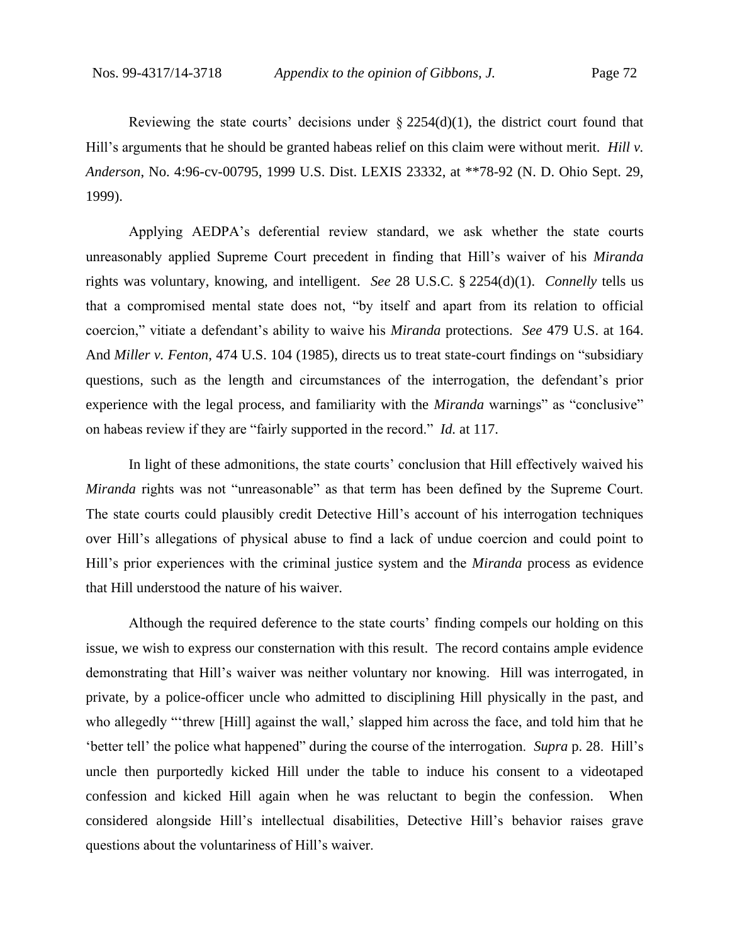Reviewing the state courts' decisions under  $\S$  2254(d)(1), the district court found that Hill's arguments that he should be granted habeas relief on this claim were without merit. *Hill v. Anderson*, No. 4:96-cv-00795, 1999 U.S. Dist. LEXIS 23332, at \*\*78-92 (N. D. Ohio Sept. 29, 1999).

Applying AEDPA's deferential review standard, we ask whether the state courts unreasonably applied Supreme Court precedent in finding that Hill's waiver of his *Miranda*  rights was voluntary, knowing, and intelligent. *See* 28 U.S.C. § 2254(d)(1). *Connelly* tells us that a compromised mental state does not, "by itself and apart from its relation to official coercion," vitiate a defendant's ability to waive his *Miranda* protections. *See* 479 U.S. at 164. And *Miller v. Fenton*, 474 U.S. 104 (1985), directs us to treat state-court findings on "subsidiary questions, such as the length and circumstances of the interrogation, the defendant's prior experience with the legal process, and familiarity with the *Miranda* warnings" as "conclusive" on habeas review if they are "fairly supported in the record." *Id.* at 117.

In light of these admonitions, the state courts' conclusion that Hill effectively waived his *Miranda* rights was not "unreasonable" as that term has been defined by the Supreme Court. The state courts could plausibly credit Detective Hill's account of his interrogation techniques over Hill's allegations of physical abuse to find a lack of undue coercion and could point to Hill's prior experiences with the criminal justice system and the *Miranda* process as evidence that Hill understood the nature of his waiver.

Although the required deference to the state courts' finding compels our holding on this issue, we wish to express our consternation with this result. The record contains ample evidence demonstrating that Hill's waiver was neither voluntary nor knowing. Hill was interrogated, in private, by a police-officer uncle who admitted to disciplining Hill physically in the past, and who allegedly "'threw [Hill] against the wall,' slapped him across the face, and told him that he 'better tell' the police what happened" during the course of the interrogation. *Supra* p. 28. Hill's uncle then purportedly kicked Hill under the table to induce his consent to a videotaped confession and kicked Hill again when he was reluctant to begin the confession. When considered alongside Hill's intellectual disabilities, Detective Hill's behavior raises grave questions about the voluntariness of Hill's waiver.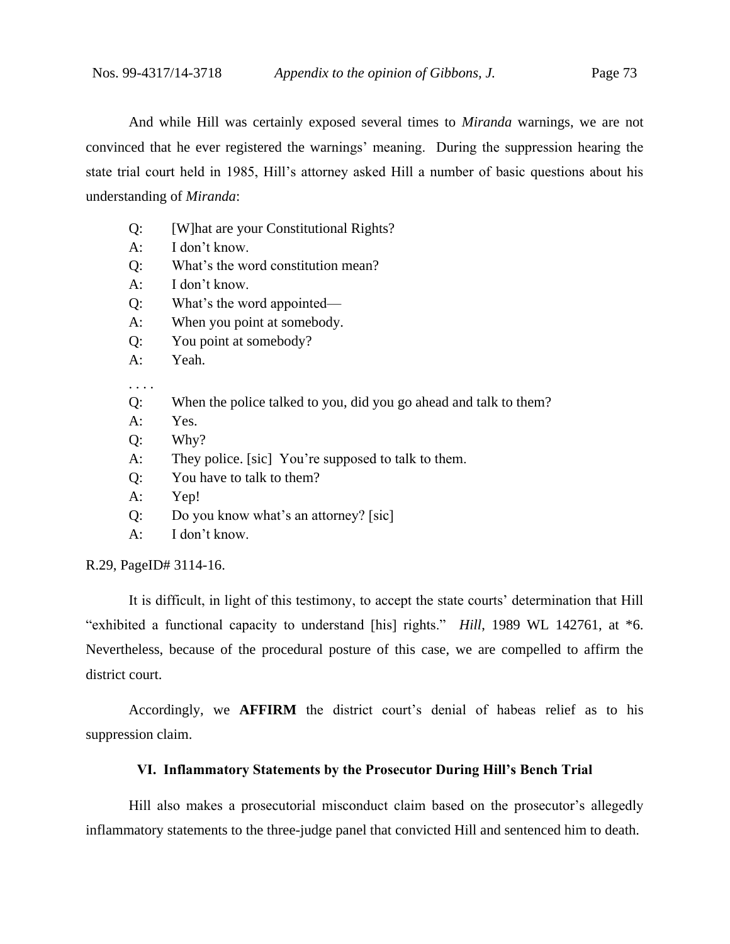And while Hill was certainly exposed several times to *Miranda* warnings, we are not convinced that he ever registered the warnings' meaning. During the suppression hearing the state trial court held in 1985, Hill's attorney asked Hill a number of basic questions about his

understanding of *Miranda*:

- Q: [W]hat are your Constitutional Rights?
- A: I don't know.
- Q: What's the word constitution mean?
- A: I don't know.
- Q: What's the word appointed—
- A: When you point at somebody.
- Q: You point at somebody?
- A: Yeah.

. . . .

- Q: When the police talked to you, did you go ahead and talk to them?
- A: Yes.
- Q: Why?
- A: They police. [sic] You're supposed to talk to them.
- Q: You have to talk to them?
- A: Yep!
- Q: Do you know what's an attorney? [sic]
- A: I don't know.

R.29, PageID# 3114-16.

It is difficult, in light of this testimony, to accept the state courts' determination that Hill "exhibited a functional capacity to understand [his] rights." *Hill*, 1989 WL 142761, at \*6. Nevertheless, because of the procedural posture of this case, we are compelled to affirm the district court.

Accordingly, we **AFFIRM** the district court's denial of habeas relief as to his suppression claim.

## **VI. Inflammatory Statements by the Prosecutor During Hill's Bench Trial**

Hill also makes a prosecutorial misconduct claim based on the prosecutor's allegedly inflammatory statements to the three-judge panel that convicted Hill and sentenced him to death.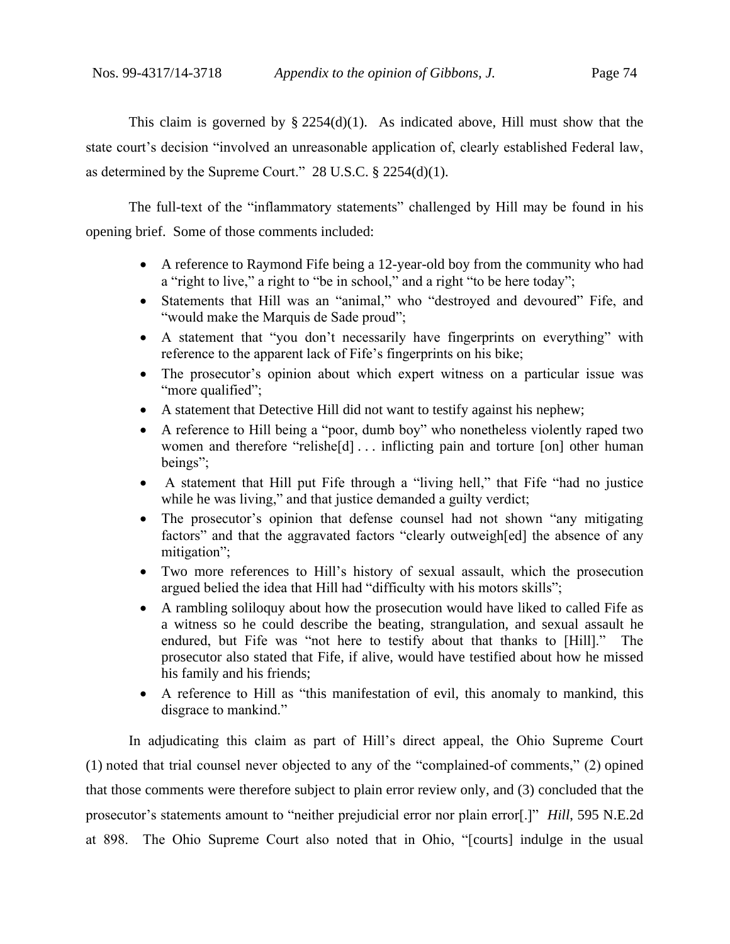This claim is governed by  $\S 2254(d)(1)$ . As indicated above, Hill must show that the state court's decision "involved an unreasonable application of, clearly established Federal law, as determined by the Supreme Court." 28 U.S.C. § 2254(d)(1).

The full-text of the "inflammatory statements" challenged by Hill may be found in his opening brief. Some of those comments included:

- A reference to Raymond Fife being a 12-year-old boy from the community who had a "right to live," a right to "be in school," and a right "to be here today";
- Statements that Hill was an "animal," who "destroyed and devoured" Fife, and "would make the Marquis de Sade proud";
- A statement that "you don't necessarily have fingerprints on everything" with reference to the apparent lack of Fife's fingerprints on his bike;
- The prosecutor's opinion about which expert witness on a particular issue was "more qualified";
- A statement that Detective Hill did not want to testify against his nephew;
- A reference to Hill being a "poor, dumb boy" who nonetheless violently raped two women and therefore "relishe<sup>[d]</sup> ... inflicting pain and torture [on] other human beings";
- A statement that Hill put Fife through a "living hell," that Fife "had no justice while he was living," and that justice demanded a guilty verdict;
- The prosecutor's opinion that defense counsel had not shown "any mitigating factors" and that the aggravated factors "clearly outweigh[ed] the absence of any mitigation";
- Two more references to Hill's history of sexual assault, which the prosecution argued belied the idea that Hill had "difficulty with his motors skills";
- A rambling soliloquy about how the prosecution would have liked to called Fife as a witness so he could describe the beating, strangulation, and sexual assault he endured, but Fife was "not here to testify about that thanks to [Hill]." The prosecutor also stated that Fife, if alive, would have testified about how he missed his family and his friends;
- A reference to Hill as "this manifestation of evil, this anomaly to mankind, this disgrace to mankind."

In adjudicating this claim as part of Hill's direct appeal, the Ohio Supreme Court (1) noted that trial counsel never objected to any of the "complained-of comments," (2) opined that those comments were therefore subject to plain error review only, and (3) concluded that the prosecutor's statements amount to "neither prejudicial error nor plain error[.]" *Hill*, 595 N.E.2d at 898. The Ohio Supreme Court also noted that in Ohio, "[courts] indulge in the usual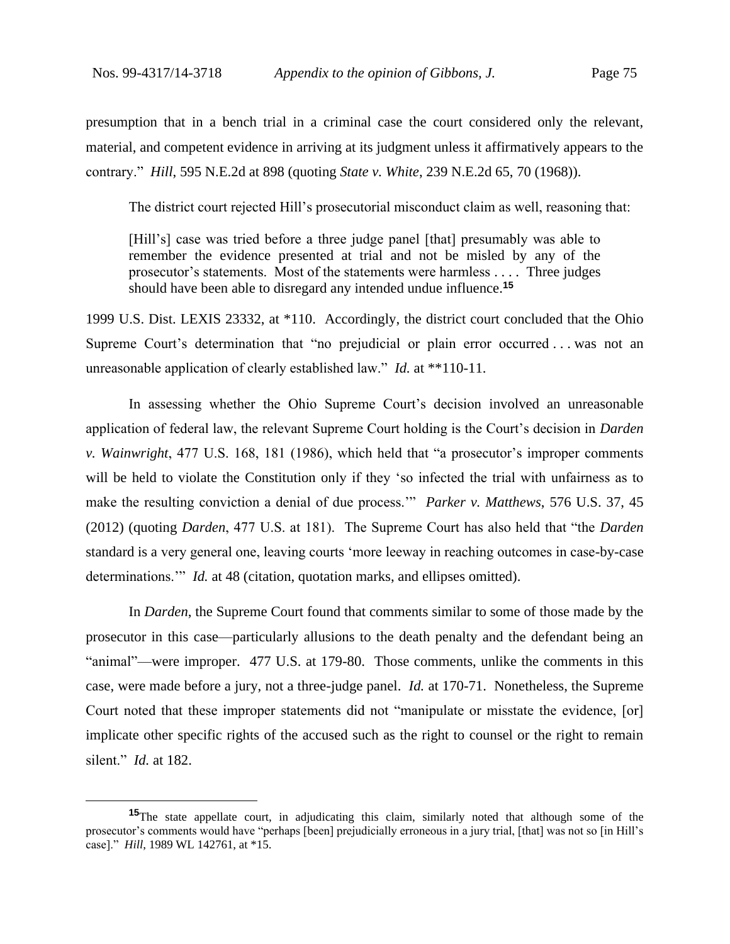presumption that in a bench trial in a criminal case the court considered only the relevant, material, and competent evidence in arriving at its judgment unless it affirmatively appears to the contrary." *Hill*, 595 N.E.2d at 898 (quoting *State v. White*, 239 N.E.2d 65, 70 (1968)).

The district court rejected Hill's prosecutorial misconduct claim as well, reasoning that:

[Hill's] case was tried before a three judge panel [that] presumably was able to remember the evidence presented at trial and not be misled by any of the prosecutor's statements. Most of the statements were harmless . . . . Three judges should have been able to disregard any intended undue influence.**<sup>15</sup>**

1999 U.S. Dist. LEXIS 23332, at \*110. Accordingly, the district court concluded that the Ohio Supreme Court's determination that "no prejudicial or plain error occurred . . . was not an unreasonable application of clearly established law." *Id.* at \*\*110-11.

In assessing whether the Ohio Supreme Court's decision involved an unreasonable application of federal law, the relevant Supreme Court holding is the Court's decision in *Darden v. Wainwright*, 477 U.S. 168, 181 (1986), which held that "a prosecutor's improper comments will be held to violate the Constitution only if they 'so infected the trial with unfairness as to make the resulting conviction a denial of due process.'" *Parker v. Matthews*, 576 U.S. 37, 45 (2012) (quoting *Darden*, 477 U.S. at 181). The Supreme Court has also held that "the *Darden* standard is a very general one, leaving courts 'more leeway in reaching outcomes in case-by-case determinations." *Id.* at 48 (citation, quotation marks, and ellipses omitted).

In *Darden*, the Supreme Court found that comments similar to some of those made by the prosecutor in this case—particularly allusions to the death penalty and the defendant being an "animal"—were improper. 477 U.S. at 179-80. Those comments, unlike the comments in this case, were made before a jury, not a three-judge panel. *Id.* at 170-71. Nonetheless, the Supreme Court noted that these improper statements did not "manipulate or misstate the evidence, [or] implicate other specific rights of the accused such as the right to counsel or the right to remain silent." *Id.* at 182.

**<sup>15</sup>**The state appellate court, in adjudicating this claim, similarly noted that although some of the prosecutor's comments would have "perhaps [been] prejudicially erroneous in a jury trial, [that] was not so [in Hill's case]." *Hill*, 1989 WL 142761, at \*15.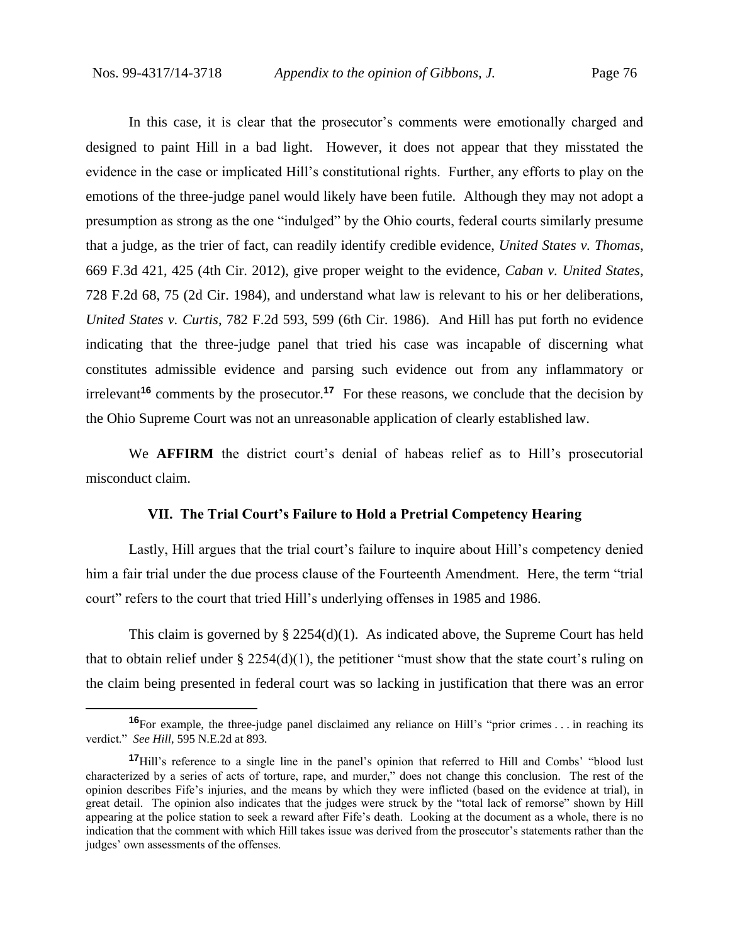In this case, it is clear that the prosecutor's comments were emotionally charged and designed to paint Hill in a bad light. However, it does not appear that they misstated the evidence in the case or implicated Hill's constitutional rights. Further, any efforts to play on the emotions of the three-judge panel would likely have been futile. Although they may not adopt a presumption as strong as the one "indulged" by the Ohio courts, federal courts similarly presume that a judge, as the trier of fact, can readily identify credible evidence, *United States v. Thomas*, 669 F.3d 421, 425 (4th Cir. 2012), give proper weight to the evidence, *Caban v. United States*, 728 F.2d 68, 75 (2d Cir. 1984), and understand what law is relevant to his or her deliberations, *United States v. Curtis*, 782 F.2d 593, 599 (6th Cir. 1986). And Hill has put forth no evidence indicating that the three-judge panel that tried his case was incapable of discerning what constitutes admissible evidence and parsing such evidence out from any inflammatory or irrelevant**<sup>16</sup>** comments by the prosecutor.**<sup>17</sup>** For these reasons, we conclude that the decision by the Ohio Supreme Court was not an unreasonable application of clearly established law.

We **AFFIRM** the district court's denial of habeas relief as to Hill's prosecutorial misconduct claim.

## **VII. The Trial Court's Failure to Hold a Pretrial Competency Hearing**

Lastly, Hill argues that the trial court's failure to inquire about Hill's competency denied him a fair trial under the due process clause of the Fourteenth Amendment. Here, the term "trial court" refers to the court that tried Hill's underlying offenses in 1985 and 1986.

This claim is governed by  $\S 2254(d)(1)$ . As indicated above, the Supreme Court has held that to obtain relief under §  $2254(d)(1)$ , the petitioner "must show that the state court's ruling on the claim being presented in federal court was so lacking in justification that there was an error

**<sup>16</sup>**For example, the three-judge panel disclaimed any reliance on Hill's "prior crimes . . . in reaching its verdict." *See Hill*, 595 N.E.2d at 893.

**<sup>17</sup>**Hill's reference to a single line in the panel's opinion that referred to Hill and Combs' "blood lust characterized by a series of acts of torture, rape, and murder," does not change this conclusion. The rest of the opinion describes Fife's injuries, and the means by which they were inflicted (based on the evidence at trial), in great detail. The opinion also indicates that the judges were struck by the "total lack of remorse" shown by Hill appearing at the police station to seek a reward after Fife's death. Looking at the document as a whole, there is no indication that the comment with which Hill takes issue was derived from the prosecutor's statements rather than the judges' own assessments of the offenses.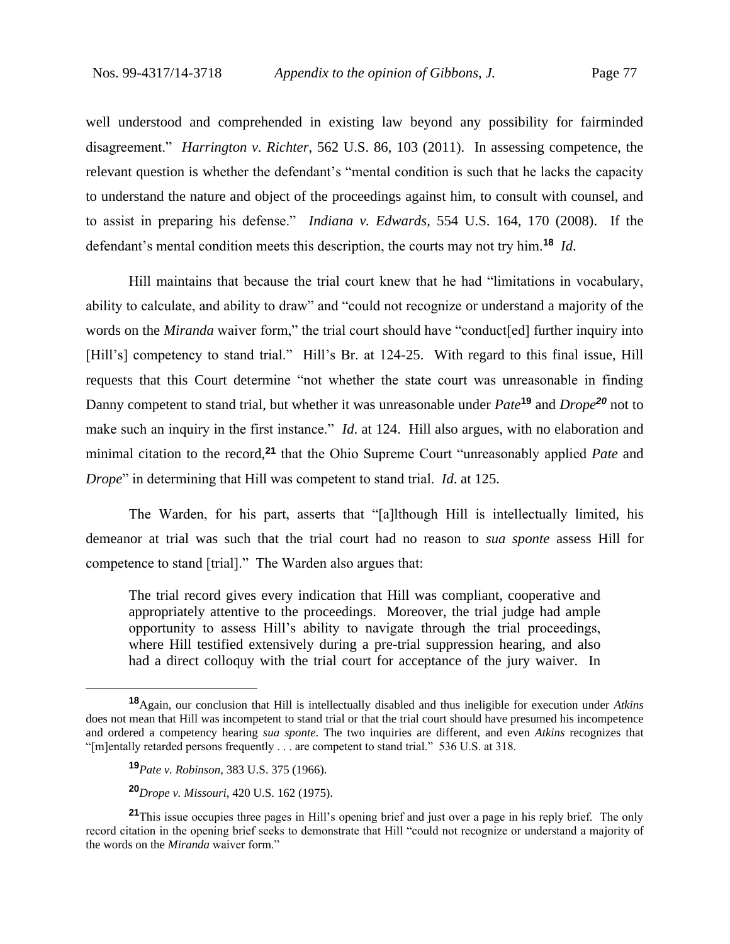well understood and comprehended in existing law beyond any possibility for fairminded disagreement." *Harrington v. Richter*, 562 U.S. 86, 103 (2011). In assessing competence, the relevant question is whether the defendant's "mental condition is such that he lacks the capacity to understand the nature and object of the proceedings against him, to consult with counsel, and to assist in preparing his defense." *Indiana v. Edwards*, 554 U.S. 164, 170 (2008). If the defendant's mental condition meets this description, the courts may not try him.**<sup>18</sup>** *Id*.

Hill maintains that because the trial court knew that he had "limitations in vocabulary, ability to calculate, and ability to draw" and "could not recognize or understand a majority of the words on the *Miranda* waiver form," the trial court should have "conduct[ed] further inquiry into [Hill's] competency to stand trial." Hill's Br. at 124-25. With regard to this final issue, Hill requests that this Court determine "not whether the state court was unreasonable in finding Danny competent to stand trial, but whether it was unreasonable under *Pate***<sup>19</sup>** and *Drope<sup>20</sup>* not to make such an inquiry in the first instance." *Id*. at 124. Hill also argues, with no elaboration and minimal citation to the record,**<sup>21</sup>** that the Ohio Supreme Court "unreasonably applied *Pate* and *Drope*" in determining that Hill was competent to stand trial. *Id*. at 125.

The Warden, for his part, asserts that "[a]lthough Hill is intellectually limited, his demeanor at trial was such that the trial court had no reason to *sua sponte* assess Hill for competence to stand [trial]." The Warden also argues that:

The trial record gives every indication that Hill was compliant, cooperative and appropriately attentive to the proceedings. Moreover, the trial judge had ample opportunity to assess Hill's ability to navigate through the trial proceedings, where Hill testified extensively during a pre-trial suppression hearing, and also had a direct colloquy with the trial court for acceptance of the jury waiver. In

**<sup>18</sup>**Again, our conclusion that Hill is intellectually disabled and thus ineligible for execution under *Atkins* does not mean that Hill was incompetent to stand trial or that the trial court should have presumed his incompetence and ordered a competency hearing *sua sponte*. The two inquiries are different, and even *Atkins* recognizes that "[m]entally retarded persons frequently . . . are competent to stand trial." 536 U.S. at 318.

**<sup>19</sup>***Pate v. Robinson*, 383 U.S. 375 (1966).

**<sup>20</sup>***Drope v. Missouri*, 420 U.S. 162 (1975).

**<sup>21</sup>**This issue occupies three pages in Hill's opening brief and just over a page in his reply brief. The only record citation in the opening brief seeks to demonstrate that Hill "could not recognize or understand a majority of the words on the *Miranda* waiver form."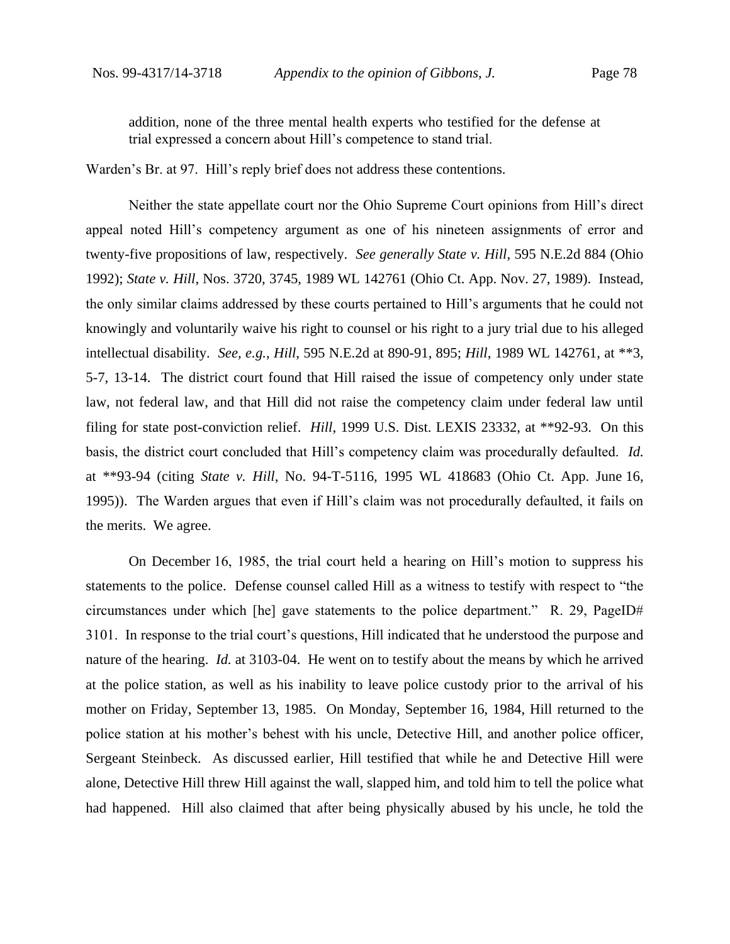addition, none of the three mental health experts who testified for the defense at trial expressed a concern about Hill's competence to stand trial.

Warden's Br. at 97.Hill's reply brief does not address these contentions.

Neither the state appellate court nor the Ohio Supreme Court opinions from Hill's direct appeal noted Hill's competency argument as one of his nineteen assignments of error and twenty-five propositions of law, respectively. *See generally State v. Hill*, 595 N.E.2d 884 (Ohio 1992); *State v. Hill*, Nos. 3720, 3745, 1989 WL 142761 (Ohio Ct. App. Nov. 27, 1989). Instead, the only similar claims addressed by these courts pertained to Hill's arguments that he could not knowingly and voluntarily waive his right to counsel or his right to a jury trial due to his alleged intellectual disability. *See, e.g.*, *Hill*, 595 N.E.2d at 890-91, 895; *Hill*, 1989 WL 142761, at \*\*3, 5-7, 13-14. The district court found that Hill raised the issue of competency only under state law, not federal law, and that Hill did not raise the competency claim under federal law until filing for state post-conviction relief. *Hill*, 1999 U.S. Dist. LEXIS 23332, at \*\*92-93. On this basis, the district court concluded that Hill's competency claim was procedurally defaulted. *Id.*  at \*\*93-94 (citing *State v. Hill*, No. 94-T-5116, 1995 WL 418683 (Ohio Ct. App. June 16, 1995)). The Warden argues that even if Hill's claim was not procedurally defaulted, it fails on the merits. We agree.

On December 16, 1985, the trial court held a hearing on Hill's motion to suppress his statements to the police. Defense counsel called Hill as a witness to testify with respect to "the circumstances under which [he] gave statements to the police department." R. 29, PageID# 3101. In response to the trial court's questions, Hill indicated that he understood the purpose and nature of the hearing. *Id.* at 3103-04. He went on to testify about the means by which he arrived at the police station, as well as his inability to leave police custody prior to the arrival of his mother on Friday, September 13, 1985. On Monday, September 16, 1984, Hill returned to the police station at his mother's behest with his uncle, Detective Hill, and another police officer, Sergeant Steinbeck. As discussed earlier, Hill testified that while he and Detective Hill were alone, Detective Hill threw Hill against the wall, slapped him, and told him to tell the police what had happened. Hill also claimed that after being physically abused by his uncle, he told the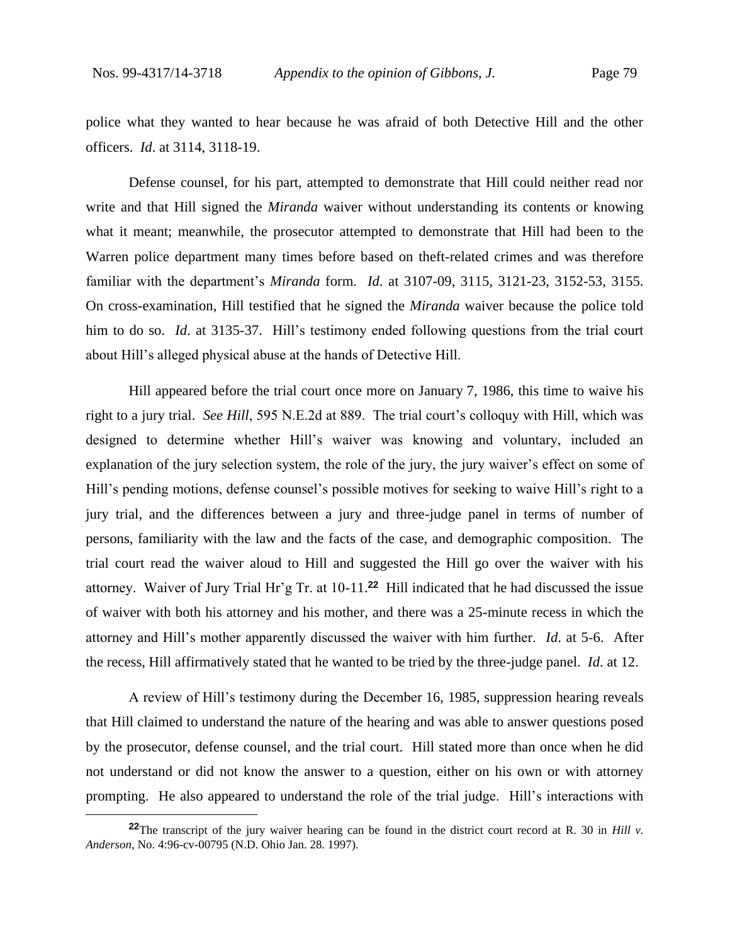police what they wanted to hear because he was afraid of both Detective Hill and the other officers. *Id*. at 3114, 3118-19.

Defense counsel, for his part, attempted to demonstrate that Hill could neither read nor write and that Hill signed the *Miranda* waiver without understanding its contents or knowing what it meant; meanwhile, the prosecutor attempted to demonstrate that Hill had been to the Warren police department many times before based on theft-related crimes and was therefore familiar with the department's *Miranda* form. *Id*. at 3107-09, 3115, 3121-23, 3152-53, 3155. On cross-examination, Hill testified that he signed the *Miranda* waiver because the police told him to do so. *Id*. at 3135-37.Hill's testimony ended following questions from the trial court about Hill's alleged physical abuse at the hands of Detective Hill.

Hill appeared before the trial court once more on January 7, 1986, this time to waive his right to a jury trial. *See Hill*, 595 N.E.2d at 889. The trial court's colloquy with Hill, which was designed to determine whether Hill's waiver was knowing and voluntary, included an explanation of the jury selection system, the role of the jury, the jury waiver's effect on some of Hill's pending motions, defense counsel's possible motives for seeking to waive Hill's right to a jury trial, and the differences between a jury and three-judge panel in terms of number of persons, familiarity with the law and the facts of the case, and demographic composition. The trial court read the waiver aloud to Hill and suggested the Hill go over the waiver with his attorney. Waiver of Jury Trial Hr'g Tr. at 10-11.**<sup>22</sup>** Hill indicated that he had discussed the issue of waiver with both his attorney and his mother, and there was a 25-minute recess in which the attorney and Hill's mother apparently discussed the waiver with him further. *Id*. at 5-6. After the recess, Hill affirmatively stated that he wanted to be tried by the three-judge panel.*Id*. at 12.

A review of Hill's testimony during the December 16, 1985, suppression hearing reveals that Hill claimed to understand the nature of the hearing and was able to answer questions posed by the prosecutor, defense counsel, and the trial court. Hill stated more than once when he did not understand or did not know the answer to a question, either on his own or with attorney prompting. He also appeared to understand the role of the trial judge. Hill's interactions with

**<sup>22</sup>**The transcript of the jury waiver hearing can be found in the district court record at R. 30 in *Hill v. Anderson*, No. 4:96-cv-00795 (N.D. Ohio Jan. 28. 1997).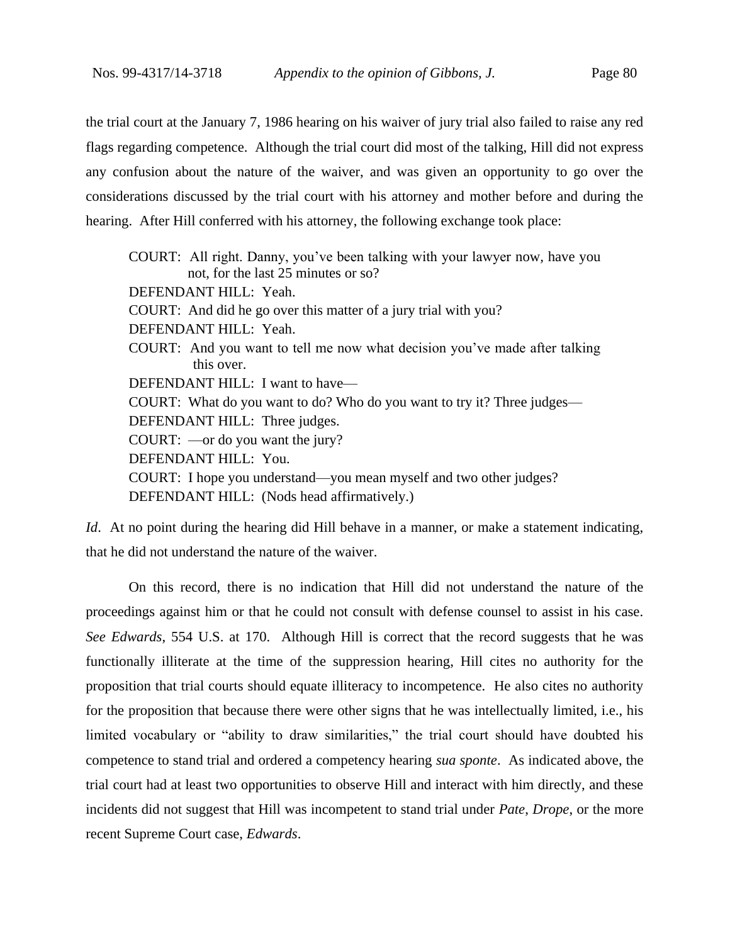the trial court at the January 7, 1986 hearing on his waiver of jury trial also failed to raise any red flags regarding competence. Although the trial court did most of the talking, Hill did not express any confusion about the nature of the waiver, and was given an opportunity to go over the considerations discussed by the trial court with his attorney and mother before and during the hearing. After Hill conferred with his attorney, the following exchange took place:

COURT: All right. Danny, you've been talking with your lawyer now*,* have you not, for the last 25 minutes or so? DEFENDANT HILL: Yeah. COURT: And did he go over this matter of a jury trial with you? DEFENDANT HILL: Yeah. COURT: And you want to tell me now what decision you've made after talking this over. DEFENDANT HILL: I want to have— COURT: What do you want to do? Who do you want to try it? Three judges— DEFENDANT HILL: Three judges. COURT: —or do you want the jury? DEFENDANT HILL: You. COURT: I hope you understand—you mean myself and two other judges? DEFENDANT HILL: (Nods head affirmatively.)

*Id.* At no point during the hearing did Hill behave in a manner, or make a statement indicating, that he did not understand the nature of the waiver.

On this record, there is no indication that Hill did not understand the nature of the proceedings against him or that he could not consult with defense counsel to assist in his case. *See Edwards*, 554 U.S. at 170. Although Hill is correct that the record suggests that he was functionally illiterate at the time of the suppression hearing, Hill cites no authority for the proposition that trial courts should equate illiteracy to incompetence. He also cites no authority for the proposition that because there were other signs that he was intellectually limited, i.e., his limited vocabulary or "ability to draw similarities," the trial court should have doubted his competence to stand trial and ordered a competency hearing *sua sponte*. As indicated above, the trial court had at least two opportunities to observe Hill and interact with him directly, and these incidents did not suggest that Hill was incompetent to stand trial under *Pate*, *Drope*, or the more recent Supreme Court case, *Edwards*.